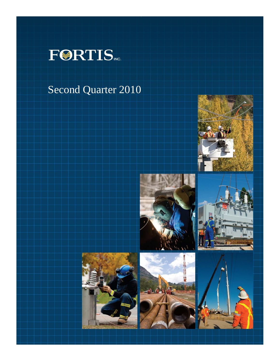

# Second Quarter 2010











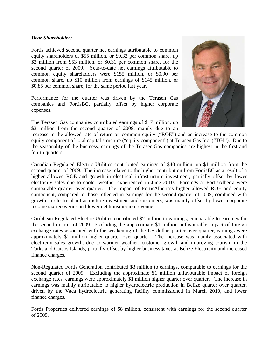# *Dear Shareholder:*

Fortis achieved second quarter net earnings attributable to common equity shareholders of \$55 million, or \$0.32 per common share, up \$2 million from \$53 million, or \$0.31 per common share, for the second quarter of 2009. Year-to-date net earnings attributable to common equity shareholders were \$155 million, or \$0.90 per common share, up \$10 million from earnings of \$145 million, or \$0.85 per common share, for the same period last year.

Performance for the quarter was driven by the Terasen Gas companies and FortisBC, partially offset by higher corporate expenses.

The Terasen Gas companies contributed earnings of \$17 million, up \$3 million from the second quarter of 2009, mainly due to an



increase in the allowed rate of return on common equity ("ROE") and an increase to the common equity component of total capital structure ("equity component") at Terasen Gas Inc. ("TGI"). Due to the seasonality of the business, earnings of the Terasen Gas companies are highest in the first and fourth quarters.

Canadian Regulated Electric Utilities contributed earnings of \$40 million, up \$1 million from the second quarter of 2009. The increase related to the higher contribution from FortisBC as a result of a higher allowed ROE and growth in electrical infrastructure investment, partially offset by lower electricity sales due to cooler weather experienced in June 2010. Earnings at FortisAlberta were comparable quarter over quarter. The impact of FortisAlberta's higher allowed ROE and equity component, compared to those reflected in earnings for the second quarter of 2009, combined with growth in electrical infrastructure investment and customers, was mainly offset by lower corporate income tax recoveries and lower net transmission revenue.

Caribbean Regulated Electric Utilities contributed \$7 million to earnings, comparable to earnings for the second quarter of 2009. Excluding the approximate \$1 million unfavourable impact of foreign exchange rates associated with the weakening of the US dollar quarter over quarter, earnings were approximately \$1 million higher quarter over quarter. The increase was mainly associated with electricity sales growth, due to warmer weather, customer growth and improving tourism in the Turks and Caicos Islands, partially offset by higher business taxes at Belize Electricity and increased finance charges.

Non-Regulated Fortis Generation contributed \$3 million to earnings, comparable to earnings for the second quarter of 2009. Excluding the approximate \$1 million unfavourable impact of foreign exchange rates, earnings were approximately \$1 million higher quarter over quarter. The increase in earnings was mainly attributable to higher hydroelectric production in Belize quarter over quarter, driven by the Vaca hydroelectric generating facility commissioned in March 2010, and lower finance charges.

Fortis Properties delivered earnings of \$8 million, consistent with earnings for the second quarter of 2009.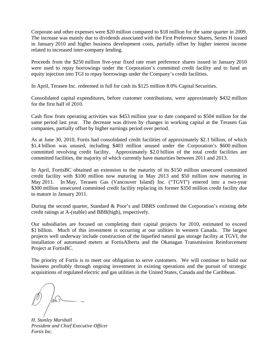Corporate and other expenses were \$20 million compared to \$18 million for the same quarter in 2009. The increase was mainly due to dividends associated with the First Preference Shares, Series H issued in January 2010 and higher business development costs, partially offset by higher interest income related to increased inter-company lending.

Proceeds from the \$250 million five-year fixed rate reset preference shares issued in January 2010 were used to repay borrowings under the Corporation's committed credit facility and to fund an equity injection into TGI to repay borrowings under the Company's credit facilities.

In April, Terasen Inc. redeemed in full for cash its \$125 million 8.0% Capital Securities.

Consolidated capital expenditures, before customer contributions, were approximately \$432 million for the first half of 2010.

Cash flow from operating activities was \$453 million year to date compared to \$504 million for the same period last year. The decrease was driven by changes in working capital at the Terasen Gas companies, partially offset by higher earnings period over period.

As at June 30, 2010, Fortis had consolidated credit facilities of approximately \$2.1 billion, of which \$1.4 billion was unused, including \$403 million unused under the Corporation's \$600 million committed revolving credit facility. Approximately \$2.0 billion of the total credit facilities are committed facilities, the majority of which currently have maturities between 2011 and 2013.

In April, FortisBC obtained an extension to the maturity of its \$150 million unsecured committed credit facility with \$100 million now maturing in May 2013 and \$50 million now maturing in May 2011. In May, Terasen Gas (Vancouver Island) Inc. ("TGVI") entered into a two-year \$300 million unsecured committed credit facility replacing its former \$350 million credit facility due to mature in January 2011.

During the second quarter, Standard & Poor's and DBRS confirmed the Corporation's existing debt credit ratings at A-(stable) and BBB(high), respectively.

Our subsidiaries are focused on completing their capital projects for 2010, estimated to exceed \$1 billion. Much of this investment is occurring at our utilities in western Canada. The largest projects well underway include construction of the liquefied natural gas storage facility at TGVI, the installation of automated meters at FortisAlberta and the Okanagan Transmission Reinforcement Project at FortisBC.

The priority of Fortis is to meet our obligation to serve customers. We will continue to build our business profitably through ongoing investment in existing operations and the pursuit of strategic acquisitions of regulated electric and gas utilities in the United States, Canada and the Caribbean.

*H. Stanley Marshall President and Chief Executive Officer Fortis Inc.*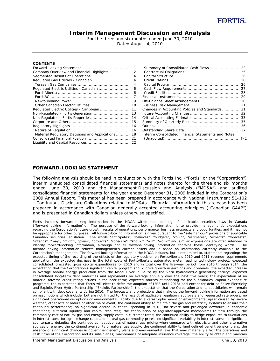# **Interim Management Discussion and Analysis**

For the three and six months ended June 30, 2010 Dated August 4, 2010

#### **CONTENTS**

|                                                | 1  |
|------------------------------------------------|----|
| Company Overview and Financial Highlights      | 2  |
| Segmented Results of Operations                | 4  |
| Regulated Gas Utilities - Canadian             | 4  |
|                                                | 4  |
| Regulated Electric Utilities - Canadian        | 6  |
|                                                | 6  |
|                                                | 7  |
|                                                | 9  |
| Other Canadian Electric Utilities              | 10 |
| Regulated Electric Utilities - Caribbean       | 11 |
|                                                | 13 |
| Non-Regulated - Fortis Properties              | 14 |
|                                                | 15 |
|                                                | 16 |
|                                                | 16 |
| Material Regulatory Decisions and Applications | 18 |
|                                                | 21 |
| Liquidity and Capital Resources                | 22 |

| Summary of Consolidated Cash Flows                  | 22      |
|-----------------------------------------------------|---------|
|                                                     | 25      |
|                                                     | 26      |
|                                                     | 26      |
|                                                     | 26      |
|                                                     | 27      |
|                                                     | 28      |
|                                                     | 29      |
| Off-Balance Sheet Arrangements                      | 30      |
|                                                     | 31      |
| Changes in Accounting Policies and Standards        | 31      |
|                                                     | 32      |
|                                                     | 33      |
|                                                     | 35      |
|                                                     | 36      |
|                                                     | 37      |
| Interim Consolidated Financial Statements and Notes |         |
|                                                     | $F - 1$ |

# **FORWARD-LOOKING STATEMENT**

The following analysis should be read in conjunction with the Fortis Inc. ("Fortis" or the "Corporation") interim unaudited consolidated financial statements and notes thereto for the three and six months ended June 30, 2010 and the Management Discussion and Analysis ("MD&A") and audited consolidated financial statements for the year ended December 31, 2009 included in the Corporation's 2009 Annual Report. This material has been prepared in accordance with National Instrument 51-102 - *Continuous Disclosure Obligations* relating to MD&As. Financial information in this release has been prepared in accordance with Canadian generally accepted accounting principles ("Canadian GAAP") and is presented in Canadian dollars unless otherwise specified.

*Fortis includes forward-looking information in the MD&A within the meaning of applicable securities laws in Canada ("forward-looking information"). The purpose of the forward-looking information is to provide management's expectations regarding the Corporation's future growth, results of operations, performance, business prospects and opportunities, and it may not be appropriate for other purposes. All forward-looking information is given pursuant to the "safe harbour" provisions of applicable Canadian securities legislation. The words "anticipates", "believes", "budgets", "could", "estimates", "expects", "forecasts", "intends", "may", "might", "plans", "projects", "schedule", "should", "will", "would" and similar expressions are often intended to identify forward-looking information, although not all forward-looking information contains these identifying words. The forward-looking information reflects management's current beliefs and is based on information currently available to the Corporation's management. The forward-looking information in the MD&A includes, but is not limited to, statements regarding: the expected timing of the recording of the effects of the regulatory decision on FortisAlberta's 2010 and 2011 revenue requirements application; the expected decrease in the total costs of FortisAlberta's automated meter reading technology project; expected consolidated forecasted gross capital expenditures for 2010 and in total over the five-year period from 2010 through 2014; the expectation that the Corporation's significant capital program should drive growth in earnings and dividends; the expected increase in average annual energy production from the Macal River in Belize by the Vaca hydroelectric generating facility; expected consolidated long-term debt maturities and repayments on average annually over the next five years; the expectation of no material adverse credit rating actions in the near term; expected sources of financing for the subsidiaries' capital expenditure programs; the expectation that Fortis will elect to defer the adoption of IFRS until 2013; and except for debt at Belize Electricity and Exploits River Hydro Partnership ("Exploits Partnership"), the expectation that the Corporation and its subsidiaries will remain compliant with debt covenants during 2010. The forecasts and projections that make up the forward-looking information are based on assumptions which include, but are not limited to: the receipt of applicable regulatory approvals and requested rate orders; no significant operational disruptions or environmental liability due to a catastrophic event or environmental upset caused by severe weather, other acts of nature or other major event; the continued ability to maintain the gas and electricity systems to ensure their continued performance; no significant decline in capital spending in 2010; no severe and prolonged downturn in economic conditions; sufficient liquidity and capital resources; the continuation of regulator-approved mechanisms to flow through the commodity cost of natural gas and energy supply costs in customer rates; the continued ability to hedge exposures to fluctuations in interest rates, foreign exchange rates and natural gas commodity prices; no significant variability in interest rates; no significant counterparty defaults; the continued competitiveness of natural gas pricing when compared with electricity and other alternative*  sources of energy; the continued availability of natural gas supply; the continued ability to fund defined benefit pension plans; the *absence of significant changes in government energy plans and environmental laws that may materially affect the operations and cash flows of the Corporation and its subsidiaries; maintenance of adequate insurance coverage; the ability to obtain and maintain*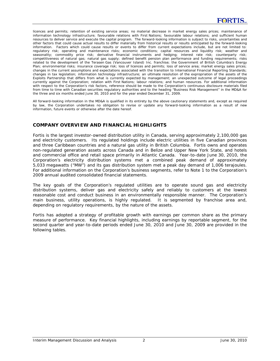*licences and permits; retention of existing service areas; no material decrease in market energy sales prices; maintenance of information technology infrastructure; favourable relations with First Nations; favourable labour relations; and sufficient human resources to deliver service and execute the capital program. The forward-looking information is subject to risks, uncertainties and other factors that could cause actual results to differ materially from historical results or results anticipated by the forward-looking information. Factors which could cause results or events to differ from current expectations include, but are not limited to: regulatory risk; operating and maintenance risks; economic conditions; capital resources and liquidity risk; weather and seasonality; commodity price risk; derivative financial instruments and hedging; interest rate risk; counterparty risk; competitiveness of natural gas; natural gas supply; defined benefit pension plan performance and funding requirements; risks related to the development of the Terasen Gas (Vancouver Island) Inc. franchise; the Government of British Columbia's Energy Plan; environmental risks; insurance coverage risk; loss of licences and permits; loss of service area; market energy sales prices; changes in the current assumptions and expectations associated with the transition to International Financial Reporting Standards; changes in tax legislation; information technology infrastructure; an ultimate resolution of the expropriation of the assets of the Exploits Partnership that differs from what is currently expected by management; an unexpected outcome of legal proceedings currently against the Corporation; relation with First Nations; labour relations; and human resources. For additional information with respect to the Corporation's risk factors, reference should be made to the Corporation's continuous disclosure materials filed from time to time with Canadian securities regulatory authorities and to the heading "Business Risk Management" in the MD&A for the three and six months ended June 30, 2010 and for the year ended December 31, 2009.* 

*All forward-looking information in the MD&A is qualified in its entirety by the above cautionary statements and, except as required by law, the Corporation undertakes no obligation to revise or update any forward-looking information as a result of new information, future events or otherwise after the date hereof.* 

# **COMPANY OVERVIEW AND FINANCIAL HIGHLIGHTS**

Fortis is the largest investor-owned distribution utility in Canada, serving approximately 2,100,000 gas and electricity customers. Its regulated holdings include electric utilities in five Canadian provinces and three Caribbean countries and a natural gas utility in British Columbia. Fortis owns and operates non-regulated generation assets across Canada and in Belize and Upper New York State, and hotels and commercial office and retail space primarily in Atlantic Canada. Year-to-date June 30, 2010, the Corporation's electricity distribution systems met a combined peak demand of approximately 5,033 megawatts ("MW") and its gas distribution system met a peak day demand of 1,006 terajoules. For additional information on the Corporation's business segments, refer to Note 1 to the Corporation's 2009 annual audited consolidated financial statements.

The key goals of the Corporation's regulated utilities are to operate sound gas and electricity distribution systems, deliver gas and electricity safely and reliably to customers at the lowest reasonable cost and conduct business in an environmentally responsible manner. The Corporation's main business, utility operations, is highly regulated. It is segmented by franchise area and, depending on regulatory requirements, by the nature of the assets.

Fortis has adopted a strategy of profitable growth with earnings per common share as the primary measure of performance. Key financial highlights, including earnings by reportable segment, for the second quarter and year-to-date periods ended June 30, 2010 and June 30, 2009 are provided in the following tables.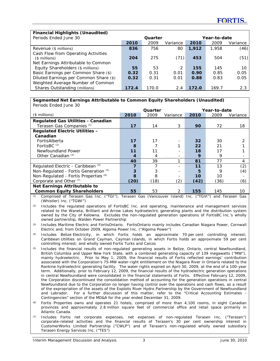| <b>Financial Highlights (Unaudited)</b>                                     |       |         |          |       |              |          |
|-----------------------------------------------------------------------------|-------|---------|----------|-------|--------------|----------|
| Periods Ended June 30                                                       |       | Quarter |          |       | Year-to-date |          |
|                                                                             | 2010  | 2009    | Variance | 2010  | 2009         | Variance |
| Revenue (\$ millions)                                                       | 836   | 756     | 80       | 1,912 | 1,958        | (46)     |
| Cash Flow from Operating Activities<br>$($$ millions)                       | 204   | 275     | (71)     | 453   | 504          | (51)     |
| Net Earnings Attributable to Common<br>Equity Shareholders (\$ millions)    | 55    | 53      | 2        | 155   | 145          | 10       |
| Basic Earnings per Common Share (\$)                                        | 0.32  | 0.31    | 0.01     | 0.90  | 0.85         | 0.05     |
| Diluted Earnings per Common Share (\$)<br>Weighted Average Number of Common | 0.32  | 0.31    | 0.01     | 0.88  | 0.83         | 0.05     |
| Shares Outstanding (millions)                                               | 172.4 | 170.0   | 2.4      | 172.0 | 169.7        | 2.3      |

#### **Segmented Net Earnings Attributable to Common Equity Shareholders (Unaudited)** Periods Ended June 30

| i chous Enucu sunc oo                     |         |      |          |                 |      |          |
|-------------------------------------------|---------|------|----------|-----------------|------|----------|
|                                           | Quarter |      |          | Year-to-date    |      |          |
| $($$ millions)                            | 2010    | 2009 | Variance | 2010            | 2009 | Variance |
| <b>Regulated Gas Utilities - Canadian</b> |         |      |          |                 |      |          |
| Terasen Gas Companies (1)                 | 17      | 14   | 3        | 90              | 72   | 18       |
| <b>Regulated Electric Utilities -</b>     |         |      |          |                 |      |          |
| Canadian                                  |         |      |          |                 |      |          |
| FortisAlberta                             | 17      | 17   |          | 32 <sub>2</sub> | 30   |          |
| FortisBC $(2)$                            | 8       |      |          | 22              | 21   |          |
| Newfoundland Power                        | 11      | 11   |          | 18              | 17   |          |
| Other Canadian (3)                        |         | 4    |          | 9               | 9    |          |
|                                           | 40      | 39   | ◢        | 81              | 77   | 4        |
| Regulated Electric - Caribbean (4)        |         |      |          | 11              | 13   | (2)      |
| Non-Regulated - Fortis Generation (5)     | 3       | 3    |          | 5               | 9    | (4)      |
| Non-Regulated - Fortis Properties (6)     | 8       | 8    |          | 10              | 10   |          |
| Corporate and Other <sup>(7)</sup>        | (20)    | (18) | (2)      | (42)            | (36) | (6)      |
| Net Earnings Attributable to              |         |      |          |                 |      |          |
| <b>Common Equity Shareholders</b>         | 55      | 53   | 2        | 155             | 145  | 10       |

*(1)* Comprised of Terasen Gas Inc. ("TGI"), Terasen Gas (Vancouver Island) Inc. ("TGVI") and Terasen Gas (Whistler) Inc. ("TGWI")

*(2)* Includes the regulated operations of FortisBC Inc. and operating, maintenance and management services related to the Waneta, Brilliant and Arrow Lakes hydroelectric generating plants and the distribution system owned by the City of Kelowna. Excludes the non-regulated generation operations of FortisBC Inc.'s wholly owned partnership, Walden Power Partnership

*(3)* Includes Maritime Electric and FortisOntario. FortisOntario mainly includes Canadian Niagara Power, Cornwall Electric and, from October 2009, Algoma Power Inc. ("Algoma Power")

*(4)* Includes Belize Electricity, in which Fortis holds an approximate 70 per cent controlling interest; Caribbean Utilities on Grand Cayman, Cayman Islands, in which Fortis holds an approximate 59 per cent controlling interest; and wholly owned Fortis Turks and Caicos

- *(5)* Includes the financial results of non-regulated generating assets in Belize, Ontario, central Newfoundland, British Columbia and Upper New York State, with a combined generating capacity of 139 megawatts ("MW"), mainly hydroelectric. Prior to May 1, 2009, the financial results of Fortis reflected earnings' contribution associated with the Corporation's 75-MW water-right entitlement on the Niagara River in Ontario related to the Rankine hydroelectric generating facility. The water rights expired on April 30, 2009, at the end of a 100-year term. Additionally, prior to February 12, 2009, the financial results of the hydroelectric generation operations in central Newfoundland were consolidated in the financial statements of Fortis. Effective February 12, 2009, the Corporation discontinued the consolidation method of accounting for the generation operations in central Newfoundland due to the Corporation no longer having control over the operations and cash flows, as a result of the expropriation of the assets of the Exploits River Hydro Partnership by the Government of Newfoundland and Labrador. For a further discussion of this matter, refer to the "Critical Accounting Estimates Contingencies" section of the MD&A for the year ended December 31, 2009.
- Fortis Properties owns and operates 21 hotels, comprised of more than 4,100 rooms, in eight Canadian provinces and approximately 2.8 million square feet of commercial office and retail space primarily in Atlantic Canada.
- *(7)* Includes Fortis net corporate expenses, net expenses of non-regulated Terasen Inc. ("Terasen") corporate-related activities and the financial results of Terasen's 30 per cent ownership interest in CustomerWorks Limited Partnership ("CWLP") and of Terasen's non-regulated wholly owned subsidiary Terasen Energy Services Inc. ("TES")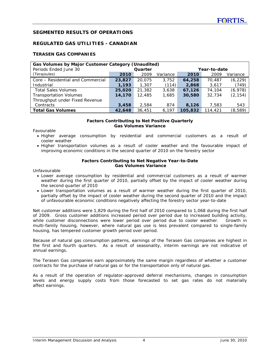# **SEGMENTED RESULTS OF OPERATIONS**

# **REGULATED GAS UTILITIES - CANADIAN**

# **TERASEN GAS COMPANIES**

| Gas Volumes by Major Customer Category (Unaudited) |        |         |          |              |         |          |  |  |  |  |  |  |
|----------------------------------------------------|--------|---------|----------|--------------|---------|----------|--|--|--|--|--|--|
| Periods Ended June 30                              |        | Quarter |          | Year-to-date |         |          |  |  |  |  |  |  |
| (Terajoules)                                       | 2010   | 2009    | Variance | 2010         | 2009    | Variance |  |  |  |  |  |  |
| Core – Residential and Commercial                  | 23,827 | 20,075  | 3,752    | 64,258       | 70.487  | (6, 229) |  |  |  |  |  |  |
| Industrial                                         | 1,193  | 1,307   | (114)    | 2,868        | 3,617   | (749)    |  |  |  |  |  |  |
| <b>Total Sales Volumes</b>                         | 25,020 | 21,382  | 3,638    | 67,126       | 74,104  | (6,978)  |  |  |  |  |  |  |
| <b>Transportation Volumes</b>                      | 14,170 | 12,485  | 1,685    | 30,580       | 32.734  | (2, 154) |  |  |  |  |  |  |
| Throughput under Fixed Revenue                     |        |         |          |              |         |          |  |  |  |  |  |  |
| Contracts                                          | 3,458  | 2.584   | 874      | 8,126        | 7,583   | 543      |  |  |  |  |  |  |
| <b>Total Gas Volumes</b>                           | 42,648 | 36,451  | 6.197    | 105,832      | 114,421 | (8,589)  |  |  |  |  |  |  |

#### **Factors Contributing to Net Positive Quarterly Gas Volumes Variance**

Favourable

- Higher average consumption by residential and commercial customers as a result of cooler weather
- Higher transportation volumes as a result of cooler weather and the favourable impact of improving economic conditions in the second quarter of 2010 on the forestry sector

#### **Factors Contributing to Net Negative Year-to-Date Gas Volumes Variance**

Unfavourable

- Lower average consumption by residential and commercial customers as a result of warmer weather during the first quarter of 2010, partially offset by the impact of cooler weather during the second quarter of 2010
- Lower transportation volumes as a result of warmer weather during the first quarter of 2010, partially offset by the impact of cooler weather during the second quarter of 2010 and the impact of unfavourable economic conditions negatively affecting the forestry sector year-to-date

Net customer additions were 1,829 during the first half of 2010 compared to 1,068 during the first half of 2009. Gross customer additions increased period over period due to increased building activity, while customer disconnections were lower period over period due to cooler weather. Growth in multi-family housing, however, where natural gas use is less prevalent compared to single-family housing, has tempered customer growth period over period.

Because of natural gas consumption patterns, earnings of the Terasen Gas companies are highest in the first and fourth quarters. As a result of seasonality, interim earnings are not indicative of annual earnings.

The Terasen Gas companies earn approximately the same margin regardless of whether a customer contracts for the purchase of natural gas or for the transportation only of natural gas.

As a result of the operation of regulator-approved deferral mechanisms, changes in consumption levels and energy supply costs from those forecasted to set gas rates do not materially affect earnings.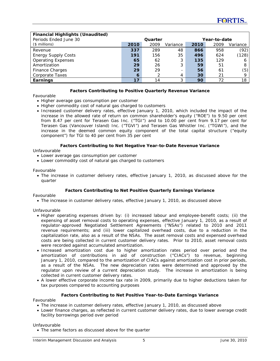| <b>Financial Highlights (Unaudited)</b><br>Periods Ended June 30 |      | Quarter |          |      | Year-to-date |          |
|------------------------------------------------------------------|------|---------|----------|------|--------------|----------|
| $($$ millions)                                                   | 2010 | 2009    | Variance | 2010 | 2009         | Variance |
| Revenue                                                          | 337  | 289     | 48       | 866  | 958          | (92)     |
| <b>Energy Supply Costs</b>                                       | 191  | 156     | 35       | 496  | 624          | (128)    |
| <b>Operating Expenses</b>                                        | 65   | 62      | 3        | 135  | 129          | 6        |
| Amortization                                                     | 29   | 26      | 3        | 59   | 51           | 8        |
| <b>Finance Charges</b>                                           | 29   | 29      |          | 56   | 61           | (5)      |
| <b>Corporate Taxes</b>                                           | 6    |         | 4        | 30   | 21           | Q        |
| Earnings                                                         | 17   | 14      | 3        | 90   | 72           | 18       |

#### **Factors Contributing to Positive Quarterly Revenue Variance**

Favourable

- Higher average gas consumption per customer
- Higher commodity cost of natural gas charged to customers
- Increased customer delivery rates, effective January 1, 2010, which included the impact of the increase in the allowed rate of return on common shareholder's equity ("ROE") to 9.50 per cent from 8.47 per cent for Terasen Gas Inc. ("TGI") and to 10.00 per cent from 9.17 per cent for Terasen Gas (Vancouver Island) Inc. ("TGVI") and Terasen Gas Whistler Inc. ("TGWI"), and the increase in the deemed common equity component of the total capital structure ("equity component") for TGI to 40 per cent from 35 per cent

#### **Factors Contributing to Net Negative Year-to-Date Revenue Variance**

#### Unfavourable

- Lower average gas consumption per customer
- Lower commodity cost of natural gas charged to customers

#### Favourable

• The increase in customer delivery rates, effective January 1, 2010, as discussed above for the quarter

#### **Factors Contributing to Net Positive Quarterly Earnings Variance**

Favourable

• The increase in customer delivery rates, effective January 1, 2010, as discussed above

#### Unfavourable

- Higher operating expenses driven by: (i) increased labour and employee-benefit costs; (ii) the expensing of asset removal costs to operating expenses, effective January 1, 2010, as a result of regulator-approved Negotiated Settlement Agreements ("NSAs") related to 2010 and 2011 revenue requirements; and (iii) lower capitalized overhead costs, due to a reduction in the capitalization rate, also as a result of the NSAs. The asset removal costs and expensed overhead costs are being collected in current customer delivery rates. Prior to 2010, asset removal costs were recorded against accumulated amortization.
- Increased amortization cost due to higher amortization rates period over period and the amortization of contributions in aid of construction ("CIACs") to revenue, beginning January 1, 2010, compared to the amortization of CIACs against amortization cost in prior periods, as a result of the NSAs. The new depreciation rates were determined and approved by the regulator upon review of a current depreciation study. The increase in amortization is being collected in current customer delivery rates.
- A lower effective corporate income tax rate in 2009, primarily due to higher deductions taken for tax purposes compared to accounting purposes

#### **Factors Contributing to Net Positive Year-to-Date Earnings Variance**

Favourable

- The increase in customer delivery rates, effective January 1, 2010, as discussed above
- Lower finance charges, as reflected in current customer delivery rates, due to lower average credit facility borrowings period over period

Unfavourable

• The same factors as discussed above for the quarter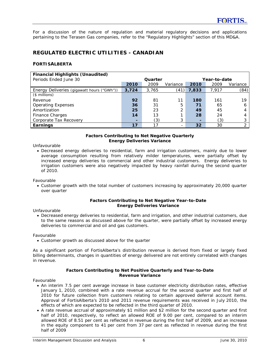For a discussion of the nature of regulation and material regulatory decisions and applications pertaining to the Terasen Gas companies, refer to the "Regulatory Highlights" section of this MD&A.

# **REGULATED ELECTRIC UTILITIES - CANADIAN**

#### **FORTISALBERTA**

| <b>Financial Highlights (Unaudited)</b>    |       |         |          |              |       |                |
|--------------------------------------------|-------|---------|----------|--------------|-------|----------------|
| Periods Ended June 30                      |       | Quarter |          | Year-to-date |       |                |
|                                            | 2010  | 2009    | Variance | 2010         | 2009  | Variance       |
| Energy Deliveries (gigawatt hours ("GWh")) | 3,724 | 3,765   | (41)     | 7,833        | 7.917 | (84)           |
| $($$ millions)                             |       |         |          |              |       |                |
| Revenue                                    | 92    | 81      | 11       | 180          | 161   | 19             |
| <b>Operating Expenses</b>                  | 36    | 31      | 5        | 71           | 65    | 6              |
| Amortization                               | 25    | 23      | 2        | 49           | 45    | 4              |
| <b>Finance Charges</b>                     | 14    | 13      |          | 28           | 24    | 4              |
| Corporate Tax Recovery                     | -     | (3)     | 3        | -            | (3)   | 3              |
| Earnings                                   | 17    | 17      |          | 32           | 30    | $\overline{2}$ |

#### **Factors Contributing to Net Negative Quarterly Energy Deliveries Variance**

Unfavourable

• Decreased energy deliveries to residential, farm and irrigation customers, mainly due to lower average consumption resulting from relatively milder temperatures, were partially offset by increased energy deliveries to commercial and other industrial customers. Energy deliveries to irrigation customers were also negatively impacted by heavy rainfall during the second quarter of 2010.

Favourable

• Customer growth with the total number of customers increasing by approximately 20,000 quarter over quarter

#### **Factors Contributing to Net Negative Year-to-Date Energy Deliveries Variance**

Unfavourable

• Decreased energy deliveries to residential, farm and irrigation, and other industrial customers, due to the same reasons as discussed above for the quarter, were partially offset by increased energy deliveries to commercial and oil and gas customers.

Favourable

• Customer growth as discussed above for the quarter

As a significant portion of FortisAlberta's distribution revenue is derived from fixed or largely fixed billing determinants, changes in quantities of energy delivered are not entirely correlated with changes in revenue.

#### **Factors Contributing to Net Positive Quarterly and Year-to-Date Revenue Variance**

Favourable

- An interim 7.5 per cent average increase in base customer electricity distribution rates, effective January 1, 2010, combined with a rate revenue accrual for the second quarter and first half of 2010 for future collection from customers relating to certain approved deferral account items. Approval of FortisAlberta's 2010 and 2011 revenue requirements was received in July 2010, the effects of which are expected to be reflected in the third quarter of 2010.
- A rate revenue accrual of approximately \$1 million and \$2 million for the second quarter and first half of 2010, respectively, to reflect an allowed ROE of 9.00 per cent, compared to an interim allowed ROE of 8.51 per cent as reflected in revenue during the first half of 2009, and an increase in the equity component to 41 per cent from 37 per cent as reflected in revenue during the first half of 2009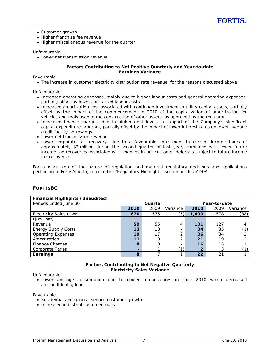- Customer growth
- Higher franchise fee revenue
- Higher miscellaneous revenue for the quarter

#### Unfavourable

• Lower net transmission revenue

#### **Factors Contributing to Net Positive Quarterly and Year-to-date Earnings Variance**

Favourable

• The increase in customer electricity distribution rate revenue, for the reasons discussed above

Unfavourable

- Increased operating expenses, mainly due to higher labour costs and general operating expenses, partially offset by lower contracted labour costs
- Increased amortization cost associated with continued investment in utility capital assets, partially offset by the impact of the commencement in 2010 of the capitalization of amortization for vehicles and tools used in the construction of other assets, as approved by the regulator
- Increased finance charges, due to higher debt levels in support of the Company's significant capital expenditure program, partially offset by the impact of lower interest rates on lower average credit facility borrowings
- Lower net transmission revenue
- Lower corporate tax recovery, due to a favourable adjustment to current income taxes of approximately \$2 million during the second quarter of last year, combined with lower future income tax recoveries associated with changes in net customer deferrals subject to future income tax recoveries

For a discussion of the nature of regulation and material regulatory decisions and applications pertaining to FortisAlberta, refer to the "Regulatory Highlights" section of this MD&A.

| <b>Financial Highlights (Unaudited)</b> |      |         |          |       |              |          |
|-----------------------------------------|------|---------|----------|-------|--------------|----------|
| Periods Ended June 30                   |      | Quarter |          |       | Year-to-date |          |
|                                         | 2010 | 2009    | Variance | 2010  | 2009         | Variance |
| Electricity Sales (GWh)                 | 670  | 675     | (5)      | 1,490 | 1,578        | (88)     |
| $($$ millions)                          |      |         |          |       |              |          |
| Revenue                                 | 59   | 55      | 4        | 131   | 127          |          |
| <b>Energy Supply Costs</b>              | 13   | 13      |          | 34    | 35           | (1)      |
| <b>Operating Expenses</b>               | 19   | 17      | ∍        | 36    | 34           | ◠        |
| Amortization                            | 11   | 9       | 2        | 21    | 19           | ◠        |
| Finance Charges                         | 8    | 8       |          | 16    | 15           |          |
| Corporate Taxes                         |      |         | (1)      | 2     | 3            |          |
| Earnings                                | 8    |         |          | 22    | 21           |          |

# **FORTISBC**

## **Factors Contributing to Net Negative Quarterly Electricity Sales Variance**

Unfavourable

• Lower average consumption due to cooler temperatures in June 2010 which decreased air-conditioning load

Favourable

- Residential and general service customer growth
- Increased industrial customer loads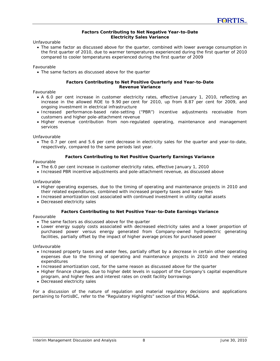#### **Factors Contributing to Net Negative Year-to-Date Electricity Sales Variance**

Unfavourable

• The same factor as discussed above for the quarter, combined with lower average consumption in the first quarter of 2010, due to warmer temperatures experienced during the first quarter of 2010 compared to cooler temperatures experienced during the first quarter of 2009

#### Favourable

• The same factors as discussed above for the quarter

#### **Factors Contributing to Net Positive Quarterly and Year-to-Date Revenue Variance**

#### Favourable

- A 6.0 per cent increase in customer electricity rates, effective January 1, 2010, reflecting an increase in the allowed ROE to 9.90 per cent for 2010, up from 8.87 per cent for 2009, and ongoing investment in electrical infrastructure
- Increased performance-based rate-setting ("PBR") incentive adjustments receivable from customers and higher pole-attachment revenue
- Higher revenue contribution from non-regulated operating, maintenance and management services

Unfavourable

• The 0.7 per cent and 5.6 per cent decrease in electricity sales for the quarter and year-to-date, respectively, compared to the same periods last year.

#### **Factors Contributing to Net Positive Quarterly Earnings Variance**

#### Favourable

- The 6.0 per cent increase in customer electricity rates, effective January 1, 2010
- Increased PBR incentive adjustments and pole-attachment revenue, as discussed above

#### Unfavourable

- Higher operating expenses, due to the timing of operating and maintenance projects in 2010 and their related expenditures, combined with increased property taxes and water fees
- Increased amortization cost associated with continued investment in utility capital assets
- Decreased electricity sales

#### **Factors Contributing to Net Positive Year-to-Date Earnings Variance**

Favourable

- The same factors as discussed above for the quarter
- Lower energy supply costs associated with decreased electricity sales and a lower proportion of purchased power versus energy generated from Company-owned hydroelectric generating facilities, partially offset by the impact of higher average prices for purchased power

Unfavourable

- Increased property taxes and water fees, partially offset by a decrease in certain other operating expenses due to the timing of operating and maintenance projects in 2010 and their related expenditures
- Increased amortization cost, for the same reason as discussed above for the quarter
- Higher finance charges, due to higher debt levels in support of the Company's capital expenditure program, and higher fees and interest rates on credit facility borrowings
- Decreased electricity sales

For a discussion of the nature of regulation and material regulatory decisions and applications pertaining to FortisBC, refer to the "Regulatory Highlights" section of this MD&A.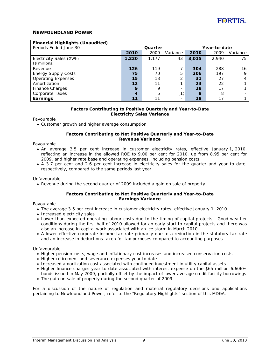# **NEWFOUNDLAND POWER**

| <b>Financial Highlights (Unaudited)</b> |                  |         |                |              |       |          |
|-----------------------------------------|------------------|---------|----------------|--------------|-------|----------|
| Periods Ended June 30                   |                  | Quarter |                | Year-to-date |       |          |
|                                         | 2010             | 2009    | Variance       | 2010         | 2009  | Variance |
| Electricity Sales (GWh)                 | 1,220            | 1.177   | 43             | 3,015        | 2.940 | 75       |
| $($$ millions)                          |                  |         |                |              |       |          |
| Revenue                                 | 126              | 119     |                | 304          | 288   | 16       |
| <b>Energy Supply Costs</b>              | 75               | 70      | 5              | 206          | 197   | Q        |
| <b>Operating Expenses</b>               | 15               | 13      | ⌒              | 31           | 27    |          |
| Amortization                            | 12               | 11      |                | 23           | 22    |          |
| Finance Charges                         | 9                | 9       |                | 18           | 17    |          |
| Corporate Taxes                         | $\boldsymbol{A}$ | 5       | $^{\prime}$ 1) | 8            | 8     |          |
| Earnings                                | 11               |         |                | 18           | 17    |          |

#### **Factors Contributing to Positive Quarterly and Year-to-Date Electricity Sales Variance**

Favourable

• Customer growth and higher average consumption

#### **Factors Contributing to Net Positive Quarterly and Year-to-Date Revenue Variance**

Favourable

- An average 3.5 per cent increase in customer electricity rates, effective January 1, 2010, reflecting an increase in the allowed ROE to 9.00 per cent for 2010, up from 8.95 per cent for 2009, and higher rate base and operating expenses, including pension costs
- A 3.7 per cent and 2.6 per cent increase in electricity sales for the quarter and year to date, respectively, compared to the same periods last year

#### Unfavourable

• Revenue during the second quarter of 2009 included a gain on sale of property

#### **Factors Contributing to Net Positive Quarterly and Year-to-Date Earnings Variance**

Favourable

- The average 3.5 per cent increase in customer electricity rates, effective January 1, 2010
- Increased electricity sales
- Lower than expected operating labour costs due to the timing of capital projects. Good weather conditions during the first half of 2010 allowed for an early start to capital projects and there was also an increase in capital work associated with an ice storm in March 2010.
- A lower effective corporate income tax rate primarily due to a reduction in the statutory tax rate and an increase in deductions taken for tax purposes compared to accounting purposes

#### Unfavourable

- Higher pension costs, wage and inflationary cost increases and increased conservation costs
- Higher retirement and severance expenses year to date
- Increased amortization cost associated with continued investment in utility capital assets
- Higher finance charges year to date associated with interest expense on the \$65 million 6.606% bonds issued in May 2009, partially offset by the impact of lower average credit facility borrowings
- The gain on sale of property during the second quarter of 2009

For a discussion of the nature of regulation and material regulatory decisions and applications pertaining to Newfoundland Power, refer to the "Regulatory Highlights" section of this MD&A.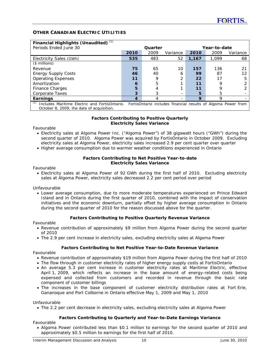# **OTHER CANADIAN ELECTRIC UTILITIES**

| Financial Highlights (Unaudited) (1)                 |      |         |                                                               |              |       |          |
|------------------------------------------------------|------|---------|---------------------------------------------------------------|--------------|-------|----------|
| Periods Ended June 30                                |      | Quarter |                                                               | Year-to-date |       |          |
|                                                      | 2010 | 2009    | Variance                                                      | 2010         | 2009  | Variance |
| Electricity Sales (GWh)                              | 535  | 483     | 52                                                            | 1.167        | 1.099 | 68       |
| $($$ millions)                                       |      |         |                                                               |              |       |          |
| Revenue                                              | 75   | 65      | 10                                                            | 157          | 136   | 21       |
| <b>Energy Supply Costs</b>                           | 46   | 40      | 6                                                             | 99           | 87    | 12       |
| <b>Operating Expenses</b>                            | 11   | Q       |                                                               | 22           | 17    | 5        |
| Amortization                                         | 6    | 5       |                                                               | 11           | 9     |          |
| Finance Charges                                      | 5    |         |                                                               | 11           |       |          |
| Corporate Taxes                                      | 3    |         |                                                               | 5            | 5     |          |
| Earnings                                             | 4    |         |                                                               | 9            | Q     |          |
| (1)<br>Includes Maritime Electric and FortisOntario. |      |         | FortisOntario includes financial results of Algoma Power from |              |       |          |
| October 8, 2009, the date of acquisition.            |      |         |                                                               |              |       |          |

#### **Factors Contributing to Positive Quarterly Electricity Sales Variance**

Favourable

- Electricity sales at Algoma Power Inc. ("Algoma Power") of 38 gigawatt hours ("GWh") during the second quarter of 2010. Algoma Power was acquired by FortisOntario in October 2009. Excluding electricity sales at Algoma Power, electricity sales increased 2.9 per cent quarter over quarter
- Higher average consumption due to warmer weather conditions experienced in Ontario

#### **Factors Contributing to Net Positive Year-to-date Electricity Sales Variance**

Favourable

• Electricity sales at Algoma Power of 92 GWh during the first half of 2010. Excluding electricity sales at Algoma Power, electricity sales decreased 2.2 per cent period over period

Unfavourable

• Lower average consumption, due to more moderate temperatures experienced on Prince Edward Island and in Ontario during the first quarter of 2010, combined with the impact of conservation initiatives and the economic downturn, partially offset by higher average consumption in Ontario during the second quarter of 2010 for the reason discussed above for the quarter.

#### **Factors Contributing to Positive Quarterly Revenue Variance**

Favourable

- Revenue contribution of approximately \$9 million from Algoma Power during the second quarter of 2010
- The 2.9 per cent increase in electricity sales, excluding electricity sales at Algoma Power

#### **Factors Contributing to Net Positive Year-to-Date Revenue Variance**

Favourable

- Revenue contribution of approximately \$19 million from Algoma Power during the first half of 2010
- The flow through in customer electricity rates of higher energy supply costs at FortisOntario
- An average 5.3 per cent increase in customer electricity rates at Maritime Electric, effective April 1, 2009, which reflects an increase in the base amount of energy-related costs being expensed and collected from customers and recorded in revenue through the basic rate component of customer billings
- The increases in the base component of customer electricity distribution rates at Fort Erie, Gananoque and Port Colborne in Ontario effective May 1, 2009 and May 1, 2010

Unfavourable

• The 2.2 per cent decrease in electricity sales, excluding electricity sales at Algoma Power

#### **Factors Contributing to Quarterly and Year-to-Date Earnings Variance**

Favourable

• Algoma Power contributed less than \$0.1 million to earnings for the second quarter of 2010 and approximately \$0.5 million to earnings for the first half of 2010.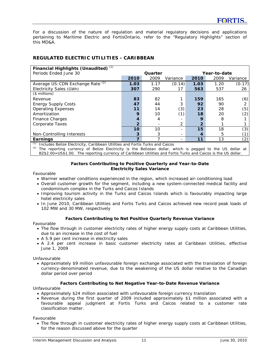For a discussion of the nature of regulation and material regulatory decisions and applications pertaining to Maritime Electric and FortisOntario, refer to the "Regulatory Highlights" section of this MD&A.

# **REGULATED ELECTRIC UTILITIES - CARIBBEAN**

| Financial Highlights (Unaudited) (1)         |                 |         |          |                |      |                |
|----------------------------------------------|-----------------|---------|----------|----------------|------|----------------|
| Periods Ended June 30                        |                 | Quarter |          | Year-to-date   |      |                |
|                                              | 2010            | 2009    | Variance | 2010           | 2009 | Variance       |
| Average US: CDN Exchange Rate <sup>(2)</sup> | 1.03            | 1.17    | (0.14)   | 1.03           | 1.20 | (0.17)         |
| Electricity Sales (GWh)                      | 307             | 290     |          | 563            | 537  | 26             |
| $($$ millions)                               |                 |         |          |                |      |                |
| Revenue                                      | 83              | 82      |          | 159            | 165  | (6)            |
| <b>Energy Supply Costs</b>                   | 47              | 44      |          | 92             | 90   | $\overline{2}$ |
| <b>Operating Expenses</b>                    | 11              | 14      | (3)      | 23             | 28   | (5)            |
| Amortization                                 | 9               | 10      | (1)      | 18             | 20   | (2)            |
| Finance Charges                              | 4               | 4       |          | 9              | 8    |                |
| Corporate Taxes                              | $\overline{2}$  |         | 2        | $\overline{2}$ |      |                |
|                                              | 10 <sup>1</sup> | 10      |          | 15             | 18   | (3)            |
| Non-Controlling Interests                    | 3               | 3       |          | 4              | 5    |                |
| Earnings<br>2.4.3                            | 7               |         |          | 11             | 13   | (2)            |

*(1)* Includes Belize Electricity, Caribbean Utilities and Fortis Turks and Caicos

*(2)* The reporting currency of Belize Electricity is the Belizean dollar, which is pegged to the US dollar at

BZ\$2.00=US\$1.00. The reporting currency of Caribbean Utilities and Fortis Turks and Caicos is the US dollar.

#### **Factors Contributing to Positive Quarterly and Year-to-Date Electricity Sales Variance**

Favourable

- Warmer weather conditions experienced in the region, which increased air-conditioning load
- Overall customer growth for the segment, including a new system-connected medical facility and condominium complex in the Turks and Caicos Islands
- Improving tourism activity in the Turks and Caicos Islands which is favourably impacting large hotel electricity sales
- In June 2010, Caribbean Utilities and Fortis Turks and Caicos achieved new record peak loads of 102 MW and 30 MW, respectively

#### **Factors Contributing to Net Positive Quarterly Revenue Variance**

Favourable

- The flow through in customer electricity rates of higher energy supply costs at Caribbean Utilities, due to an increase in the cost of fuel
- A 5.9 per cent increase in electricity sales
- A 2.4 per cent increase in basic customer electricity rates at Caribbean Utilities, effective June 1, 2009

Unfavourable

• Approximately \$9 million unfavourable foreign exchange associated with the translation of foreign currency-denominated revenue, due to the weakening of the US dollar relative to the Canadian dollar period over period

#### **Factors Contributing to Net Negative Year-to-Date Revenue Variance**

Unfavourable

- Approximately \$24 million associated with unfavourable foreign currency translation
- Revenue during the first quarter of 2009 included approximately \$1 million associated with a favourable appeal judgment at Fortis Turks and Caicos related to a customer rate classification matter.

Favourable

• The flow through in customer electricity rates of higher energy supply costs at Caribbean Utilities, for the reason discussed above for the quarter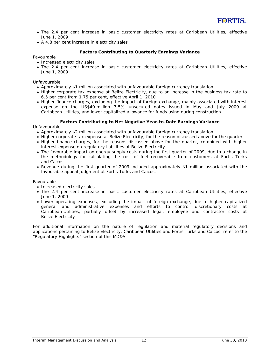- The 2.4 per cent increase in basic customer electricity rates at Caribbean Utilities, effective June 1, 2009
- A 4.8 per cent increase in electricity sales

#### **Factors Contributing to Quarterly Earnings Variance**

Favourable

- Increased electricity sales
- The 2.4 per cent increase in basic customer electricity rates at Caribbean Utilities, effective June 1, 2009

Unfavourable

- Approximately \$1 million associated with unfavourable foreign currency translation
- Higher corporate tax expense at Belize Electricity, due to an increase in the business tax rate to 6.5 per cent from 1.75 per cent, effective April 1, 2010
- Higher finance charges, excluding the impact of foreign exchange, mainly associated with interest expense on the US\$40 million 7.5% unsecured notes issued in May and July 2009 at Caribbean Utilities, and lower capitalized allowance for funds using during construction

#### **Factors Contributing to Net Negative Year-to-Date Earnings Variance**

Unfavourable

- Approximately \$2 million associated with unfavourable foreign currency translation
- Higher corporate tax expense at Belize Electricity, for the reason discussed above for the quarter
- Higher finance charges, for the reasons discussed above for the quarter, combined with higher interest expense on regulatory liabilities at Belize Electricity
- The favourable impact on energy supply costs during the first quarter of 2009, due to a change in the methodology for calculating the cost of fuel recoverable from customers at Fortis Turks and Caicos
- Revenue during the first quarter of 2009 included approximately \$1 million associated with the favourable appeal judgment at Fortis Turks and Caicos.

Favourable

- Increased electricity sales
- The 2.4 per cent increase in basic customer electricity rates at Caribbean Utilities, effective June 1, 2009
- Lower operating expenses, excluding the impact of foreign exchange, due to higher capitalized general and administrative expenses and efforts to control discretionary costs at Caribbean Utilities, partially offset by increased legal, employee and contractor costs at Belize Electricity

For additional information on the nature of regulation and material regulatory decisions and applications pertaining to Belize Electricity, Caribbean Utilities and Fortis Turks and Caicos, refer to the "Regulatory Highlights" section of this MD&A.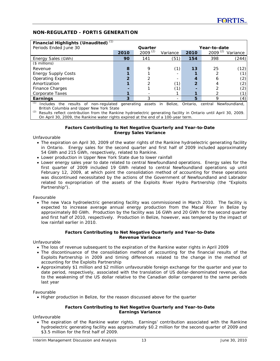# **NON-REGULATED - FORTIS GENERATION**

| Financial Highlights (Unaudited) $(1)$                                                                   |                         |              |          |              |              |          |  |
|----------------------------------------------------------------------------------------------------------|-------------------------|--------------|----------|--------------|--------------|----------|--|
| Periods Ended June 30                                                                                    | Quarter<br>Year-to-date |              |          |              |              |          |  |
|                                                                                                          | 2010                    | $2009^{(2)}$ | Variance | 2010         | $2009^{(2)}$ | Variance |  |
| Energy Sales (GWh)                                                                                       | 90                      | 141          | (51)     | 154          | 398          | (244)    |  |
| $($$ millions)                                                                                           |                         |              |          |              |              |          |  |
| Revenue                                                                                                  | 8                       | 9            | (1)      | 13           | 25           | (12)     |  |
| <b>Energy Supply Costs</b>                                                                               |                         |              |          |              |              |          |  |
| <b>Operating Expenses</b>                                                                                | o.                      |              |          |              |              | (2)      |  |
| Amortization                                                                                             |                         |              | (1)      | $\mathbf{2}$ |              | (2)      |  |
| Finance Charges                                                                                          |                         |              | (1)      |              |              | (2)      |  |
| Corporate Taxes                                                                                          |                         |              |          |              |              |          |  |
| Earnings                                                                                                 | 3                       | 3            |          | 5            | Q            | (4)      |  |
| (1)<br>Includes the results of non-regulated generating assets in Belize, Ontario, central Newfoundland, |                         |              |          |              |              |          |  |
| British Columbia and Upper New York State                                                                |                         |              |          |              |              |          |  |

*(2)* Results reflect contribution from the Rankine hydroelectric generating facility in Ontario until April 30, 2009. On April 30, 2009, the Rankine water rights expired at the end of a 100-year term.

#### **Factors Contributing to Net Negative Quarterly and Year-to-Date Energy Sales Variance**

#### Unfavourable

- The expiration on April 30, 2009 of the water rights of the Rankine hydroelectric generating facility in Ontario. Energy sales for the second quarter and first half of 2009 included approximately 54 GWh and 215 GWh, respectively, related to Rankine.
- Lower production in Upper New York State due to lower rainfall
- Lower energy sales year to date related to central Newfoundland operations. Energy sales for the first quarter of 2009 included 19 GWh related to central Newfoundland operations up until February 12, 2009, at which point the consolidation method of accounting for these operations was discontinued necessitated by the actions of the Government of Newfoundland and Labrador related to expropriation of the assets of the Exploits River Hydro Partnership (the "Exploits Partnership").

#### Favourable

• The new Vaca hydroelectric generating facility was commissioned in March 2010. The facility is expected to increase average annual energy production from the Macal River in Belize by approximately 80 GWh. Production by the facility was 16 GWh and 20 GWh for the second quarter and first half of 2010, respectively. Production in Belize, however, was tempered by the impact of low rainfall earlier in 2010.

#### **Factors Contributing to Net Negative Quarterly and Year-to-Date Revenue Variance**

Unfavourable

- The loss of revenue subsequent to the expiration of the Rankine water rights in April 2009
- The discontinuance of the consolidation method of accounting for the financial results of the Exploits Partnership in 2009 and timing differences related to the change in the method of accounting for the Exploits Partnership
- Approximately \$1 million and \$2 million unfavourable foreign exchange for the quarter and year to date period, respectively, associated with the translation of US dollar-denominated revenue, due to the weakening of the US dollar relative to the Canadian dollar compared to the same periods last year

Favourable

• Higher production in Belize, for the reason discussed above for the quarter

#### **Factors Contributing to Net Negative Quarterly and Year-to-Date Earnings Variance**

Unfavourable

• The expiration of the Rankine water rights. Earnings' contribution associated with the Rankine hydroelectric generating facility was approximately \$0.2 million for the second quarter of 2009 and \$3.5 million for the first half of 2009.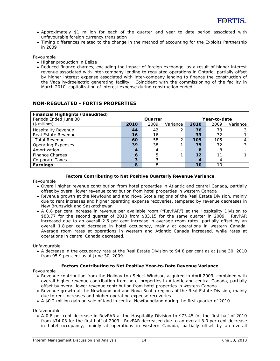- Approximately \$1 million for each of the quarter and year to date period associated with unfavourable foreign currency translation
- Timing differences related to the change in the method of accounting for the Exploits Partnership in 2009

Favourable

- Higher production in Belize
- Reduced finance charges, excluding the impact of foreign exchange, as a result of higher interest revenue associated with inter-company lending to regulated operations in Ontario, partially offset by higher interest expense associated with inter-company lending to finance the construction of the Vaca hydroelectric generating facility. Coincident with the commissioning of the facility in March 2010, capitalization of interest expense during construction ended.

| <b>Financial Highlights (Unaudited)</b><br>Periods Ended June 30 | Quarter<br>Year-to-date |      |          |      |      |          |
|------------------------------------------------------------------|-------------------------|------|----------|------|------|----------|
| $($$ millions)                                                   | 2010                    | 2009 | Variance | 2010 | 2009 | Variance |
| <b>Hospitality Revenue</b>                                       | 44                      | 42   | 2        | 76   | 73   |          |
| Real Estate Revenue                                              | 16                      | 16   |          | 33   | 32   |          |
| Total Revenue                                                    | 60                      | 58   | っ        | 109  | 105  |          |
| <b>Operating Expenses</b>                                        | 39                      | 38   |          | 75   | 72   |          |
| Amortization                                                     | 4                       |      |          | 8    | 8    |          |
| <b>Finance Charges</b>                                           | 6                       |      |          | 12   | 11   |          |
| Corporate Taxes                                                  | 3                       |      |          | 4    |      |          |
| Earnings                                                         | 8                       |      |          | 10   | 10   |          |

# **NON-REGULATED - FORTIS PROPERTIES**

#### **Factors Contributing to Net Positive Quarterly Revenue Variance**

Favourable

- Overall higher revenue contribution from hotel properties in Atlantic and central Canada, partially offset by overall lower revenue contribution from hotel properties in western Canada
- Revenue growth at the Newfoundland and Nova Scotia regions of the Real Estate Division, mainly due to rent increases and higher operating expense recoveries, tempered by revenue decreases in New Brunswick and Saskatchewan
- A 0.8 per cent increase in revenue per available room ("RevPAR") at the Hospitality Division to \$83.77 for the second quarter of 2010 from \$83.15 for the same quarter in 2009. RevPAR increased due to an overall 2.6 per cent increase in average room rates, partially offset by an overall 1.8 per cent decrease in hotel occupancy, mainly at operations in western Canada. Average room rates at operations in western and Atlantic Canada increased, while rates at operations in central Canada decreased.

Unfavourable

• A decrease in the occupancy rate at the Real Estate Division to 94.8 per cent as at June 30, 2010 from 95.9 per cent as at June 30, 2009

#### **Factors Contributing to Net Positive Year-to-Date Revenue Variance**

Favourable

- Revenue contribution from the Holiday Inn Select Windsor, acquired in April 2009, combined with overall higher revenue contribution from hotel properties in Atlantic and central Canada, partially offset by overall lower revenue contribution from hotel properties in western Canada
- Revenue growth at the Newfoundland and Nova Scotia regions of the Real Estate Division, mainly due to rent increases and higher operating expense recoveries
- A \$0.2 million gain on sale of land in central Newfoundland during the first quarter of 2010

Unfavourable

• A 0.8 per cent decrease in RevPAR at the Hospitality Division to \$73.45 for the first half of 2010 from \$74.03 for the first half of 2009. RevPAR decreased due to an overall 3.0 per cent decrease in hotel occupancy, mainly at operations in western Canada, partially offset by an overall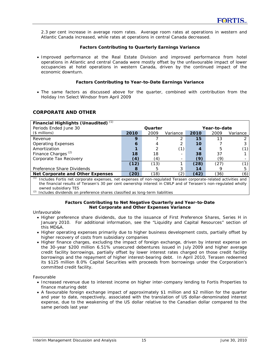2.3 per cent increase in average room rates. Average room rates at operations in western and Atlantic Canada increased, while rates at operations in central Canada decreased.

#### **Factors Contributing to Quarterly Earnings Variance**

• Improved performance at the Real Estate Division and improved performance from hotel operations in Atlantic and central Canada were mostly offset by the unfavourable impact of lower occupancies at hotel operations in western Canada, driven by the continued impact of the economic downturn.

## **Factors Contributing to Year-to-Date Earnings Variance**

• The same factors as discussed above for the quarter, combined with contribution from the Holiday Inn Select Windsor from April 2009

# **CORPORATE AND OTHER**

| Financial Highlights (Unaudited) $(1)$                                                                                                                                                                                                                           |      |         |          |              |      |          |  |
|------------------------------------------------------------------------------------------------------------------------------------------------------------------------------------------------------------------------------------------------------------------|------|---------|----------|--------------|------|----------|--|
| Periods Ended June 30                                                                                                                                                                                                                                            |      | Quarter |          | Year-to-date |      |          |  |
| $($$ millions)                                                                                                                                                                                                                                                   | 2010 | 2009    | Variance | 2010         | 2009 | Variance |  |
| Revenue                                                                                                                                                                                                                                                          | 9    |         |          | 15           | 13   |          |  |
| <b>Operating Expenses</b>                                                                                                                                                                                                                                        | 6    |         |          | 10           |      |          |  |
| Amortization                                                                                                                                                                                                                                                     |      |         | (1)      |              | 5    |          |  |
| Finance Charges <sup>(2)</sup>                                                                                                                                                                                                                                   | 18   | 18      |          | 38           | 37   |          |  |
| Corporate Tax Recovery                                                                                                                                                                                                                                           | (4)  | (4)     |          | (9)          | (9)  |          |  |
|                                                                                                                                                                                                                                                                  | (12) | (13)    |          | (28)         | (27) |          |  |
| Preference Share Dividends                                                                                                                                                                                                                                       | 8    | h       |          | 14           |      | h        |  |
| Net Corporate and Other Expenses                                                                                                                                                                                                                                 | (20) | (18)    | (2)      | (42)         | (36) | (6)      |  |
| (1)<br>Includes Fortis net corporate expenses, net expenses of non-regulated Terasen corporate-related activities and<br>the financial results of Terasen's 30 per cent ownership interest in CWLP and of Terasen's non-regulated wholly<br>owned subsidiary TES |      |         |          |              |      |          |  |

*(2)* Includes dividends on preference shares classified as long-term liabilities

#### **Factors Contributing to Net Negative Quarterly and Year-to-Date Net Corporate and Other Expenses Variance**

Unfavourable

- Higher preference share dividends, due to the issuance of First Preference Shares, Series H in January 2010. For additional information, see the "Liquidity and Capital Resources" section of this MD&A.
- Higher operating expenses primarily due to higher business development costs, partially offset by higher recovery of costs from subsidiary companies
- Higher finance charges, excluding the impact of foreign exchange, driven by interest expense on the 30-year \$200 million 6.51% unsecured debentures issued in July 2009 and higher average credit facility borrowings, partially offset by lower interest rates charged on those credit facility borrowings and the repayment of higher interest-bearing debt. In April 2010, Terasen redeemed its \$125 million 8.0% Capital Securities with proceeds from borrowings under the Corporation's committed credit facility.

Favourable

- Increased revenue due to interest income on higher inter-company lending to Fortis Properties to finance maturing debt
- A favourable foreign exchange impact of approximately \$1 million and \$2 million for the quarter and year to date, respectively, associated with the translation of US dollar-denominated interest expense, due to the weakening of the US dollar relative to the Canadian dollar compared to the same periods last year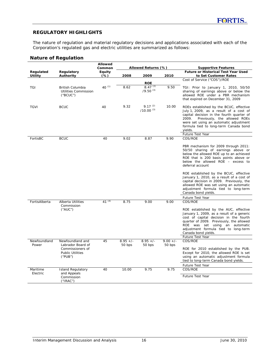# **REGULATORY HIGHLIGHTS**

The nature of regulation and material regulatory decisions and applications associated with each of the Corporation's regulated gas and electric utilities are summarized as follows:

# **Nature of Regulation**

|                             |                                                                                                 | <b>Allowed</b><br>Common |                      | Allowed Returns (%)                          |                      | <b>Supportive Features</b>                                                                                                                                                                                                                                                                                                                                                                                                                                                               |
|-----------------------------|-------------------------------------------------------------------------------------------------|--------------------------|----------------------|----------------------------------------------|----------------------|------------------------------------------------------------------------------------------------------------------------------------------------------------------------------------------------------------------------------------------------------------------------------------------------------------------------------------------------------------------------------------------------------------------------------------------------------------------------------------------|
| Regulated<br><b>Utility</b> | Regulatory<br>Authority                                                                         | Equity<br>$(\%)$         | 2008                 | 2009                                         | 2010                 | <b>Future or Historical Test Year Used</b><br>to Set Customer Rates                                                                                                                                                                                                                                                                                                                                                                                                                      |
|                             |                                                                                                 |                          |                      |                                              |                      | Cost of Service ("COS")/ROE                                                                                                                                                                                                                                                                                                                                                                                                                                                              |
| TGI                         | British Columbia<br><b>Utilities Commission</b><br>("B CUC")                                    | 40 $(1)$                 | 8.62                 | <b>ROE</b><br>$8.47^{(2)}$<br>$(9.50)^{(3)}$ | 9.50                 | TGI: Prior to January 1, 2010, 50/50<br>sharing of earnings above or below the<br>allowed ROE under a PBR mechanism<br>that expired on December 31, 2009                                                                                                                                                                                                                                                                                                                                 |
| <b>TGVI</b>                 | <b>BCUC</b>                                                                                     | 40                       | 9.32                 | $9.17^{(2)}$<br>$/10.00^{(3)}$               | 10.00                | ROEs established by the BCUC, effective<br>July 1, 2009, as a result of a cost of<br>capital decision in the fourth quarter of<br>Previously, the allowed ROEs<br>2009.<br>were set using an automatic adjustment<br>formula tied to long-term Canada bond<br>yields.                                                                                                                                                                                                                    |
| FortisBC                    | <b>BCUC</b>                                                                                     | 40                       | 9.02                 | 8.87                                         | 9.90                 | Future Test Year<br>COS/ROE                                                                                                                                                                                                                                                                                                                                                                                                                                                              |
|                             |                                                                                                 |                          |                      |                                              |                      | PBR mechanism for 2009 through 2011:<br>50/50 sharing of earnings above or<br>below the allowed ROE up to an achieved<br>ROE that is 200 basis points above or<br>below the allowed ROE - excess to<br>deferral account<br>ROE established by the BCUC, effective<br>January 1, 2010, as a result of a cost of<br>capital decision in 2009. Previously, the<br>allowed ROE was set using an automatic<br>adjustment formula tied to long-term<br>Canada bond yields.<br>Future Test Year |
| FortisAlberta               | Alberta Utilities<br>Commission<br>$(^{\prime}$ AUC $^{\prime\prime}$                           | $41^{(4)}$               | 8.75                 | 9.00                                         | 9.00                 | COS/ROE<br>ROE established by the AUC, effective<br>January 1, 2009, as a result of a generic<br>cost of capital decision in the fourth<br>quarter of 2009. Previously, the allowed<br>ROE was set using an automatic<br>adjustment formula tied to long-term<br>Canada bond yields.<br>Future Test Year                                                                                                                                                                                 |
| Newfoundland<br>Power       | Newfoundland and<br>Labrador Board of<br>Commissioners of<br><b>Public Utilities</b><br>("PUB") | 45                       | $8.95 +/-$<br>50 bps | $8.95 +/-$<br>50 bps                         | $9.00 +/-$<br>50 bps | COS/ROE<br>ROE for 2010 established by the PUB.<br>Except for 2010, the allowed ROE is set<br>using an automatic adjustment formula<br>tied to long-term Canada bond yields.<br>Future Test Year                                                                                                                                                                                                                                                                                         |
| Maritime<br>Electric        | <b>Island Regulatory</b><br>and Appeals<br>Commission<br>('IRAC")                               | 40                       | 10.00                | 9.75                                         | 9.75                 | COS/ROE<br><b>Future Test Year</b>                                                                                                                                                                                                                                                                                                                                                                                                                                                       |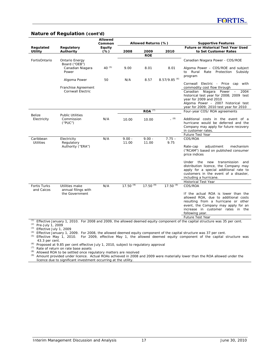#### **Nature of Regulation (cont'd)**

|                               |                                                                     | <b>Allowed</b><br>Common |                   | Allowed Returns (%)  |                            | <b>Supportive Features</b>                                                                                                                                                                                                                                                                                                                 |
|-------------------------------|---------------------------------------------------------------------|--------------------------|-------------------|----------------------|----------------------------|--------------------------------------------------------------------------------------------------------------------------------------------------------------------------------------------------------------------------------------------------------------------------------------------------------------------------------------------|
| Regulated<br><b>Utility</b>   | Regulatory<br>Authority                                             | Equity<br>$(\%)$         | 2008              | 2009                 | 2010                       | <b>Future or Historical Test Year Used</b><br>to Set Customer Rates                                                                                                                                                                                                                                                                        |
|                               |                                                                     |                          |                   | <b>ROE</b>           |                            |                                                                                                                                                                                                                                                                                                                                            |
| FortisOntario                 | <b>Ontario Energy</b><br>Board ("OEB")<br>Canadian Niagara<br>Power | 40 $(5)$                 | 9.00              | 8.01                 | 8.01                       | Canadian Niagara Power - COS/ROE<br>Algoma Power - COS/ROE and subject<br>to Rural Rate Protection Subsidy<br>program                                                                                                                                                                                                                      |
|                               | Algoma Power                                                        | 50                       | N/A               | 8.57                 | $8.57/9.85$ <sup>(6)</sup> | Electric - Price cap with<br>Cornwall                                                                                                                                                                                                                                                                                                      |
|                               | Franchise Agreement<br><b>Cornwall Electric</b>                     |                          |                   |                      |                            | commodity cost flow through<br>Canadian Niagara<br>Power<br>2004<br>$\qquad \qquad -$<br>historical test year for 2008; 2009 test<br>year for 2009 and 2010<br>Algoma Power - 2007 historical test<br>year for 2009; 2010 test year for 2010                                                                                               |
|                               |                                                                     |                          |                   | $ROA$ <sup>(7)</sup> |                            | Four-year COS/ROA agreements                                                                                                                                                                                                                                                                                                               |
| Belize<br>Electricity         | <b>Public Utilities</b><br>Commission<br>("PUC")                    | N/A                      | 10.00             | 10.00                | (8)                        | Additional costs in the event of a<br>hurricane would be deferred and the<br>Company may apply for future recovery<br>in customer rates.                                                                                                                                                                                                   |
|                               |                                                                     |                          |                   |                      |                            | Future Test Year                                                                                                                                                                                                                                                                                                                           |
| Caribbean<br><b>Utilities</b> | Electricity<br>Regulatory<br>Authority ("ERA")                      | N/A                      | $9.00 -$<br>11.00 | $9.00 -$<br>11.00    | $7.75 -$<br>9.75           | COS/ROA<br>adjustment<br>mechanism<br>Rate-cap<br>("RCAM") based on published consumer<br>price indices<br>the<br>transmission<br>Under<br>new<br>and<br>distribution licence, the Company may<br>apply for a special additional rate to<br>customers in the event of a disaster.<br>including a hurricane.<br><b>Historical Test Year</b> |
| <b>Fortis Turks</b>           | Utilities make                                                      | N/A                      | $17.50^{(9)}$     | $17.50^{(9)}$        | $17.50^{(9)}$              | COS/ROA                                                                                                                                                                                                                                                                                                                                    |
| and Caicos                    | annual filings with<br>the Government                               |                          |                   |                      |                            | If the actual ROA is lower than the<br>allowed ROA, due to additional costs<br>resulting from a hurricane or other<br>event, the Company may apply for an<br>increase in customer rates in the<br>following year.<br>Future Test Year                                                                                                      |

*(1)* Effective January 1, 2010. For 2008 and 2009, the allowed deemed equity component of the capital structure was 35 per cent. *(2)* Pre-July 1, 2009

*(3)* Effective July 1, 2009

*(4)* Effective January 1, 2009. For 2008, the allowed deemed equity component of the capital structure was 37 per cent.

*(5)* Effective May 1, 2010. For 2009, effective May 1, the allowed deemed equity component of the capital structure was 43.3 per cent.

*(6)* Proposed at 9.85 per cent effective July 1, 2010, subject to regulatory approval

*(7)* Rate of return on rate base assets

*(8)* Allowed ROA to be settled once regulatory matters are resolved

*(9)* Amount provided under licence. Actual ROAs achieved in 2008 and 2009 were materially lower than the ROA allowed under the licence due to significant investment occurring at the utility.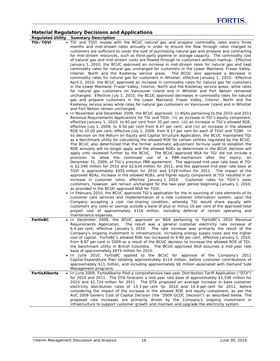# **Material Regulatory Decisions and Applications**

**Regulated Utility Summary Description** 

TGI/TGVI • TGI and TGVI review with the BCUC natural gas and propane commodity rates every three months and mid-stream rates annually in order to ensure the flow through rates charged to customers are sufficient to cover the cost of purchasing natural gas and propane and contracting for mid-stream resources, such as third-party pipeline or storage capacity. The commodity cost of natural gas and mid-stream costs are flowed through to customers without markup. Effective January 1, 2010, the BCUC approved an increase in mid-stream rates for natural gas and kept commodity rates for natural gas unchanged for customers in the Lower Mainland, Fraser Valley, Interior, North and the Kootenay service areas. The BCUC also approved a decrease in commodity rates for natural gas for customers in Whistler, effective January 1, 2010. Effective April 1, 2010, the BCUC approved an increase in commodity rates for natural gas for customers in the Lower Mainland, Fraser Valley, Interior, North and the Kootenay service areas, while rates for natural gas customers on Vancouver Island and in Whistler and Fort Nelson remained unchanged. Effective July 1, 2010, the BCUC approved decreases in commodity rates for natural gas and propane customers in the Lower Mainland, Fraser Valley, Interior, North and the Kootenay service areas while rates for natural gas customers on Vancouver Island and in Whistler and Fort Nelson remain unchanged.

- In November and December 2009, the BCUC approved: (i) NSAs pertaining to the 2010 and 2011 Revenue Requirements Applications for TGI and TGVI; (ii) an increase in TGI's equity component, effective January 1, 2010, to 40 per cent from 35 per cent; (iii) an increase in TGI's allowed ROE, effective July 1, 2009, to 9.50 per cent from 8.47 per cent; and (iv) an increase in the allowed ROE to 10.00 per cent, effective July 1, 2009, from 9.17 per cent for each of TGVI and TGWI. In its decision on the Return on Equity and Capital Structure Application, the BCUC maintained TGI as a benchmark utility for calculating the allowed ROE for certain utilities regulated by the BCUC. The BCUC also determined that the former automatic adjustment formula used to establish the ROE annually will no longer apply and the allowed ROEs as determined in the BCUC decision will apply until reviewed further by the BCUC. The BCUC-approved NSA for TGI did not include a provision to allow the continued use of a PBR mechanism after the expiry, on December 31, 2009, of TGI's previous PBR agreement. The approved mid-year rate base at TGI is \$2,540 million for 2010 and \$2,634 million for 2011, and the approved mid-year rate base at TGVI is approximately \$555 million for 2010 and \$729 million for 2011. The impact of the approved NSAs, increase in the allowed ROEs, and higher equity component at TGI resulted in an increase in customer rates, effective January 1, 2010. Customer rates for TGVI's sales customers, however, will remain unchanged for the two-year period beginning January 1, 2010, as provided in the BCUC-approved NSA for TGVI.
- In February 2010, the BCUC approved TGI's application for the in-sourcing of core elements of its customer care services and implementation of a new customer information system, upon the Company accepting a cost risk-sharing condition, whereby TGI would share equally with customers any costs or savings outside a band of plus or minus 10 per cent of the approved total project cost of approximately \$116 million, including deferral of certain operating and maintenance expenses.
- FortisBC In December 2009, the BCUC approved an NSA pertaining to FortisBC's 2010 Revenue Requirements Application. The result was a general customer electricity rate increase of 6.0 per cent, effective January 1, 2010. The rate increase was primarily the result of the Company's ongoing investment in infrastructure, increasing energy supply costs and the higher cost of capital. FortisBC's allowed ROE has increased to 9.90 per cent, effective January 1, 2010, from 8.87 per cent in 2009 as a result of the BCUC decision to increase the allowed ROE of TGI, the benchmark utility in British Columbia. The BCUC-approved NSA assumes a mid-year rate base of approximately \$975 million for 2010. • In June 2010, FortisBC applied to the BCUC for approval of the Company's 2011 Capital Expenditure Plan totalling approximately \$114 million, before customer contributions of approximately \$11 million, and including approximately \$6 million associated with Demand Side Management programs. **FortisAlberta** • In June 2009, FortisAlberta filed a comprehensive two-year Distribution Tariff Application ("DTA") for 2010 and 2011. The DTA forecasts a mid-year rate base of approximately \$1,538 million for
- 2010 and \$1,724 million for 2011. The DTA proposed an average increase in base customer electricity distribution rates of 13.3 per cent for 2010 and 14.9 per cent for 2011, before considering the impact of the increase in the allowed ROE and equity component, as per the AUC 2009 Generic Cost of Capital Decision (the "2009 GCOC Decision") as described below. The proposed rate increases are primarily driven by the Company's ongoing investment in infrastructure to support customer growth and maintain and upgrade the electricity system.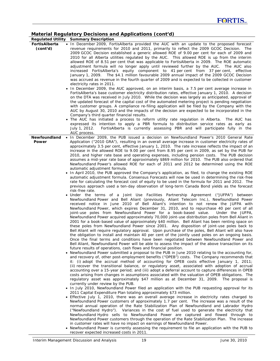# **Material Regulatory Decisions and Applications (cont'd)**

|               | <b>Regulated Utility Summary Description</b>                                                         |
|---------------|------------------------------------------------------------------------------------------------------|
| FortisAlberta | . In December 2009, FortisAlberta provided the AUC with an update to the proposed forecast           |
| (cont'd)      | revenue requirements for 2010 and 2011, primarily to reflect the 2009 GCOC Decision. The             |
|               | 2009 GCOC Decision established a generic allowed ROE of 9.00 per cent for each of 2009 and           |
|               | 2010 for all Alberta utilities regulated by the AUC. This allowed ROE is up from the interim         |
|               | allowed ROE of 8.51 per cent that was applicable to FortisAlberta in 2009. The ROE automatic         |
|               | adjustment formula will no longer apply until reviewed further by the AUC. The AUC also              |
|               | increased FortisAlberta's equity component to 41 per cent from 37 per cent, effective                |
|               | January 1, 2009. The \$4.1 million favourable 2009 annual impact of the 2009 GCOC Decision           |
|               | was accrued as revenue in the fourth quarter of 2009 and is expected to be collected in customer     |
|               | electricity rates in 2011.                                                                           |
|               | • In December 2009, the AUC approved, on an interim basis, a 7.5 per cent average increase in        |
|               | FortisAlberta's base customer electricity distribution rates, effective January 1, 2010. A decision  |
|               | on the DTA was received in July 2010. While the decision was largely as anticipated, approval of     |
|               | the updated forecast of the capital cost of the automated metering project is pending negotiation    |
|               | with customer groups. A compliance re-filing application will be filed by the Company with the       |
|               | AUC by August 30, 2010 and the impacts of the decision are expected to be incorporated in the        |
|               | Company's third quarter financial results.                                                           |
|               | The AUC has initiated a process to reform utility rate regulation in Alberta. The AUC has            |
|               | expressed its intention to apply a PBR formula to distribution service rates as early as             |
|               | July 1, 2012.<br>FortisAlberta is currently assessing PBR and will participate fully in the          |
|               | AUC process.                                                                                         |
|               | Newfoundland • In December 2009, the PUB issued a decision on Newfoundland Power's 2010 General Rate |
| Power         | Application ("2010 GRA"), resulting in an overall average increase in customer electricity rates of  |
|               | approximately 3.5 per cent, effective January 1, 2010. The rate increase reflects the impact of an   |
|               | increase in the allowed ROE to 9.00 per cent from 8.95 per cent in 2009, as set by the PUB for       |
|               | 2010, and higher rate base and operating expenses, including pension costs. The PUB decision         |
|               | assumes a mid-year rate base of approximately \$869 million for 2010. The PUB also ordered that      |
|               | Newfoundland Power's allowed ROE for each of 2011 and 2012 be determined using the ROE               |
|               | automatic adjustment formula.                                                                        |
|               | • In April 2010, the PUB approved the Company's application, as filed, to change the existing ROE    |
|               | automatic adjustment formula. Consensus Forecasts will now be used in determining the risk-free      |
|               | rate for calculating the forecast cost of equity to be used in the formula for 2011 and 2012. The    |
|               | previous approach used a ten-day observation of long-term Canada Bond yields as the forecast         |
|               | risk-free rate.                                                                                      |
|               | • Under the terms of a Joint Use Facilities Partnership Agreement ("JUFPA") between                  |
|               | Newfoundland Power and Bell Aliant (previously, Aliant Telecom Inc.), Newfoundland Power             |
|               | received notice in June 2010 of Bell Aliant's intention to not renew the JUFPA with                  |
|               | Newfoundland Power, which expires December 31, 2010, and to repurchase 40 per cent of all            |
|               | joint-use poles from Newfoundland Power for a book-based value.<br>Under the JUFPA,                  |
|               | Newfoundland Power acquired approximately 70,000 joint-use distribution poles from Bell Aliant in    |
|               | 2001 for a book-based value of approximately \$40 million. Bell Aliant has been renting space on     |
|               | these poles from Newfoundland Power since 2001. Any disposition of joint-use poles back to           |
|               |                                                                                                      |
|               | Bell Aliant will require regulatory approval. Upon purchase of the poles, Bell Aliant will also have |
|               | the obligation to install and maintain 40 per cent of the jointly used poles on an ongoing basis.    |
|               | Once the final terms and conditions have been negotiated between Newfoundland Power and              |
|               | Bell Aliant, Newfoundland Power will be able to assess the impact of the above transaction on its    |
|               | future results of operations, cash flows and financial position.                                     |
|               | • Newfoundland Power submitted a proposal to the PUB in June 2010 relating to the accounting for,    |
|               | and recovery of, other post-employment benefits ("OPEB") costs. The Company recommends that          |
|               | it: (i) adopt the accrual method of accounting for OPEB costs effective January 1, 2011;             |
|               | (ii) recover the transitional balance, or regulatory asset, associated with adoption of accrual      |
|               | accounting over a 15-year period; and (iii) adopt a deferral account to capture differences in OPEB  |
|               | costs arising from changes in assumptions associated with the valuation of OPEB obligations. The     |
|               | regulatory asset was approximately \$47 million as at December 31, 2009. The proposal is             |
|               | currently under review by the PUB.                                                                   |
|               | • In July 2010, Newfoundland Power filed an application with the PUB requesting approval for its     |
|               | 2011 Capital Expenditure Plan totaling approximately \$73 million.                                   |
|               | • Effective July 1, 2010, there was an overall average increase in electricity rates charged to      |
|               | Newfoundland Power customers of approximately 1.7 per cent. The increase was a result of the         |
|               | normal annual operation of the Rate Stabilization Plan of Newfoundland and Labrador Hydro            |
|               | ("Newfoundland Hydro"). Variances in the cost of fuel used to generate the electricity that          |
|               | Newfoundland Hydro sells to Newfoundland Power are captured and flowed through to                    |
|               | Newfoundland Power customers through the operation of the Rate Stabilization Plan. The increase      |
|               | in customer rates will have no impact on earnings of Newfoundland Power.                             |
|               | • Newfoundland Power is currently assessing the requirement to file an application with the PUB to   |
|               | recover expected increased costs in 2011.                                                            |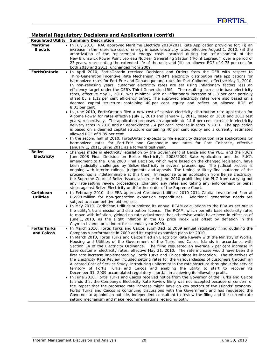# **Material Regulatory Decisions and Applications (cont'd)**

|                                   | <b>Regulated Utility Summary Description</b>                                                                                                                                                                                                                                                                                                                                                                                                                                                                                                                                                                                                                                                                                                                                                                                                                                                                                                                                                                                                                                                                                                                                                                                                                                                                                                                                                                                                                                                                                                                                                                                                                              |
|-----------------------------------|---------------------------------------------------------------------------------------------------------------------------------------------------------------------------------------------------------------------------------------------------------------------------------------------------------------------------------------------------------------------------------------------------------------------------------------------------------------------------------------------------------------------------------------------------------------------------------------------------------------------------------------------------------------------------------------------------------------------------------------------------------------------------------------------------------------------------------------------------------------------------------------------------------------------------------------------------------------------------------------------------------------------------------------------------------------------------------------------------------------------------------------------------------------------------------------------------------------------------------------------------------------------------------------------------------------------------------------------------------------------------------------------------------------------------------------------------------------------------------------------------------------------------------------------------------------------------------------------------------------------------------------------------------------------------|
| Maritime<br>Electric              | • In July 2010, IRAC approved Maritime Electric's 2010/2011 Rate Application providing for: (i) an<br>increase in the reference cost of energy in basic electricity rates, effective August 1, 2010; (ii) the<br>amortization of the replacement energy costs incurred during the refurbishment of the<br>New Brunswick Power Point Lepreau Nuclear Generating Station ("Point Lepreau") over a period of<br>25 years, representing the extended life of the unit; and (iii) an allowed ROE of 9.75 per cent for<br>both 2010 and 2011, unchanged from 2009.                                                                                                                                                                                                                                                                                                                                                                                                                                                                                                                                                                                                                                                                                                                                                                                                                                                                                                                                                                                                                                                                                                              |
| <b>FortisOntario</b>              | . In April 2010, FortisOntario received Decisions and Orders from the OEB with respect to<br>Third-Generation Incentive Rate Mechanism ("IRM") electricity distribution rate applications for<br>harmonized rates for Fort Erie and Gananoque and rates for Port Colborne, effective May 1, 2010.<br>In non-rebasing years, customer electricity rates are set using inflationary factors less an<br>efficiency target under the OEB's Third-Generation IRM. The resulting increase in base electricity<br>rates, effective May 1, 2010, was minimal, with an inflationary increase of 1.3 per cent partially<br>offset by a 1.12 per cent efficiency target. The approved electricity rates were also based on a<br>deemed capital structure containing 40 per cent equity and reflect an allowed ROE of<br>8.01 per cent.<br>. In June 2010, FortisOntario filed a new cost of service electricity distribution rate application for<br>Algoma Power for rates effective July 1, 2010 and January 1, 2011, based on 2010 and 2011 test<br>years, respectively. The application proposes an approximate 14.6 per cent increase in electricity<br>delivery rates in 2010 and an approximate 7.4 per cent increase in rates in 2011. The application<br>is based on a deemed capital structure containing 40 per cent equity and a currently estimated<br>allowed ROE of 9.85 per cent.<br>• In the second half of 2010, FortisOntario expects to file electricity distribution rate applications for<br>harmonized rates for Fort Erie and Gananoque and rates for Port Colborne, effective<br>January 1, 2011, using 2011 as a forward test year.                        |
| <b>Belize</b><br>Electricity      | . Changes made in electricity legislation by the Government of Belize and the PUC, and the PUC's<br>June 2008 Final Decision on Belize Electricity's 2008/2009 Rate Application and the PUC's<br>amendment to the June 2008 Final Decision, which were based on the changed legislation, have<br>been judicially challenged by Belize Electricity in several proceedings. The judicial process is<br>ongoing with interim rulings, judgments and appeals. The timing or likely final outcome of the<br>proceedings is indeterminable at this time. In response to an application from Belize Electricity,<br>the Supreme Court of Belize issued an order in June 2010 prohibiting the PUC from carrying out<br>any rate-setting review proceedings, changing any rates and taking any enforcement or penal<br>steps against Belize Electricity until further order of the Supreme Court.                                                                                                                                                                                                                                                                                                                                                                                                                                                                                                                                                                                                                                                                                                                                                                                  |
| Caribbean<br><b>Utilities</b>     | • In February 2010, the ERA approved Caribbean Utilities' 2010-2014 Capital Investment Plan at<br>US\$98 million for non-generation expansion expenditures.<br>Additional generation needs are<br>subject to a competitive bid process.<br>• In May 2010, Caribbean Utilities submitted its annual RCAM calculations to the ERA as set out in<br>the utility's transmission and distribution licence. The RCAM, which permits base electricity rates<br>to move with inflation, yielded no rate adjustment that otherwise would have been in effect as of<br>June 1, 2010, as the slight inflation in the US price index was offset by deflation in the<br>Cayman Islands price index for calendar year 2009.                                                                                                                                                                                                                                                                                                                                                                                                                                                                                                                                                                                                                                                                                                                                                                                                                                                                                                                                                             |
| <b>Fortis Turks</b><br>and Caicos | . In March 2010, Fortis Turks and Caicos submitted its 2009 annual regulatory filing outlining the<br>Company's performance in 2009 and its capital expansion plans for 2010.<br>. In March 2010, Fortis Turks and Caicos filed an Electricity Rate Review with the Ministry of Works,<br>Housing and Utilities of the Government of the Turks and Caicos Islands in accordance with<br>Section 34 of the Electricity Ordinance. The filing requested an average 7 per cent increase in<br>base customer electricity rates, effective May 31, 2010. The rate increase would have been the<br>first rate increase implemented by Fortis Turks and Caicos since its inception. The objectives of<br>the Electricity Rate Review included setting rates for the various classes of customers through an<br>Allocated Cost of Service Study, introducing uniformity in the rate structure throughout the service<br>territory of Fortis Turks and Caicos and enabling the utility to start to recover its<br>December 31, 2009 accumulated regulatory shortfall in achieving its allowable profit.<br>• In June 2010, Fortis Turks and Caicos received notice from the Governor of the Turks and Caicos<br>Islands that the Company's Electricity Rate Review filing was not accepted because of concern of<br>the impact that the proposed rate increase might have on key sectors of the Islands' economy.<br>Fortis Turks and Caicos is continuing discussions with the Government and has requested the<br>Governor to appoint an outside, independent consultant to review the filing and the current rate<br>setting mechanism and make recommendations regarding both. |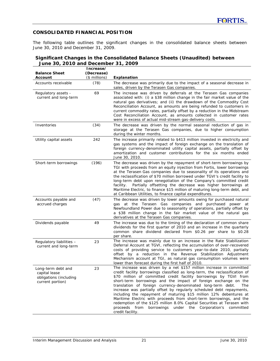# **CONSOLIDATED FINANCIAL POSITION**

The following table outlines the significant changes in the consolidated balance sheets between June 30, 2010 and December 31, 2009.

#### **Significant Changes in the Consolidated Balance Sheets (Unaudited) between June 30, 2010 and December 31, 2009**

| <b>Balance Sheet</b><br>Account                                                   | Increase/<br>(Decrease)<br>(\$ millions) | <b>Explanation</b>                                                                                                                                                                                                                                                                                                                                                                                                                                                                                                                                                                                                                                                                                                                                      |
|-----------------------------------------------------------------------------------|------------------------------------------|---------------------------------------------------------------------------------------------------------------------------------------------------------------------------------------------------------------------------------------------------------------------------------------------------------------------------------------------------------------------------------------------------------------------------------------------------------------------------------------------------------------------------------------------------------------------------------------------------------------------------------------------------------------------------------------------------------------------------------------------------------|
| Accounts receivable                                                               | (78)                                     | The decrease was primarily due to the impact of a seasonal decrease in<br>sales, driven by the Terasen Gas companies.                                                                                                                                                                                                                                                                                                                                                                                                                                                                                                                                                                                                                                   |
| Regulatory assets -<br>current and long-term                                      | 69                                       | The increase was driven by deferrals at the Terasen Gas companies<br>associated with: (i) a \$38 million change in the fair market value of the<br>natural gas derivatives; and (ii) the drawdown of the Commodity Cost<br>Reconciliation Account, as amounts are being refunded to customers in<br>current commodity rates, partially offset by a reduction in the Midstream<br>Cost Reconciliation Account, as amounts collected in customer rates<br>were in excess of actual mid-stream gas-delivery costs.                                                                                                                                                                                                                                         |
| Inventories                                                                       | (34)                                     | The decrease was driven by the normal seasonal reduction of gas in<br>storage at the Terasen Gas companies, due to higher consumption<br>during the winter months.                                                                                                                                                                                                                                                                                                                                                                                                                                                                                                                                                                                      |
| Utility capital assets                                                            | 242                                      | The increase primarily related to \$413 million invested in electricity and<br>gas systems and the impact of foreign exchange on the translation of<br>foreign currency-denominated utility capital assets, partially offset by<br>amortization and customer contributions for the six months ended<br>June 30, 2010.                                                                                                                                                                                                                                                                                                                                                                                                                                   |
| Short-term borrowings                                                             | (196)                                    | The decrease was driven by the repayment of short-term borrowings by<br>TGI with proceeds from an equity injection from Fortis, lower borrowings<br>at the Terasen Gas companies due to seasonality of its operations and<br>the reclassification of \$70 million borrowed under TGVI's credit facility to<br>long-term debt upon renegotiation of the Company's committed credit<br>Partially offsetting the decrease was higher borrowings at<br>facility.<br>Maritime Electric, to finance \$15 million of maturing long-term debt, and<br>at Caribbean Utilities, to finance capital expenditures.                                                                                                                                                  |
| Accounts payable and<br>accrued charges                                           | (47)                                     | The decrease was driven by lower amounts owing for purchased natural<br>gas at the Terasen Gas companies and purchased power at<br>Newfoundland Power due to seasonality of operations, partially offset by<br>a \$38 million change in the fair market value of the natural gas<br>derivatives at the Terasen Gas companies.                                                                                                                                                                                                                                                                                                                                                                                                                           |
| Dividends payable                                                                 | 49                                       | The increase was due to the timing of the declaration of common share<br>dividends for the first quarter of 2010 and an increase in the quarterly<br>common share dividend declared from \$0.26 per share to \$0.28<br>per share.                                                                                                                                                                                                                                                                                                                                                                                                                                                                                                                       |
| Regulatory liabilities -<br>current and long-term                                 | 23                                       | The increase was mainly due to an increase in the Rate Stabilization<br>Deferral Account at TGVI, reflecting the accumulation of over-recovered<br>costs of providing service to customers year-to-date 2010, partially<br>offset by a reduction in the Revenue Stabilization Adjustment<br>Mechanism account at TGI, as natural gas consumption volumes were<br>lower than forecast during the first half of 2010.                                                                                                                                                                                                                                                                                                                                     |
| Long-term debt and<br>capital lease<br>obligations (including<br>current portion) | 23                                       | The increase was driven by a net \$157 million increase in committed<br>credit facility borrowings classified as long-term, the reclassification of<br>\$70 million of committed credit facility borrowings by TGVI from<br>short-term borrowings and the impact of foreign exchange on the<br>translation of foreign currency-denominated long-term debt.<br>The<br>increase was partially offset by regularly scheduled debt repayments,<br>including the repayment of maturing \$15 million 12% debentures at<br>Maritime Electric with proceeds from short-term borrowings, and the<br>redemption of the \$125 million 8.0% Capital Securities at Terasen with<br>borrowings under the Corporation's committed<br>proceeds from<br>credit facility. |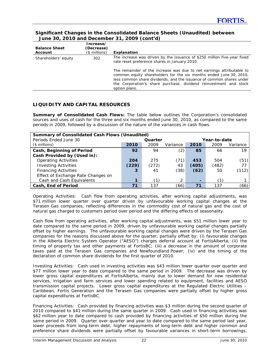# **Significant Changes in the Consolidated Balance Sheets (Unaudited) between June 30, 2010 and December 31, 2009 (cont'd)**

| <b>Balance Sheet</b><br>Account | Increase/<br>(Decrease)<br>(\$ millions) | Explanation                                                                                                                                                                                                                                                                                               |
|---------------------------------|------------------------------------------|-----------------------------------------------------------------------------------------------------------------------------------------------------------------------------------------------------------------------------------------------------------------------------------------------------------|
| Shareholders' equity            | 302                                      | The increase was driven by the issuance of \$250 million five-year fixed<br>rate reset preference shares in January 2010.                                                                                                                                                                                 |
|                                 |                                          | The remainder of the increase was due to net earnings attributable to<br>common equity shareholders for the six months ended June 30, 2010,<br>less common share dividends, and the issuance of common shares under<br>the Corporation's share purchase, dividend reinvestment and stock<br>option plans. |

# **LIQUIDITY AND CAPITAL RESOURCES**

*Summary of Consolidated Cash Flows:* The table below outlines the Corporation's consolidated sources and uses of cash for the three and six months ended June 30, 2010, as compared to the same periods in 2009, followed by a discussion of the nature of the variances in cash flows.

| <b>Summary of Consolidated Cash Flows (Unaudited)</b> |       |         |          |              |       |          |  |  |
|-------------------------------------------------------|-------|---------|----------|--------------|-------|----------|--|--|
| Periods Ended June 30                                 |       | Quarter |          | Year-to-date |       |          |  |  |
| $($$ millions)                                        | 2010  | 2009    | Variance | 2010         | 2009  | Variance |  |  |
| Cash, Beginning of Period                             | 92    | 94      | (2)      | 85           | 66    | 19       |  |  |
| Cash Provided by (Used in):                           |       |         |          |              |       |          |  |  |
| <b>Operating Activities</b>                           | 204   | 275     | (71)     | 453          | 504   | (51)     |  |  |
| <b>Investing Activities</b>                           | (229) | (272)   | 43       | (405)        | (482) | 77       |  |  |
| <b>Financing Activities</b>                           | 3     | 41      | (38)     | (62)         | 50    | (112)    |  |  |
| Effect of Exchange Rate Changes on                    |       |         |          |              |       |          |  |  |
| Cash and Cash Equivalents                             |       |         | 2        | -            | (1`   |          |  |  |
| Cash, End of Period                                   | 71    | 137     | (66)     | 71           | 137   | (66)     |  |  |

*Operating Activities:* Cash flow from operating activities, after working capital adjustments, was \$71 million lower quarter over quarter driven by unfavourable working capital changes at the Terasen Gas companies, reflecting differences in the commodity cost of natural gas and the cost of natural gas charged to customers period over period and the differing effects of seasonality.

Cash flow from operating activities, after working capital adjustments, was \$51 million lower year to date compared to the same period in 2009, driven by unfavourable working capital changes partially offset by higher earnings. The unfavourable working capital changes were driven by the Terasen Gas companies for the reasons discussed above for the quarter, partially offset by: (i) favourable changes in the Alberta Electric System Operator ("AESO") charges deferral account at FortisAlberta; (ii) the timing of property tax and other payments at FortisBC; (iii) a decrease in the amount of corporate taxes paid at the Terasen Gas companies and Newfoundland Power; (iv) and the timing of the declaration of common share dividends for the first quarter of 2010.

*Investing Activities:* Cash used in investing activities was \$43 million lower quarter over quarter and \$77 million lower year to date compared to the same period in 2009. The decrease was driven by lower gross capital expenditures at FortisAlberta, mainly due to lower demand for new residential services, irrigation and farm services and lower spending related to equipment, facilities and AESO transmission capital projects. Lower gross capital expenditures at the Regulated Electric Utilities – Caribbean, Fortis Generation and the Terasen Gas companies were partially offset by higher gross capital expenditures at FortisBC.

*Financing Activities:* Cash provided by financing activities was \$3 million during the second quarter of 2010 compared to \$41 million during the same quarter in 2009. Cash used in financing activities was \$62 million year to date compared to cash provided by financing activities of \$50 million during the same period in 2009. Quarter over quarter and year to date compared to the same period last year, lower proceeds from long-term debt, higher repayments of long-term debt and higher common and preference share dividends were partially offset by favourable variances in short-term borrowings,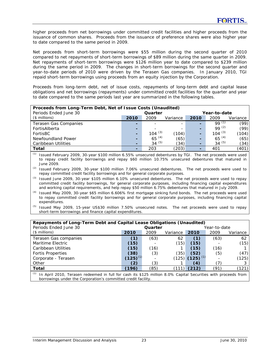higher proceeds from net borrowings under committed credit facilities and higher proceeds from the issuance of common shares. Proceeds from the issuance of preference shares were also higher year to date compared to the same period in 2009.

Net proceeds from short-term borrowings were \$55 million during the second quarter of 2010 compared to net repayments of short-term borrowings of \$89 million during the same quarter in 2009. Net repayments of short-term borrowings were \$126 million year to date compared to \$239 million during the same period in 2009. The changes in short-term borrowings for the second quarter and year-to-date periods of 2010 were driven by the Terasen Gas companies. In January 2010, TGI repaid short-term borrowings using proceeds from an equity injection by the Corporation.

Proceeds from long-term debt, net of issue costs, repayments of long-term debt and capital lease obligations and net borrowings (repayments) under committed credit facilities for the quarter and year to date compared to the same periods last year are summarized in the following tables.

| Proceeds from Long-Term Debt, Net of Issue Costs (Unaudited)<br>Periods Ended June 30 |                          | Quarter     |          |      | Year-to-date |          |
|---------------------------------------------------------------------------------------|--------------------------|-------------|----------|------|--------------|----------|
| $($$ millions)                                                                        | 2010                     | 2009        | Variance | 2010 | 2009         | Variance |
| Terasen Gas Companies                                                                 | ۰                        |             |          | -    | $99^{(1)}$   | (99)     |
| FortisAlberta                                                                         | $\overline{\phantom{0}}$ |             |          | -    | $99^{(2)}$   | (99)     |
| FortisBC                                                                              | ۰.                       | $104^{(3)}$ | (104)    | -    | $104^{(3)}$  | (104)    |
| Newfoundland Power                                                                    | ۰.                       | $65^{(4)}$  | (65)     | -    | $65^{(4)}$   | (65)     |
| Caribbean Utilities                                                                   |                          | 34 $(5)$    | (34)     | ۰    | 34 $(5)$     | (34)     |
| <b>Total</b>                                                                          |                          | 203         | (203)    |      | 401          | (401)    |

*(1)* Issued February 2009, 30-year \$100 million 6.55% unsecured debentures by TGI. The net proceeds were used to repay credit facility borrowings and repay \$60 million 10.75% unsecured debentures that matured in June 2009.

*(3)* Issued June 2009, 30-year \$105 million 6.10% unsecured debentures. The net proceeds were used to repay committed credit facility borrowings, for general corporate purposes, including financing capital expenditures and working capital requirements, and help repay \$50 million 6.75% debentures that matured in July 2009.

- *(4)* Issued May 2009, 30-year \$65 million 6.606% first mortgage sinking fund bonds. The net proceeds were used to repay committed credit facility borrowings and for general corporate purposes, including financing capital expenditures.
- *(5)* Issued May 2009, 15-year US\$30 million 7.50% unsecured notes. The net proceeds were used to repay short-term borrowings and finance capital expenditures.

| Repayments of Long-Term Debt and Capital Lease Obligations (Unaudited)                                               |               |         |          |                       |      |          |  |  |
|----------------------------------------------------------------------------------------------------------------------|---------------|---------|----------|-----------------------|------|----------|--|--|
| Periods Ended June 30                                                                                                |               | Quarter |          | Year-to-date          |      |          |  |  |
| $($$ millions)                                                                                                       | 2010          | 2009    | Variance | 2010                  | 2009 | Variance |  |  |
| Terasen Gas companies                                                                                                | (1)           | (63)    | 62       | (1)                   | (63) | 62       |  |  |
| Maritime Electric                                                                                                    | (15)          |         | (15)     | (15)                  |      | (15)     |  |  |
| Caribbean Utilities                                                                                                  | (15)          | (16)    |          | (15)                  | (16) |          |  |  |
| <b>Fortis Properties</b>                                                                                             | (38)          | (3)     | (35)     | (52)                  | (5)  | (47)     |  |  |
| Corporate - Terasen                                                                                                  | $(125)^{(1)}$ |         |          | $(125)$ $(125)$ $(1)$ |      | (125)    |  |  |
| Other                                                                                                                | (2)           | (3)     |          | (4)                   | (7)  |          |  |  |
| Total                                                                                                                | (196)         | (85)    | (111)    | (212)                 | (91) | (121)    |  |  |
| (1)<br>In April 2010, Terason redeemed in full for cash its \$125 million 8.0% Capital Securities with proceeds from |               |         |          |                       |      |          |  |  |

*(1)* In April 2010, Terasen redeemed in full for cash its \$125 million 8.0% Capital Securities with proceeds from borrowings under the Corporation's committed credit facility.

*<sup>(2)</sup>* Issued February 2009, 30-year \$100 million 7.06% unsecured debentures. The net proceeds were used to repay committed credit facility borrowings and for general corporate purposes.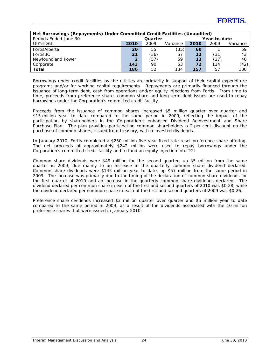| Periods Ended June 30 | Net Borrowings (Repayments) Under Committed Credit Facilities (Unaudited)<br>Year-to-date<br>Quarter |      |          |      |      |          |
|-----------------------|------------------------------------------------------------------------------------------------------|------|----------|------|------|----------|
| $($$ millions)        | 2010                                                                                                 | 2009 | Variance | 2010 | 2009 | Variance |
| FortisAlberta         | 20                                                                                                   | 55   | (35)     | 60   |      | 59       |
| FortisBC              | 21                                                                                                   | (36) | 57       | 12   | (31) | 43       |
| Newfoundland Power    | $\overline{2}$                                                                                       | (57) | 59       | 13   | (27) | 40       |
| Corporate             | 143                                                                                                  | 90   | 53       | 72   | 114  | (42)     |
| Total                 | 186                                                                                                  | 52   | 134      | 157  | 57   | 100      |

Borrowings under credit facilities by the utilities are primarily in support of their capital expenditure programs and/or for working capital requirements. Repayments are primarily financed through the issuance of long-term debt, cash from operations and/or equity injections from Fortis. From time to time, proceeds from preference share, common share and long-term debt issues are used to repay borrowings under the Corporation's committed credit facility.

Proceeds from the issuance of common shares increased \$5 million quarter over quarter and \$15 million year to date compared to the same period in 2009, reflecting the impact of the participation by shareholders in the Corporation's enhanced Dividend Reinvestment and Share Purchase Plan. The plan provides participating common shareholders a 2 per cent discount on the purchase of common shares, issued from treasury, with reinvested dividends.

In January 2010, Fortis completed a \$250 million five-year fixed rate reset preference share offering. The net proceeds of approximately \$242 million were used to repay borrowings under the Corporation's committed credit facility and to fund an equity injection into TGI.

Common share dividends were \$49 million for the second quarter, up \$5 million from the same quarter in 2009, due mainly to an increase in the quarterly common share dividend declared. Common share dividends were \$145 million year to date, up \$57 million from the same period in 2009. The increase was primarily due to the timing of the declaration of common share dividends for the first quarter of 2010 and an increase in the quarterly common share dividends declared. The dividend declared per common share in each of the first and second quarters of 2010 was \$0.28, while the dividend declared per common share in each of the first and second quarters of 2009 was \$0.26.

Preference share dividends increased \$3 million quarter over quarter and \$5 million year to date compared to the same period in 2009, as a result of the dividends associated with the 10 million preference shares that were issued in January 2010.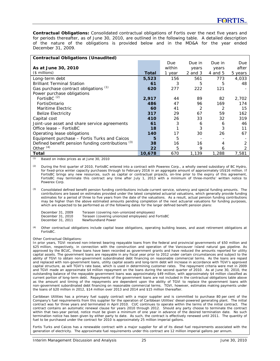*Contractual Obligations:* Consolidated contractual obligations of Fortis over the next five years and for periods thereafter, as of June 30, 2010, are outlined in the following table. A detailed description of the nature of the obligations is provided below and in the MD&A for the year ended December 31, 2009.

| <b>Contractual Obligations (Unaudited)</b>        |        |        |             |         |         |
|---------------------------------------------------|--------|--------|-------------|---------|---------|
|                                                   |        | Due    | Due in      | Due in  | Due     |
| As at June 30, 2010                               |        | within | years       | years   | after   |
| $($$ millions)                                    | Total  | 1 year | $2$ and $3$ | 4 and 5 | 5 years |
| Long-term debt                                    | 5,523  | 156    | 561         | 773     | 4,033   |
| <b>Brilliant Terminal Station</b>                 | 61     | 3      | 5           | 5       | 48      |
| Gas purchase contract obligations (1)             | 620    | 277    | 222         | 121     |         |
| Power purchase obligations                        |        |        |             |         |         |
| FortisBC <sup>(2)</sup>                           | 2,917  | 44     | 89          | 82      | 2,702   |
| FortisOntario                                     | 486    | 47     | 96          | 169     | 174     |
| Maritime Electric                                 | 60     | 41     | 2           |         | 15      |
| <b>Belize Electricity</b>                         | 317    | 29     | 67          | 59      | 162     |
| Capital cost                                      | 410    | 26     | 33          | 32      | 319     |
| Joint-use asset and share service agreements      | 61     | 3      | 6           | 6       | 46      |
| Office lease - FortisBC                           | 18     |        | 3           | 3       | 11      |
| Operating lease obligations                       | 140    | 17     | 30          | 26      | 67      |
| Equipment purchase - Fortis Turks and Caicos      | 5      | 5      |             |         |         |
| Defined benefit pension funding contributions (3) | 38     | 16     | 16          | 4       |         |
| Other $(4)$                                       | 22     | 5      | 9           | 6       |         |
| Total                                             | 10,678 | 670    | 1,139       | 1,288   | 7,581   |

*(1)* Based on index prices as at June 30, 2010

*(2)* During the first quarter of 2010, FortisBC entered into a contract with Powerex Corp., a wholly owned subsidiary of BC Hydro, for fixed-price winter capacity purchases through to February 2016 in an aggregate amount of approximately US\$16 million. If FortisBC brings any new resources, such as capital or contractual projects, on-line prior to the expiry of this agreement, FortisBC may terminate this contract any time after July 1, 2013 with a minimum of three-months' written notice to Powerex Corp.

*(3)* Consolidated defined benefit pension funding contributions include current service, solvency and special funding amounts. The contributions are based on estimates provided under the latest completed actuarial valuations, which generally provide funding estimates for a period of three to five years from the date of the valuations. As a result, actual pension funding contributions may be higher than the above estimated amounts pending completion of the next actuarial valuations for funding purposes, which are expected to be performed as of the following dates for the larger defined benefit pension plans:

| December 31, 2009 | Terasen (covering non-unionized employees)          |
|-------------------|-----------------------------------------------------|
| December 31, 2010 | Terasen (covering unionized employees) and FortisBC |
| December 31, 2011 | Newfoundland Power                                  |

*(4)* Other contractual obligations include capital lease obligations, operating building leases, and asset retirement obligations at FortisBC.

#### *Other Contractual Obligations:*

In prior years, TGVI received non-interest bearing repayable loans from the federal and provincial governments of \$50 million and \$25 million, respectively, in connection with the construction and operation of the Vancouver Island natural gas pipeline. As approved by the BCUC, these loans have been recorded as government grants and have reduced the amounts reported for utility capital assets. The government loans are repayable in any fiscal year prior to 2012 under certain circumstances and subject to the ability of TGVI to obtain non-government subordinated debt financing on reasonable commercial terms. As the loans are repaid and replaced with non-government loans, utility capital assets and long-term debt will increase in accordance with TGVI's approved capital structure, as will TGVI's rate base, which is used in determining customer rates. The repayment criteria were met in 2009 and TGVI made an approximate \$4 million repayment on the loans during the second quarter of 2010. As at June 30, 2010, the outstanding balance of the repayable government loans was approximately \$49 million, with approximately \$4 million classified as current portion of long-term debt. Repayments of the government loans are not included in the contractual obligations table above as the amount and timing of the repayments are dependent upon the ability of TGVI to replace the government loans with non-government subordinated debt financing on reasonable commercial terms. TGVI, however, estimates making payments under the loans of \$20 million in 2012, \$14 million over 2013 and 2014 and \$15 million thereafter.

Caribbean Utilities has a primary fuel supply contract with a major supplier and is committed to purchase 80 per cent of the Company's fuel requirements from this supplier for the operation of Caribbean Utilities' diesel-powered generating plant. The initial contract was for three years and terminated in April 2010. CUC continues to operate within the terms of the initial contract. The contract contains an automatic renewal clause for years 2010 through 2012. Should any party choose to terminate the contract within that two-year period, notice must be given a minimum of one year in advance of the desired termination date. No such termination notice has been given by either party to date. As such, the contract is effectively renewed until 2011. The quantity of fuel to be purchased under the contract for 2010 is approximately 25 million imperial gallons.

Fortis Turks and Caicos has a renewable contract with a major supplier for all of its diesel fuel requirements associated with the generation of electricity. The approximate fuel requirements under this contract are 12 million imperial gallons per annum.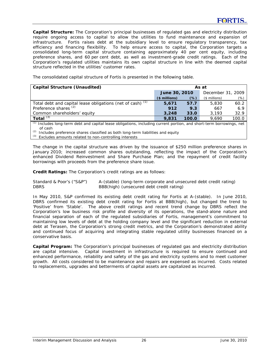*Capital Structure:* The Corporation's principal businesses of regulated gas and electricity distribution require ongoing access to capital to allow the utilities to fund maintenance and expansion of infrastructure. Fortis raises debt at the subsidiary level to ensure regulatory transparency, tax efficiency and financing flexibility. To help ensure access to capital, the Corporation targets a consolidated long-term capital structure containing approximately 40 per cent equity, including preference shares, and 60 per cent debt, as well as investment-grade credit ratings. Each of the Corporation's regulated utilities maintains its own capital structure in line with the deemed capital structure reflected in the utilities' customer rates.

The consolidated capital structure of Fortis is presented in the following table.

| Capital Structure (Unaudited)                              | As at         |       |                   |       |  |  |
|------------------------------------------------------------|---------------|-------|-------------------|-------|--|--|
|                                                            | June 30, 2010 |       | December 31, 2009 |       |  |  |
|                                                            | (\$ millions) | (%)   | $($$ millions)    | (%)   |  |  |
| Total debt and capital lease obligations (net of cash) (1) | 5,671         | 57.7  | 5,830             | 60.2  |  |  |
| Preference shares <sup>(2)</sup>                           | 912           | 9.3   | 667               | 6.9   |  |  |
| Common shareholders' equity                                | 3,248         | 33.0  | 3.193             | 32.9  |  |  |
| Total $(3)$                                                | 9,831         | 100.0 | 9.690             | 100.0 |  |  |

*(1)* Includes long-term debt and capital lease obligations, including current portion, and short-term borrowings, net of cash

*(2)* Includes preference shares classified as both long-term liabilities and equity

*(3)* Excludes amounts related to non-controlling interests

The change in the capital structure was driven by the issuance of \$250 million preference shares in January 2010; increased common shares outstanding, reflecting the impact of the Corporation's enhanced Dividend Reinvestment and Share Purchase Plan; and the repayment of credit facility borrowings with proceeds from the preference share issue.

*Credit Ratings:* The Corporation's credit ratings are as follows:

Standard & Poor's ("S&P") A-(stable) (long-term corporate and unsecured debt credit rating) DBRS BBB(high) (unsecured debt credit rating)

In May 2010, S&P confirmed its existing debt credit rating for Fortis at A-(stable). In June 2010, DBRS confirmed its existing debt credit rating for Fortis at BBB(high), but changed the trend to 'Positive' from 'Stable'. The above credit ratings and recent trend change by DBRS reflect the Corporation's low business risk profile and diversity of its operations, the stand-alone nature and financial separation of each of the regulated subsidiaries of Fortis, management's commitment to maintaining low levels of debt at the holding company level and the significant reduction in external debt at Terasen, the Corporation's strong credit metrics, and the Corporation's demonstrated ability and continued focus of acquiring and integrating stable regulated utility businesses financed on a conservative basis.

*Capital Program:* The Corporation's principal businesses of regulated gas and electricity distribution are capital intensive. Capital investment in infrastructure is required to ensure continued and enhanced performance, reliability and safety of the gas and electricity systems and to meet customer growth. All costs considered to be maintenance and repairs are expensed as incurred. Costs related to replacements, upgrades and betterments of capital assets are capitalized as incurred.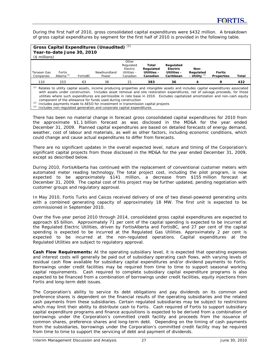During the first half of 2010, gross consolidated capital expenditures were \$432 million. A breakdown of gross capital expenditures by segment for the first half of 2010 is provided in the following table.

| $($$ millions)                                                                                                                                                                                                                                                                                                                                                                                                                                                      | Year-to-date June 30, 2010     |          | <b>Gross Capital Expenditures (Unaudited)</b> |                                                           |                                               |                                                   |                                      |                                    |       |
|---------------------------------------------------------------------------------------------------------------------------------------------------------------------------------------------------------------------------------------------------------------------------------------------------------------------------------------------------------------------------------------------------------------------------------------------------------------------|--------------------------------|----------|-----------------------------------------------|-----------------------------------------------------------|-----------------------------------------------|---------------------------------------------------|--------------------------------------|------------------------------------|-------|
| Terasen Gas<br>Companies                                                                                                                                                                                                                                                                                                                                                                                                                                            | <b>Fortis</b><br>Alberta $(2)$ | FortisBC | Newfoundland<br>Power                         | Other<br>Regulated<br>Electric<br>Utilities -<br>Canadian | Total<br>Regulated<br>Utilities -<br>Canadian | Regulated<br>Electric<br>Utilities -<br>Caribbean | Non-<br>Regulated<br>- Utility $(3)$ | <b>Fortis</b><br><b>Properties</b> | Total |
| 110                                                                                                                                                                                                                                                                                                                                                                                                                                                                 | 153                            | 63       | 36                                            | 21                                                        | 383                                           | 36                                                |                                      | 9                                  | 432   |
| Relates to utility capital assets, income producing properties and intangible assets and includes capital expenditures associated<br>with assets under construction. Includes asset removal and site restoration expenditures, net of salvage proceeds, for those<br>utilities where such expenditures are permissible in rate base in 2010. Excludes capitalized amortization and non-cash equity<br>component of the allowance for funds used during construction |                                |          |                                               |                                                           |                                               |                                                   |                                      |                                    |       |

*(2)* Includes payments made to AESO for investment in transmission capital projects

*(3)* Includes non-regulated generation and corporate capital expenditures

There has been no material change in forecast gross consolidated capital expenditures for 2010 from the approximate \$1.1 billion forecast as was disclosed in the MD&A for the year ended December 31, 2009. Planned capital expenditures are based on detailed forecasts of energy demand, weather, cost of labour and materials, as well as other factors, including economic conditions, which could change and cause actual expenditures to differ from forecasts.

There are no significant updates in the overall expected level, nature and timing of the Corporation's significant capital projects from those disclosed in the MD&A for the year ended December 31, 2009, except as described below.

During 2010, FortisAlberta has continued with the replacement of conventional customer meters with automated meter reading technology. The total project cost, including the pilot program, is now expected to be approximately \$141 million, a decrease from \$155 million forecast at December 31, 2009. The capital cost of this project may be further updated, pending negotiation with customer groups and regulatory approval.

In May 2010, Fortis Turks and Caicos received delivery of one of two diesel-powered generating units with a combined generating capacity of approximately 18 MW. The first unit is expected to be commissioned in September 2010.

Over the five-year period 2010 through 2014, consolidated gross capital expenditures are expected to approach \$5 billion. Approximately 71 per cent of the capital spending is expected to be incurred at the Regulated Electric Utilities, driven by FortisAlberta and FortisBC, and 27 per cent of the capital spending is expected to be incurred at the Regulated Gas Utilities. Approximately 2 per cent is expected to be incurred at the non-regulated operations. Capital expenditures at the Regulated Utilities are subject to regulatory approval.

*Cash Flow Requirements:* At the operating subsidiary level, it is expected that operating expenses and interest costs will generally be paid out of subsidiary operating cash flows, with varying levels of residual cash flow available for subsidiary capital expenditures and/or dividend payments to Fortis. Borrowings under credit facilities may be required from time to time to support seasonal working capital requirements. Cash required to complete subsidiary capital expenditure programs is also expected to be financed from a combination of borrowings under credit facilities, equity injections from Fortis and long-term debt issues.

The Corporation's ability to service its debt obligations and pay dividends on its common and preference shares is dependent on the financial results of the operating subsidiaries and the related cash payments from these subsidiaries. Certain regulated subsidiaries may be subject to restrictions which may limit their ability to distribute cash to Fortis. Cash required of Fortis to support subsidiary capital expenditure programs and finance acquisitions is expected to be derived from a combination of borrowings under the Corporation's committed credit facility and proceeds from the issuance of common shares, preference shares and long-term debt. Depending on the timing of cash payments from the subsidiaries, borrowings under the Corporation's committed credit facility may be required from time to time to support the servicing of debt and payment of dividends.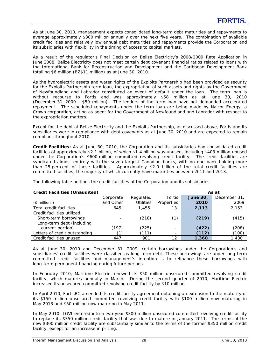As at June 30, 2010, management expects consolidated long-term debt maturities and repayments to average approximately \$300 million annually over the next five years. The combination of available credit facilities and relatively low annual debt maturities and repayments provide the Corporation and its subsidiaries with flexibility in the timing of access to capital markets.

As a result of the regulator's Final Decision on Belize Electricity's 2008/2009 Rate Application in June 2008, Belize Electricity does not meet certain debt covenant financial ratios related to loans with the International Bank for Reconstruction and Development and the Caribbean Development Bank totalling \$6 million (BZ\$11 million) as at June 30, 2010.

As the hydroelectric assets and water rights of the Exploits Partnership had been provided as security for the Exploits Partnership term loan, the expropriation of such assets and rights by the Government of Newfoundland and Labrador constituted an event of default under the loan. The term loan is without recourse to Fortis and was approximately \$58 million as at June 30, 2010 (December 31, 2009 - \$59 million). The lenders of the term loan have not demanded accelerated repayment. The scheduled repayments under the term loan are being made by Nalcor Energy, a Crown corporation, acting as agent for the Government of Newfoundland and Labrador with respect to the expropriation matters.

Except for the debt at Belize Electricity and the Exploits Partnership, as discussed above, Fortis and its subsidiaries were in compliance with debt covenants as at June 30, 2010 and are expected to remain compliant throughout 2010.

*Credit Facilities:* As at June 30, 2010, the Corporation and its subsidiaries had consolidated credit facilities of approximately \$2.1 billion, of which \$1.4 billion was unused, including \$403 million unused under the Corporation's \$600 million committed revolving credit facility. The credit facilities are syndicated almost entirely with the seven largest Canadian banks, with no one bank holding more than 25 per cent of these facilities. Approximately \$2.0 billion of the total credit facilities are committed facilities, the majority of which currently have maturities between 2011 and 2013.

| <b>Credit Facilities (Unaudited)</b> |           |                  | As at      |                 |             |  |  |  |  |
|--------------------------------------|-----------|------------------|------------|-----------------|-------------|--|--|--|--|
|                                      | Corporate | Regulated        | Fortis     | <b>June 30,</b> | December 31 |  |  |  |  |
| $($$ millions)                       | and Other | <b>Utilities</b> | Properties | 2010            | 2009        |  |  |  |  |
| Total credit facilities              | 645       | 1,455            | 13         | 2,113           | 2,153       |  |  |  |  |
| Credit facilities utilized:          |           |                  |            |                 |             |  |  |  |  |
| Short-term borrowings                |           | (218)            | (1)        | (219)           | (415)       |  |  |  |  |
| Long-term debt (including            |           |                  |            |                 |             |  |  |  |  |
| current portion)                     | (197)     | (225)            |            | (422)           | (208)       |  |  |  |  |
| Letters of credit outstanding        | (1)       | (111)            |            | (112)           | (100)       |  |  |  |  |
| Credit facilities unused             | 447       | 901              | 12         | 1,360           | 1,430       |  |  |  |  |

The following table outlines the credit facilities of the Corporation and its subsidiaries.

As at June 30, 2010 and December 31, 2009, certain borrowings under the Corporation's and subsidiaries' credit facilities were classified as long-term debt. These borrowings are under long-term committed credit facilities and management's intention is to refinance these borrowings with long-term permanent financing during future periods.

In February 2010, Maritime Electric renewed its \$50 million unsecured committed revolving credit facility, which matures annually in March. During the second quarter of 2010, Maritime Electric increased its unsecured committed revolving credit facility by \$10 million.

In April 2010, FortisBC amended its credit facility agreement obtaining an extension to the maturity of its \$150 million unsecured committed revolving credit facility with \$100 million now maturing in May 2013 and \$50 million now maturing in May 2011.

In May 2010, TGVI entered into a two-year \$300 million unsecured committed revolving credit facility to replace its \$350 million credit facility that was due to mature in January 2011. The terms of the new \$300 million credit facility are substantially similar to the terms of the former \$350 million credit facility, except for an increase in pricing.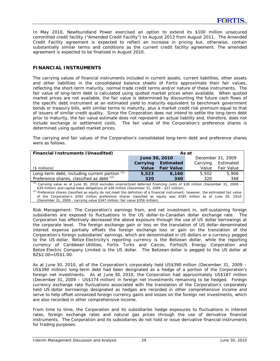In May 2010, Newfoundland Power exercised an option to extend its \$100 million unsecured committed credit facility ("Amended Credit Facility") to August 2013 from August 2011. The Amended Credit Facility agreement is expected to reflect an increase in pricing but, otherwise, contain substantially similar terms and conditions as the current credit facility agreement. The amended agreement is expected to be finalized in August 2010.

# **FINANCIAL INSTRUMENTS**

The carrying values of financial instruments included in current assets, current liabilities, other assets and other liabilities in the consolidated balance sheets of Fortis approximate their fair values, reflecting the short-term maturity, normal trade credit terms and/or nature of these instruments. The fair value of long-term debt is calculated using quoted market prices when available. When quoted market prices are not available, the fair value is determined by discounting the future cash flows of the specific debt instrument at an estimated yield to maturity equivalent to benchmark government bonds or treasury bills, with similar terms to maturity, plus a market credit risk premium equal to that of issuers of similar credit quality. Since the Corporation does not intend to settle the long-term debt prior to maturity, the fair value estimate does not represent an actual liability and, therefore, does not include exchange or settlement costs. The fair value of the Corporation's preference shares is determined using quoted market prices.

The carrying and fair values of the Corporation's consolidated long-term debt and preference shares were as follows.

| <b>Financial Instruments (Unaudited)</b>                                                                                                                                                                                                                                                                                                                                                                                                                                                                                                                                          | As at         |                   |          |                   |  |  |
|-----------------------------------------------------------------------------------------------------------------------------------------------------------------------------------------------------------------------------------------------------------------------------------------------------------------------------------------------------------------------------------------------------------------------------------------------------------------------------------------------------------------------------------------------------------------------------------|---------------|-------------------|----------|-------------------|--|--|
|                                                                                                                                                                                                                                                                                                                                                                                                                                                                                                                                                                                   | June 30, 2010 |                   |          | December 31, 2009 |  |  |
|                                                                                                                                                                                                                                                                                                                                                                                                                                                                                                                                                                                   | Carrying      | <b>Estimated</b>  | Carrying | Estimated         |  |  |
| (\$ millions)                                                                                                                                                                                                                                                                                                                                                                                                                                                                                                                                                                     | Value         | <b>Fair Value</b> | Value    | <b>Fair Value</b> |  |  |
| Long-term debt, including current portion $(1)$                                                                                                                                                                                                                                                                                                                                                                                                                                                                                                                                   | 5,523         | 6.160             | 5,502    | 5,906             |  |  |
| Preference shares, classified as debt (2)                                                                                                                                                                                                                                                                                                                                                                                                                                                                                                                                         | 320           | 340               | 320      | 348               |  |  |
| <sup>(1)</sup> Carrying value as at June 30, 2010 excludes unamortized deferred financing costs of \$38 million (December 31, 2009 -<br>\$39 million) and capital lease obligations of \$38 million (December 31, 2009 - \$37 million).<br>(2) Preference shares classified as equity do not meet the definition of a financial instrument; however, the estimated fair value<br>of the Corporation's \$592 million preference shares classified as equity was \$595 million as at June 30, 2010<br>(December 31, 2009 - carrying value \$347 million; fair value \$356 million). |               |                   |          |                   |  |  |

*Risk Management:* The Corporation's earnings from, and net investment in, self-sustaining foreign subsidiaries are exposed to fluctuations in the US dollar-to-Canadian dollar exchange rate. The Corporation has effectively decreased the above exposure through the use of US dollar borrowings at the corporate level. The foreign exchange gain or loss on the translation of US dollar-denominated interest expense partially offsets the foreign exchange loss or gain on the translation of the Corporation's foreign subsidiaries' earnings, which are denominated in US dollars or a currency pegged to the US dollar. Belize Electricity's reporting currency is the Belizean dollar, while the reporting currency of Caribbean Utilities, Fortis Turks and Caicos, FortisUS Energy Corporation and Belize Electric Company Limited is the US dollar. The Belizean dollar is pegged to the US dollar at BZ\$2.00=US\$1.00.

As at June 30, 2010, all of the Corporation's corporately held US\$390 million (December 31, 2009 – US\$390 million) long-term debt had been designated as a hedge of a portion of the Corporation's foreign net investments. As at June 30, 2010, the Corporation had approximately US\$187 million (December 31, 2009 – US\$174 million) in foreign net investments remaining to be hedged. Foreign currency exchange rate fluctuations associated with the translation of the Corporation's corporately held US dollar borrowings designated as hedges are recorded in other comprehensive income and serve to help offset unrealized foreign currency gains and losses on the foreign net investments, which are also recorded in other comprehensive income.

From time to time, the Corporation and its subsidiaries hedge exposures to fluctuations in interest rates, foreign exchange rates and natural gas prices through the use of derivative financial instruments. The Corporation and its subsidiaries do not hold or issue derivative financial instruments for trading purposes.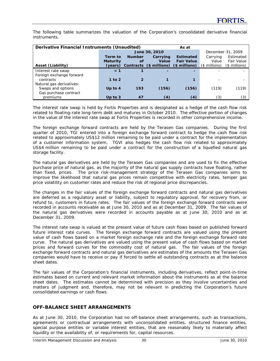The following table summarizes the valuation of the Corporation's consolidated derivative financial instruments.

| Derivative Financial Instruments (Unaudited) |                 |               |                         |                   |                          |                   |
|----------------------------------------------|-----------------|---------------|-------------------------|-------------------|--------------------------|-------------------|
|                                              |                 |               | June 30, 2010           |                   |                          | December 31, 2009 |
|                                              | Term to         | <b>Number</b> | Carrying                | <b>Estimated</b>  | Carrying                 | Estimated         |
|                                              | <b>Maturity</b> | of            | Value                   | <b>Fair Value</b> | Value                    | <b>Fair Value</b> |
| Asset (Liability)                            | (years)         |               | Contracts (\$ millions) | $$$ millions)     | $($$ millions)           | $($$ millions)    |
| Interest rate swap                           | $\leq 1$        |               |                         |                   |                          |                   |
| Foreign exchange forward                     |                 |               |                         |                   |                          |                   |
| contracts                                    | 1 to $2$        |               |                         |                   | $\overline{\phantom{a}}$ |                   |
| Natural gas derivatives:                     |                 |               |                         |                   |                          |                   |
| Swaps and options                            | Up to $4$       | 193           | (156)                   | (156)             | (119)                    | (119)             |
| Gas purchase contract                        |                 |               |                         |                   |                          |                   |
| premiums                                     | Up to $3$       | 47            | (4)                     | (4)               | (3)                      | (3)               |

The interest rate swap is held by Fortis Properties and is designated as a hedge of the cash flow risk related to floating-rate long-term debt and matures in October 2010. The effective portion of changes in the value of the interest rate swap at Fortis Properties is recorded in other comprehensive income.

The foreign exchange forward contracts are held by the Terasen Gas companies. During the first quarter of 2010, TGI entered into a foreign exchange forward contract to hedge the cash flow risk related to approximately US\$12 million remaining to be paid under a contract for the implementation of a customer information system. TGVI also hedges the cash flow risk related to approximately US\$4 million remaining to be paid under a contract for the construction of a liquefied natural gas storage facility.

The natural gas derivatives are held by the Terasen Gas companies and are used to fix the effective purchase price of natural gas, as the majority of the natural gas supply contracts have floating, rather than fixed, prices. The price risk-management strategy of the Terasen Gas companies aims to improve the likelihood that natural gas prices remain competitive with electricity rates, temper gas price volatility on customer rates and reduce the risk of regional price discrepancies.

The changes in the fair values of the foreign exchange forward contracts and natural gas derivatives are deferred as a regulatory asset or liability, subject to regulatory approval, for recovery from, or refund to, customers in future rates. The fair values of the foreign exchange forward contracts were recorded in accounts receivable as at June 30, 2010 and as at December 31, 2009. The fair values of the natural gas derivatives were recorded in accounts payable as at June 30, 2010 and as at December 31, 2009.

The interest rate swap is valued at the present value of future cash flows based on published forward future interest rate curves. The foreign exchange forward contracts are valued using the present value of cash flows based on a market foreign exchange rate and the foreign exchange forward rate curve. The natural gas derivatives are valued using the present value of cash flows based on market prices and forward curves for the commodity cost of natural gas. The fair values of the foreign exchange forward contracts and natural gas derivatives are estimates of the amounts the Terasen Gas companies would have to receive or pay if forced to settle all outstanding contracts as at the balance sheet dates.

The fair values of the Corporation's financial instruments, including derivatives, reflect point-in-time estimates based on current and relevant market information about the instruments as at the balance sheet dates. The estimates cannot be determined with precision as they involve uncertainties and matters of judgment and, therefore, may not be relevant in predicting the Corporation's future consolidated earnings or cash flows.

# **OFF-BALANCE SHEET ARRANGEMENTS**

As at June 30, 2010, the Corporation had no off-balance sheet arrangements, such as transactions, agreements or contractual arrangements with unconsolidated entities, structured finance entities, special purpose entities or variable interest entities, that are reasonably likely to materially affect liquidity or the availability of, or requirements for, capital resources.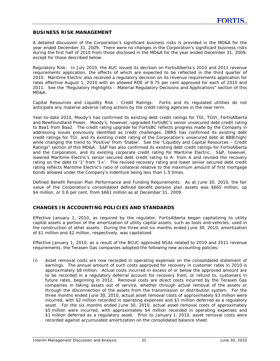# **BUSINESS RISK MANAGEMENT**

A detailed discussion of the Corporation's significant business risks is provided in the MD&A for the year ended December 31, 2009. There were no changes in the Corporation's significant business risks during the first half of 2010 from those disclosed in the MD&A for the year ended December 31, 2009, except for those described below.

*Regulatory Risk:* In July 2010, the AUC issued its decision on FortisAlberta's 2010 and 2011 revenue requirements application, the effects of which are expected to be reflected in the third quarter of 2010. Maritime Electric also received a regulatory decision on its revenue requirements application for rates effective August 1, 2010 with an allowed ROE of 9.75 per cent approved for each of 2010 and 2011. See the "Regulatory Highlights – Material Regulatory Decisions and Applications" section of this MD&A.

*Capital Resources and Liquidity Risk - Credit Ratings:* Fortis and its regulated utilities do not anticipate any material adverse rating actions by the credit rating agencies in the near term.

Year-to-date 2010, Moody's has confirmed its existing debt credit ratings for TGI, TGVI, FortisAlberta and Newfoundland Power. Moody's, however, upgraded FortisBC's senior unsecured debt credit rating to Baa1 from Baa2. The credit rating upgrade for FortisBC reflects progress made by the Company in addressing issues previously identified as credit challenges. DBRS has confirmed its existing debt credit ratings for TGI, and its existing credit rating of the Corporation's unsecured debt at BBB(high) while changing the trend to 'Positive' from 'Stable'. See the "Liquidity and Capital Resources – Credit Ratings" section of this MD&A. S&P has also confirmed its existing debt credit ratings for FortisAlberta and the Corporation, and its existing corporate credit rating for Maritime Electric. S&P, however, lowered Maritime Electric's senior secured debt credit rating to A- from A and revised the recovery rating on the debt to '1' from '1+'. The revised recovery rating and lower senior secured debt credit rating reflects Maritime Electric's ratio of collateral relative to the maximum amount of first mortgage bonds allowed under the Company's indenture being less than 1.5 times.

*Defined Benefit Pension Plan Performance and Funding Requirements:* As at June 30, 2010, the fair value of the Corporation's consolidated defined benefit pension plan assets was \$665 million, up \$4 million, or 0.6 per cent, from \$661 million as at December 31, 2009.

# **CHANGES IN ACCOUNTING POLICIES AND STANDARDS**

Effective January 1, 2010, as required by the regulator, FortisAlberta began capitalizing to utility capital assets a portion of the amortization of utility capital assets, such as tools and vehicles, used in the construction of other assets. During the three and six months ended June 30, 2010, amortization of \$1 million and \$2 million, respectively, was capitalized.

Effective January 1, 2010, as a result of the BCUC-approved NSAs related to 2010 and 2011 revenue requirements, the Terasen Gas companies adopted the following new accounting policies:

(i) Asset removal costs are now recorded in operating expenses on the consolidated statement of earnings. The annual amount of such costs approved for recovery in customer rates in 2010 is approximately \$8 million. Actual costs incurred in excess of or below the approved amount are to be recorded in a regulatory deferral account for recovery from, or refund to, customers in future rates, beginning in 2012. Removal costs are direct costs incurred by the Terasen Gas companies in taking assets out of service, whether through actual removal of the assets or through the disconnection of the assets from the transmission or distribution system. For the three months ended June 30, 2010, actual asset removal costs of approximately \$3 million were incurred, with \$2 million recorded in operating expenses and \$1 million deferred as a regulatory asset. For the six months ended June 30, 2010, actual asset removal costs of approximately \$5 million were incurred, with approximately \$4 million recorded in operating expenses and \$1 million deferred as a regulatory asset. Prior to January 1, 2010, asset removal costs were recorded against accumulated amortization on the consolidated balance sheet.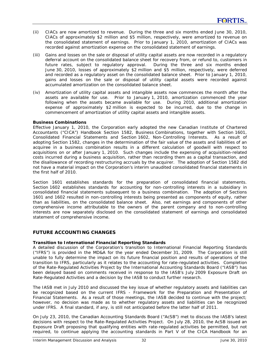- (ii) CIACs are now amortized to revenue. During the three and six months ended June 30, 2010, CIACs of approximately \$2 million and \$5 million, respectively, were amortized to revenue on the consolidated statement of earnings. Prior to January 1, 2010, amortization of CIACs was recorded against amortization expense on the consolidated statement of earnings.
- (iii) Gains and losses on the sale or disposal of utility capital assets are now recorded in a regulatory deferral account on the consolidated balance sheet for recovery from, or refund to, customers in future rates, subject to regulatory approval. During the three and six months ended June 30, 2010, losses of approximately \$2 million and \$5 million, respectively, were deferred and recorded as a regulatory asset on the consolidated balance sheet. Prior to January 1, 2010, gains and losses on the sale or disposal of utility capital assets were recorded against accumulated amortization on the consolidated balance sheet.
- (iv) Amortization of utility capital assets and intangible assets now commences the month after the assets are available for use. Prior to January 1, 2010, amortization commenced the year following when the assets became available for use. During 2010, additional amortization expense of approximately \$2 million is expected to be incurred, due to the change in commencement of amortization of utility capital assets and intangible assets.

## **Business Combinations**

Effective January 1, 2010, the Corporation early adopted the new Canadian Institute of Chartered Accountants ("CICA") Handbook Section 1582, *Business Combinations*, together with Section 1601, *Consolidated Financial Statements* and Section 1602, *Non-Controlling Interests*. As a result of adopting Section 1582, changes in the determination of the fair value of the assets and liabilities of an acquiree in a business combination results in a different calculation of goodwill with respect to acquisitions on or after January 1, 2010. Such changes include the expensing of acquisition-related costs incurred during a business acquisition, rather than recording them as a capital transaction, and the disallowance of recording restructuring accruals by the acquirer. The adoption of Section 1582 did not have a material impact on the Corporation's interim unaudited consolidated financial statements in the first half of 2010.

Section 1601 establishes standards for the preparation of consolidated financial statements. Section 1602 establishes standards for accounting for non-controlling interests in a subsidiary in consolidated financial statements subsequent to a business combination. The adoption of Sections 1601 and 1602 resulted in non-controlling interests being presented as components of equity, rather than as liabilities, on the consolidated balance sheet. Also, net earnings and components of other comprehensive income attributable to the owners of the parent company and to non-controlling interests are now separately disclosed on the consolidated statement of earnings and consolidated statement of comprehensive income.

# **FUTURE ACCOUNTING CHANGES**

# **Transition to International Financial Reporting Standards**

A detailed discussion of the Corporation's transition to International Financial Reporting Standards ("IFRS") is provided in the MD&A for the year ended December 31, 2009. The Corporation is still unable to fully determine the impact on its future financial position and results of operations of the transition to IFRS, particularly as it relates to the accounting for rate-regulated activities. Completion of the Rate-Regulated Activities Project by the International Accounting Standards Board ("IASB") has been delayed based on comments received in response to the IASB's July 2009 Exposure Draft on Rate-Regulated Activities and a decision by the IASB to conduct further research.

The IASB met in July 2010 and discussed the key issue of whether regulatory assets and liabilities can be recognized based on the current IFRS - *Framework for the Preparation and Presentation of Financial Statements*. As a result of those meetings, the IASB decided to continue with the project; however, no decision was made as to whether regulatory assets and liabilities can be recognized under IFRS. A final standard, if any, is still not anticipated before the latter half of 2011.

On July 23, 2010, the Canadian Accounting Standards Board ("AcSB") met to discuss the IASB's latest decisions with respect to the Rate-Regulated Activities Project. On July 28, 2010, the AcSB issued an Exposure Draft proposing that qualifying entities with rate-regulated activities be permitted, but not required, to continue applying the accounting standards in Part V of the CICA Handbook for an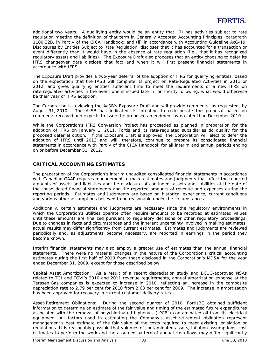additional two years. A qualifying entity would be an entity that: (i) has activities subject to rate regulation meeting the definition of that term in *Generally Accepted Accounting Principles*, paragraph 1100.32B, in Part V of the CICA Handbook; and (ii) in accordance with Accounting Guideline AcG-19, *Disclosures by Entities Subject to Rate Regulation*, discloses that it has accounted for a transaction or event differently than it would have in the absence of rate regulation (i.e., that it has recognized regulatory assets and liabilities). The Exposure Draft also proposes that an entity choosing to defer its IFRS changeover date disclose that fact and when it will first present financial statements in accordance with IFRS.

The Exposure Draft provides a two-year deferral of the adoption of IFRS for qualifying entities, based on the expectation that the IASB will complete its project on Rate-Regulated Activities in 2011 or 2012, and gives qualifying entities sufficient time to meet the requirements of a new IFRS on rate-regulated activities in the event one is issued late in, or shortly following, what would otherwise be their year of IFRS adoption.

The Corporation is reviewing the AcSB's Exposure Draft and will provide comments, as requested, by August 31, 2010. The AcSB has indicated its intention to redeliberate the proposal based on comments received and expects to issue the proposed amendment by no later than December 2010.

While the Corporation's IFRS Conversion Project has proceeded as planned in preparation for the adoption of IFRS on January 1, 2011, Fortis and its rate-regulated subsidiaries do qualify for the proposed deferral option. If the Exposure Draft is approved, the Corporation will elect to defer the adoption of IFRS until 2013 and will, therefore, continue to prepare its consolidated financial statements in accordance with Part V of the CICA Handbook for all interim and annual periods ending on or before December 31, 2012.

# **CRITICAL ACCOUNTING ESTIMATES**

The preparation of the Corporation's interim unaudited consolidated financial statements in accordance with Canadian GAAP requires management to make estimates and judgments that affect the reported amounts of assets and liabilities and the disclosure of contingent assets and liabilities at the date of the consolidated financial statements and the reported amounts of revenue and expenses during the reporting periods. Estimates and judgments are based on historical experience, current conditions and various other assumptions believed to be reasonable under the circumstances.

Additionally, certain estimates and judgments are necessary since the regulatory environments in which the Corporation's utilities operate often require amounts to be recorded at estimated values until these amounts are finalized pursuant to regulatory decisions or other regulatory proceedings. Due to changes in facts and circumstances and the inherent uncertainty involved in making estimates, actual results may differ significantly from current estimates. Estimates and judgments are reviewed periodically and, as adjustments become necessary, are reported in earnings in the period they become known.

Interim financial statements may also employ a greater use of estimates than the annual financial statements. There were no material changes in the nature of the Corporation's critical accounting estimates during the first half of 2010 from those disclosed in the Corporation's MD&A for the year ended December 31, 2009, except for those described below.

*Capital Asset Amortization:* As a result of a recent depreciation study and BCUC-approved NSAs related to TGI and TGVI's 2010 and 2011 revenue requirements, annual amortization expense at the Terasen Gas companies is expected to increase in 2010, reflecting an increase in the composite depreciation rate to 2.79 per cent for 2010 from 2.63 per cent for 2009. The increase in amortization has been approved for recovery in current customer delivery rates.

*Asset-Retirement Obligations:* During the second quarter of 2010, FortisBC obtained sufficient information to determine an estimate of the fair value and timing of the estimated future expenditures associated with the removal of polychlorinated biphenyls ("PCB")-contaminated oil from its electrical equipment. All factors used in estimating the Company's asset-retirement obligation represent management's best estimate of the fair value of the costs required to meet existing legislation or regulations. It is reasonably possible that volumes of contaminated assets, inflation assumptions, cost estimates to perform the work and the assumed pattern of annual cash flows may differ significantly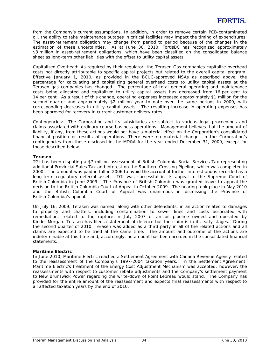from the Company's current assumptions. In addition, in order to remove certain PCB-contaminated oil, the ability to take maintenance outages in critical facilities may impact the timing of expenditures. The asset-retirement obligation may change from period to period because of the changes in the estimation of these uncertainties. As at June 30, 2010, FortisBC has recognized approximately \$3 million in asset-retirement obligations, which have been classified on the consolidated balance sheet as long-term other liabilities with the offset to utility capital assets.

*Capitalized Overhead:* As required by their regulator, the Terasen Gas companies capitalize overhead costs not directly attributable to specific capital projects but related to the overall capital program. Effective January 1, 2010, as provided in the BCUC-approved NSAs as described above, the percentage for calculating and capitalizing general overhead costs to utility capital assets at the Terasen gas companies has changed. The percentage of total general operating and maintenance costs being allocated and capitalized to utility capital assets has decreased from 16 per cent to 14 per cent. As a result of this change, operating expenses increased approximately \$1 million for the second quarter and approximately \$2 million year to date over the same periods in 2009, with corresponding decreases in utility capital assets. The resulting increase in operating expenses has been approved for recovery in current customer delivery rates.

*Contingencies:*The Corporation and its subsidiaries are subject to various legal proceedings and claims associated with ordinary course business operations. Management believes that the amount of liability, if any, from these actions would not have a material effect on the Corporation's consolidated financial position or results of operations. There were no material changes in the Corporation's contingencies from those disclosed in the MD&A for the year ended December 31, 2009, except for those described below.

## **Terasen**

TGI has been disputing a \$7 million assessment of British Columbia Social Services Tax representing additional Provincial Sales Tax and interest on the Southern Crossing Pipeline, which was completed in 2000. The amount was paid in full in 2006 to avoid the accrual of further interest and is recorded as a long-term regulatory deferral asset. TGI was successful in its appeal to the Supreme Court of British Columbia in June 2009. The Province of British Columbia was granted leave to appeal the decision to the British Columbia Court of Appeal in October 2009. The hearing took place in May 2010 and the British Columbia Court of Appeal was unanimous in dismissing the Province of British Columbia's appeal.

On July 16, 2009, Terasen was named, along with other defendants, in an action related to damages to property and chattels, including contamination to sewer lines and costs associated with remediation, related to the rupture in July 2007 of an oil pipeline owned and operated by Kinder Morgan. Terasen has filed a statement of defence but the claim is in its early stages. During the second quarter of 2010, Terasen was added as a third party in all of the related actions and all claims are expected to be tried at the same time. The amount and outcome of the actions are indeterminable at this time and, accordingly, no amount has been accrued in the consolidated financial statements.

#### **Maritime Electric**

In June 2010, Maritime Electric reached a Settlement Agreement with Canada Revenue Agency related to the reassessment of the Company's 1997-2004 taxation years. In the Settlement Agreement, Maritime Electric's treatment of the Energy Cost Adjustment Mechanism was accepted; however, the reassessments with respect to customer rebate adjustments and the Company's settlement payment to New Brunswick Power regarding the write-down of Point Lepreau would stand. The Company has provided for the entire amount of the reassessment and expects final reassessments with respect to all affected taxation years by the end of 2010.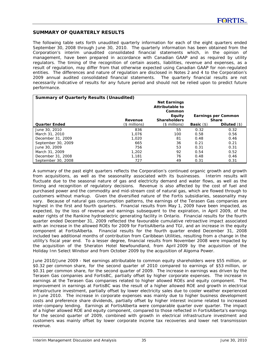# **SUMMARY OF QUARTERLY RESULTS**

The following table sets forth unaudited quarterly information for each of the eight quarters ended September 30, 2008 through June 30, 2010. The quarterly information has been obtained from the Corporation's interim unaudited consolidated financial statements which, in the opinion of management, have been prepared in accordance with Canadian GAAP and as required by utility regulators. The timing of the recognition of certain assets, liabilities, revenue and expenses, as a result of regulation, may differ from that otherwise expected using Canadian GAAP for non-regulated entities. The differences and nature of regulation are disclosed in Notes 2 and 4 to the Corporation's 2009 annual audited consolidated financial statements. The quarterly financial results are not necessarily indicative of results for any future period and should not be relied upon to predict future performance.

| <b>Summary of Quarterly Results (Unaudited)</b> |                |                                                            |                     |                     |  |  |  |  |  |
|-------------------------------------------------|----------------|------------------------------------------------------------|---------------------|---------------------|--|--|--|--|--|
|                                                 |                | <b>Net Earnings</b><br>Attributable to<br>Common<br>Equity |                     | Earnings per Common |  |  |  |  |  |
|                                                 | Revenue        | <b>Shareholders</b>                                        |                     | <b>Share</b>        |  |  |  |  |  |
| <b>Quarter Ended</b>                            | $($$ millions) | (\$ millions)                                              | <b>Basic</b> $(\$)$ | Diluted $(\$)$      |  |  |  |  |  |
| June 30, 2010                                   | 836            | 55                                                         | 0.32                | 0.32                |  |  |  |  |  |
| March 31, 2010                                  | 1.076          | 100                                                        | 0.58                | 0.56                |  |  |  |  |  |
| December 31, 2009                               | 1,020          | 81                                                         | 0.48                | 0.46                |  |  |  |  |  |
| September 30, 2009                              | 665            | 36                                                         | 0.21                | 0.21                |  |  |  |  |  |
| June 30, 2009                                   | 756            | 53                                                         | 0.31                | 0.31                |  |  |  |  |  |
| March 31, 2009                                  | 1,202          | 92                                                         | 0.54                | 0.52                |  |  |  |  |  |
| December 31, 2008                               | 1,181          | 76                                                         | 0.48                | 0.46                |  |  |  |  |  |
| September 30, 2008                              | 727            | 49                                                         | 0.31                | 0.31                |  |  |  |  |  |

A summary of the past eight quarters reflects the Corporation's continued organic growth and growth from acquisitions, as well as the seasonality associated with its businesses. Interim results will fluctuate due to the seasonal nature of gas and electricity demand and water flows, as well as the timing and recognition of regulatory decisions. Revenue is also affected by the cost of fuel and purchased power and the commodity and mid-stream cost of natural gas, which are flowed through to customers without markup. Given the diversified nature of the Fortis subsidiaries, seasonality may vary. Because of natural gas consumption patterns, the earnings of the Terasen Gas companies are highest in the first and fourth quarters. Financial results from May 1, 2009 have been impacted, as expected, by the loss of revenue and earnings subsequent to the expiration, in April 2009, of the water rights of the Rankine hydroelectric generating facility in Ontario. Financial results for the fourth quarter ended December 31, 2009 reflected the favourable cumulative retroactive impact associated with an increase in the allowed ROEs for 2009 for FortisAlberta and TGI, and an increase in the equity component at FortisAlberta. Financial results for the fourth quarter ended December 31, 2008 included two additional months of contribution from Caribbean Utilities, resulting from a change in the utility's fiscal year end. To a lesser degree, financial results from November 2008 were impacted by the acquisition of the Sheraton Hotel Newfoundland, from April 2009 by the acquisition of the Holiday Inn Select Windsor and from October 2009 by the acquisition of Algoma Power.

*June 2010/June 2009 -* Net earnings attributable to common equity shareholders were \$55 million, or \$0.32 per common share, for the second quarter of 2010 compared to earnings of \$53 million, or \$0.31 per common share, for the second quarter of 2009. The increase in earnings was driven by the Terasen Gas companies and FortisBC, partially offset by higher corporate expenses. The increase in earnings at the Terasen Gas companies related to higher allowed ROEs and equity component. The improvement in earnings at FortisBC was the result of a higher allowed ROE and growth in electrical infrastructure investment, partially offset by lower electricity sales due to cooler weather experienced in June 2010. The increase in corporate expenses was mainly due to higher business development costs and preference share dividends, partially offset by higher interest income related to increased inter-company lending. Earnings at FortisAlberta were comparable quarter over quarter. The impact of a higher allowed ROE and equity component, compared to those reflected in FortisAlberta's earnings for the second quarter of 2009, combined with growth in electrical infrastructure investment and customers was mainly offset by lower corporate income tax recoveries and lower net transmission revenue.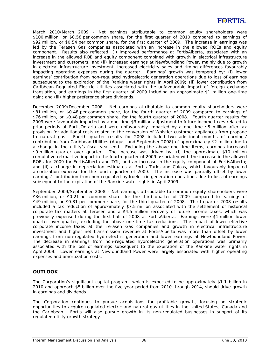*March 2010/March 2009 -* Net earnings attributable to common equity shareholders were \$100 million, or \$0.58 per common share, for the first quarter of 2010 compared to earnings of \$92 million, or \$0.54 per common share, for the first quarter of 2009. The increase in earnings was led by the Terasen Gas companies associated with an increase in the allowed ROEs and equity component. Results also reflected: (i) improved performance at FortisAlberta, associated with an increase in the allowed ROE and equity component combined with growth in electrical infrastructure investment and customers; and (ii) increased earnings at Newfoundland Power, mainly due to growth in electrical infrastructure investment, increased electricity sales and timing differences favourably impacting operating expenses during the quarter. Earnings' growth was tempered by: (i) lower earnings' contribution from non-regulated hydroelectric generation operations due to loss of earnings subsequent to the expiration of the Rankine water rights in April 2009; (ii) lower contribution from Caribbean Regulated Electric Utilities associated with the unfavourable impact of foreign exchange translation, and earnings in the first quarter of 2009 including an approximate \$1 million one-time gain; and (iii) higher preference share dividends.

*December 2009/December 2008 -* Net earnings attributable to common equity shareholders were \$81 million, or \$0.48 per common share, for the fourth quarter of 2009 compared to earnings of \$76 million, or \$0.48 per common share, for the fourth quarter of 2008. Fourth quarter results for 2009 were favourably impacted by a one-time \$3 million adjustment to future income taxes related to prior periods at FortisOntario and were unfavourably impacted by a one-time \$5 million after-tax provision for additional costs related to the conversion of Whistler customer appliances from propane to natural gas. Fourth quarter results for 2008 included two additional months of earnings' contribution from Caribbean Utilities (August and September 2008) of approximately \$2 million due to a change in the utility's fiscal year end. Excluding the above one-time items, earnings increased \$9 million quarter over quarter. The increase was driven by: (i) the approximate \$10 million cumulative retroactive impact in the fourth quarter of 2009 associated with the increase in the allowed ROEs for 2009 for FortisAlberta and TGI, and an increase in the equity component at FortisAlberta; and (ii) a change in depreciation estimates at Fortis Turks and Caicos, which favourably impacted amortization expense for the fourth quarter of 2009. The increase was partially offset by lower earnings' contribution from non-regulated hydroelectric generation operations due to loss of earnings subsequent to the expiration of the Rankine water rights in April 2009.

*September 2009/September 2008 -* Net earnings attributable to common equity shareholders were \$36 million, or \$0.21 per common share, for the third quarter of 2009 compared to earnings of \$49 million, or \$0.31 per common share, for the third quarter of 2008. Third quarter 2008 results included a tax reduction of approximately \$7.5 million associated with the settlement of historical corporate tax matters at Terasen and a \$4.5 million recovery of future income taxes, which was previously expensed during the first half of 2008 at FortisAlberta. Earnings were \$1 million lower quarter over quarter, excluding the above one-time tax reductions. The impact of lower effective corporate income taxes at the Terasen Gas companies and growth in electrical infrastructure investment and higher net transmission revenue at FortisAlberta was more than offset by lower earnings from non-regulated hydroelectric generation and lower earnings at Newfoundland Power. The decrease in earnings from non-regulated hydroelectric generation operations was primarily associated with the loss of earnings subsequent to the expiration of the Rankine water rights in April 2009. Lower earnings at Newfoundland Power were largely associated with higher operating expenses and amortization costs.

# **OUTLOOK**

The Corporation's significant capital program, which is expected to be approximately \$1.1 billion in 2010 and approach \$5 billion over the five-year period from 2010 through 2014, should drive growth in earnings and dividends.

The Corporation continues to pursue acquisitions for profitable growth, focusing on strategic opportunities to acquire regulated electric and natural gas utilities in the United States, Canada and the Caribbean. Fortis will also pursue growth in its non-regulated businesses in support of its regulated utility growth strategy.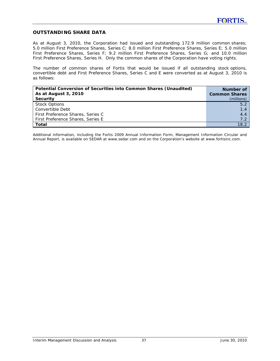# **OUTSTANDING SHARE DATA**

As at August 3, 2010, the Corporation had issued and outstanding 172.9 million common shares; 5.0 million First Preference Shares, Series C; 8.0 million First Preference Shares, Series E; 5.0 million First Preference Shares, Series F; 9.2 million First Preference Shares, Series G; and 10.0 million First Preference Shares, Series H. Only the common shares of the Corporation have voting rights.

The number of common shares of Fortis that would be issued if all outstanding stock options, convertible debt and First Preference Shares, Series C and E were converted as at August 3, 2010 is as follows:

| Potential Conversion of Securities into Common Shares (Unaudited) | Number of            |
|-------------------------------------------------------------------|----------------------|
| As at August 3, 2010                                              | <b>Common Shares</b> |
| Security                                                          | (millions)           |
| <b>Stock Options</b>                                              | 5.2                  |
| Convertible Debt                                                  | 1.4                  |
| First Preference Shares, Series C                                 | 4.4                  |
| First Preference Shares, Series E                                 | 7.2                  |
| Total                                                             | 18.2                 |

*Additional information, including the Fortis 2009 Annual Information Form, Management Information Circular and Annual Report, is available on SEDAR at www.sedar.com and on the Corporation's website at www.fortisinc.com.*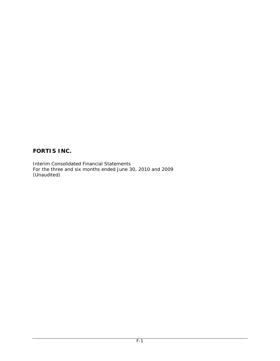# **FORTIS INC.**

Interim Consolidated Financial Statements For the three and six months ended June 30, 2010 and 2009 (Unaudited)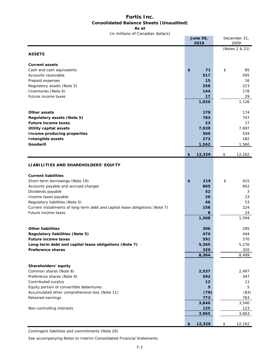# **Fortis Inc. Consolidated Balance Sheets (Unaudited)**

**As at**

(in millions of Canadian dollars)

|                                                                               | <b>June 30,</b><br>2010 | December 31,<br>2009 |
|-------------------------------------------------------------------------------|-------------------------|----------------------|
|                                                                               |                         | (Notes 2 & 21)       |
| <b>ASSETS</b>                                                                 |                         |                      |
| <b>Current assets</b>                                                         |                         |                      |
| Cash and cash equivalents                                                     | \$<br>71                | \$<br>85             |
| Accounts receivable                                                           | 517                     | 595                  |
| Prepaid expenses                                                              | 15                      | 16                   |
| Regulatory assets (Note 5)                                                    | 256                     | 223                  |
| Inventories (Note 6)                                                          | 144                     | 178                  |
| Future income taxes                                                           | 17                      | 29                   |
|                                                                               | 1,020                   | 1,126                |
| Other assets                                                                  | 170                     | 174                  |
| <b>Regulatory assets (Note 5)</b>                                             | 783                     | 747                  |
| <b>Future income taxes</b>                                                    | 23                      | 17                   |
| <b>Utility capital assets</b>                                                 | 7,939                   | 7,697                |
| Income producing properties                                                   | 560                     | 559                  |
| Intangible assets                                                             | 272                     | 282                  |
| Goodwill                                                                      | 1,562                   | 1,560                |
|                                                                               | \$<br>12,329            | \$<br>12,162         |
| LIABILITIES AND SHAREHOLDERS' EQUITY                                          |                         |                      |
|                                                                               |                         |                      |
| <b>Current liabilities</b>                                                    |                         |                      |
| Short-term borrowings (Note 19)                                               | \$<br>219               | \$<br>415            |
| Accounts payable and accrued charges                                          | 805                     | 852                  |
| Dividends payable                                                             | 52                      | 3                    |
| Income taxes payable                                                          | 20                      | 23                   |
| Regulatory liabilities (Note 5)                                               | 46                      | 53                   |
| Current installments of long-term debt and capital lease obligations (Note 7) | 158                     | 224                  |
| Future income taxes                                                           | 8                       | 24                   |
|                                                                               | 1,308                   | 1,594                |
| <b>Other liabilities</b>                                                      | 306                     | 295                  |
| <b>Regulatory liabilities (Note 5)</b>                                        | 474                     | 444                  |
| Future income taxes                                                           | 591                     | 570                  |
| Long-term debt and capital lease obligations (Note 7)                         | 5,365                   | 5,276                |
| <b>Preference shares</b>                                                      | 320                     | 320                  |
|                                                                               | 8,364                   | 8,499                |
|                                                                               |                         |                      |
| Shareholders' equity<br>Common shares (Note 8)                                | 2,537                   | 2,497                |
| Preference shares (Note 9)                                                    | 592                     | 347                  |
| Contributed surplus                                                           | 12                      | 11                   |
| Equity portion of convertible debentures                                      | 5                       | 5                    |
| Accumulated other comprehensive loss (Note 11)                                | (79)                    | (83)                 |
| Retained earnings                                                             | 773                     | 763                  |
|                                                                               | 3,840                   | 3,540                |
| Non-controlling interests                                                     | 125                     | 123                  |
|                                                                               | 3,965                   | 3,663                |
|                                                                               | 12,329<br>\$            | \$<br>12,162         |

Contingent liabilities and commitments (Note 20)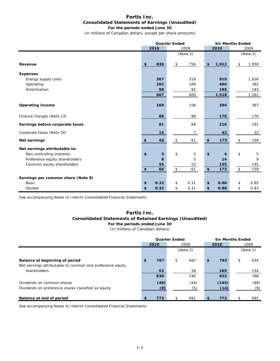#### **Fortis Inc. Consolidated Statements of Earnings (Unaudited) For the periods ended June 30**

(in millions of Canadian dollars, except per share amounts)

|                                    | <b>Quarter Ended</b> |              |           | <b>Six Months Ended</b> |            |                  |      |             |          |
|------------------------------------|----------------------|--------------|-----------|-------------------------|------------|------------------|------|-------------|----------|
|                                    |                      | 2010<br>2009 |           |                         | 2010       |                  | 2009 |             |          |
|                                    |                      |              |           | (Note 2)                |            |                  |      |             | (Note 2) |
| Revenue                            | \$                   | 836          | \$        | 756                     | \$         | 1,912            |      | \$          | 1,958    |
| <b>Expenses</b>                    |                      |              |           |                         |            |                  |      |             |          |
| Energy supply costs                |                      | 367          |           | 319                     |            | 919              |      |             | 1,026    |
| Operating                          |                      | 202          |           | 189                     |            | 404              |      |             | 382      |
| Amortization                       |                      | 98           |           | 92                      |            | 195              |      |             | 183      |
|                                    |                      | 667          |           | 600                     |            | 1,518            |      |             | 1,591    |
| <b>Operating income</b>            |                      | 169          |           | 156                     |            | 394              |      |             | 367      |
| Finance charges (Note 13)          |                      | 88           |           | 88                      |            | 178              |      |             | 176      |
| Earnings before corporate taxes    |                      | 81           |           | 68                      |            | 216              |      |             | 191      |
| Corporate taxes (Note 14)          |                      | 15           |           | $\overline{7}$          |            | 43               |      |             | 32       |
| Net earnings                       | \$                   | 66           | \$        | 61                      | \$         | 173              |      | \$          | 159      |
| Net earnings attributable to:      |                      |              |           |                         |            |                  |      |             |          |
| Non-controlling interests          | \$                   | 3            | \$        | 3                       | \$         | $\boldsymbol{4}$ |      | \$          | 5        |
| Preference equity shareholders     |                      | 8            |           | 5                       |            | 14               |      |             | 9        |
| Common equity shareholders         |                      | 55           |           | 53                      |            | 155              |      |             | 145      |
|                                    | \$                   | 66           | $\,$ $\,$ | 61                      | $\pmb{\$}$ | 173              |      | $\mathbb S$ | 159      |
| Earnings per common share (Note 8) |                      |              |           |                         |            |                  |      |             |          |
| <b>Basic</b>                       | \$                   | 0.32         | \$        | 0.31                    | \$         | 0.90             |      | \$          | 0.85     |
| <b>Diluted</b>                     | \$                   | 0.32         | \$        | 0.31                    | \$         | 0.88             |      | \$          | 0.83     |

See accompanying Notes to Interim Consolidated Financial Statements

# **Fortis Inc. Consolidated Statements of Retained Earnings (Unaudited) For the periods ended June 30**

(in millions of Canadian dollars)

|                                                                                             | <b>Quarter Ended</b> |             |      |             |    | <b>Six Months Ended</b> |          |             |
|---------------------------------------------------------------------------------------------|----------------------|-------------|------|-------------|----|-------------------------|----------|-------------|
|                                                                                             | 2010                 |             | 2009 |             |    | 2010                    | 2009     |             |
|                                                                                             | (Note 2)             |             |      |             |    |                         | (Note 2) |             |
| Balance at beginning of period<br>Net earnings attributable to common and preference equity | $\mathbf{f}$         | 767         | \$   | 682         | \$ | 763                     | \$       | 634         |
| shareholders                                                                                |                      | 63<br>830   |      | 58<br>740   |    | 169<br>932              |          | 154<br>788  |
| Dividends on common shares<br>Dividends on preference shares classified as equity           |                      | (49)<br>(8) |      | (44)<br>(5) |    | (145)<br>(14)           |          | (88)<br>(9) |
| Balance at end of period                                                                    |                      | 773         | -S.  | 691         | \$ | 773                     | \$       | 691         |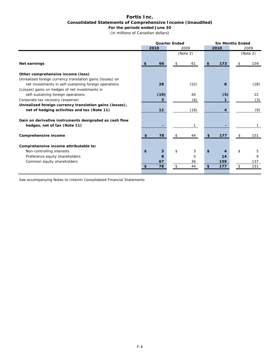#### **Fortis Inc. Consolidated Statements of Comprehensive Income (Unaudited) For the periods ended June 30**

(in millions of Canadian dollars)

|                                                                                                                    |          | <b>Quarter Ended</b> | <b>Six Months Ended</b> |           |  |  |
|--------------------------------------------------------------------------------------------------------------------|----------|----------------------|-------------------------|-----------|--|--|
|                                                                                                                    | 2010     | 2009                 | 2010                    | 2009      |  |  |
|                                                                                                                    |          | (Note 2)             |                         | (Note 2)  |  |  |
| Net earnings                                                                                                       | \$<br>66 | 61<br>\$             | 173<br>\$               | 159<br>\$ |  |  |
| Other comprehensive income (loss)                                                                                  |          |                      |                         |           |  |  |
| Unrealized foreign currency translation gains (losses) on<br>net investments in self-sustaining foreign operations | 28       | (52)                 | 8                       | (28)      |  |  |
| (Losses) gains on hedges of net investments in<br>self-sustaining foreign operations                               | (19)     | 40                   |                         | 22        |  |  |
| Corporate tax recovery (expense)                                                                                   | 3        | (6)                  | (5)                     | (3)       |  |  |
| Unrealized foreign currency translation gains (losses),                                                            |          |                      |                         |           |  |  |
| net of hedging activities and tax (Note 11)                                                                        | 12       | (18)                 | 4                       | (9)       |  |  |
| Gain on derivative instruments designated as cash flow<br>hedges, net of tax (Note 11)                             | -        | 1                    |                         |           |  |  |
| Comprehensive income                                                                                               | 78<br>\$ | 44<br>\$             | \$<br>177               | 151<br>\$ |  |  |
| Comprehensive income attributable to:                                                                              |          |                      |                         |           |  |  |
| Non-controlling interests                                                                                          | \$<br>3  | \$<br>3              | \$<br>4                 | \$<br>5   |  |  |
| Preference equity shareholders                                                                                     | 8        | 5                    | 14                      | 9         |  |  |
| Common equity shareholders                                                                                         | 67       | 36                   | 159                     | 137       |  |  |
|                                                                                                                    | 78<br>\$ | 44<br>\$             | 177<br>\$               | \$<br>151 |  |  |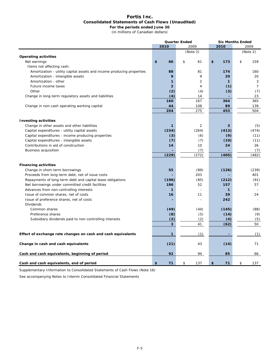#### **Fortis Inc. Consolidated Statements of Cash Flows (Unaudited) For the periods ended June 30**

(in millions of Canadian dollars)

|                                                                       |                | <b>Quarter Ended</b> | <b>Six Months Ended</b> |                |  |
|-----------------------------------------------------------------------|----------------|----------------------|-------------------------|----------------|--|
|                                                                       | 2010           | 2009                 | 2010                    | 2009           |  |
|                                                                       |                | (Note 2)             |                         | (Note 2)       |  |
| <b>Operating activities</b>                                           |                |                      |                         |                |  |
| Net earnings                                                          | \$<br>66       | \$<br>61             | \$<br>173               | \$<br>159      |  |
| Items not affecting cash:                                             |                |                      |                         |                |  |
| Amortization - utility capital assets and income producing properties | 88             | 81                   | 174                     | 160            |  |
| Amortization - intangible assets                                      | 9              | 9                    | 20                      | 20             |  |
| Amortization - other                                                  | $\mathbf{1}$   | $\overline{2}$       | 1                       | 3              |  |
| Future income taxes                                                   | $\overline{2}$ | $\overline{4}$       | (1)                     | $\overline{7}$ |  |
| Other                                                                 | (2)            | (4)                  | (3)                     | (7)            |  |
| Change in long-term regulatory assets and liabilities                 | (4)            | 14                   |                         | 23             |  |
|                                                                       | 160            | 167                  | 364                     | 365            |  |
| Change in non-cash operating working capital                          | 44             | 108                  | 89                      | 139            |  |
|                                                                       | 204            | 275                  | 453                     | 504            |  |
|                                                                       |                |                      |                         |                |  |
| <b>Investing activities</b>                                           |                |                      |                         |                |  |
| Change in other assets and other liabilities                          | 1              | 2                    | 3                       | (5)            |  |
| Capital expenditures - utility capital assets                         | (234)          | (264)                | (413)                   | (474)          |  |
| Capital expenditures - income producing properties                    | (3)            | (6)                  | (9)                     | (11)           |  |
| Capital expenditures - intangible assets                              | (7)            | (7)                  | (10)                    | (11)           |  |
| Contributions in aid of construction                                  | 14             | 10                   | 24                      | 26             |  |
| <b>Business acquisition</b>                                           |                | (7)                  |                         | (7)            |  |
|                                                                       | (229)          | (272)                | (405)                   | (482)          |  |
|                                                                       |                |                      |                         |                |  |
| <b>Financing activities</b>                                           |                |                      |                         |                |  |
| Change in short-term borrowings                                       | 55             | (89)                 | (126)                   | (239)          |  |
| Proceeds from long-term debt, net of issue costs                      |                | 203                  |                         | 401            |  |
| Repayments of long-term debt and capital lease obligations            | (196)          | (85)                 | (212)                   | (91)           |  |
| Net borrowings under committed credit facilities                      | 186            | 52                   | 157                     | 57             |  |
| Advances from non-controlling interests                               | $\mathbf{1}$   |                      | 1                       |                |  |
| Issue of common shares, net of costs                                  | 16             | 11                   | 39                      | 24             |  |
| Issue of preference shares, net of costs                              |                |                      | 242                     |                |  |
| <b>Dividends</b>                                                      |                |                      |                         |                |  |
| Common shares                                                         | (49)           | (44)                 | (145)                   | (88)           |  |
| Preference shares                                                     | (8)            | (5)                  | (14)                    | (9)            |  |
| Subsidiary dividends paid to non-controlling interests                | (2)            | (2)                  | (4)                     | (5)            |  |
|                                                                       | 3              | 41                   | (62)                    | 50             |  |
|                                                                       |                |                      |                         |                |  |
| Effect of exchange rate changes on cash and cash equivalents          | $\mathbf{1}$   | (1)                  |                         | (1)            |  |
| Change in cash and cash equivalents                                   | (21)           | 43                   | (14)                    | 71             |  |
|                                                                       |                |                      |                         |                |  |
| Cash and cash equivalents, beginning of period                        | 92             | 94                   | 85                      | 66             |  |
| Cash and cash equivalents, end of period                              | \$<br>71       | \$<br>137            | \$<br>71                | \$<br>137      |  |

Supplementary Information to Consolidated Statements of Cash Flows (Note 16)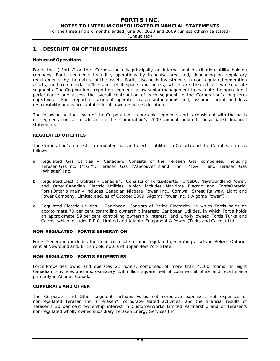For the three and six months ended June 30, 2010 and 2009 (unless otherwise stated)

(Unaudited)

# **1. DESCRIPTION OF THE BUSINESS**

#### **Nature of Operations**

Fortis Inc. ("Fortis" or the "Corporation") is principally an international distribution utility holding company. Fortis segments its utility operations by franchise area and, depending on regulatory requirements, by the nature of the assets. Fortis also holds investments in non-regulated generation assets, and commercial office and retail space and hotels, which are treated as two separate segments. The Corporation's reporting segments allow senior management to evaluate the operational performance and assess the overall contribution of each segment to the Corporation's long-term objectives. Each reporting segment operates as an autonomous unit, assumes profit and loss responsibility and is accountable for its own resource allocation.

The following outlines each of the Corporation's reportable segments and is consistent with the basis of segmentation as disclosed in the Corporation's 2009 annual audited consolidated financial statements.

# **REGULATED UTILITIES**

The Corporation's interests in regulated gas and electric utilities in Canada and the Caribbean are as follows:

- a. *Regulated Gas Utilities Canadian:* Consists of the Terasen Gas companies, including Terasen Gas Inc. ("TGI"), Terasen Gas (Vancouver Island) Inc. ("TGVI") and Terasen Gas (Whistler) Inc.
- b. *Regulated Electric Utilities Canadian:* Consists of FortisAlberta; FortisBC; Newfoundland Power; and Other Canadian Electric Utilities, which includes Maritime Electric and FortisOntario. FortisOntario mainly includes Canadian Niagara Power Inc., Cornwall Street Railway, Light and Power Company, Limited and, as of October 2009, Algoma Power Inc. ("Algoma Power").
- c. *Regulated Electric Utilities Caribbean:* Consists of Belize Electricity, in which Fortis holds an approximate 70 per cent controlling ownership interest; Caribbean Utilities, in which Fortis holds an approximate 59 per cent controlling ownership interest; and wholly owned Fortis Turks and Caicos, which includes P.P.C. Limited and Atlantic Equipment & Power (Turks and Caicos) Ltd.

#### **NON-REGULATED - FORTIS GENERATION**

Fortis Generation includes the financial results of non-regulated generating assets in Belize, Ontario, central Newfoundland, British Columbia and Upper New York State.

#### **NON-REGULATED - FORTIS PROPERTIES**

Fortis Properties owns and operates 21 hotels, comprised of more than 4,100 rooms, in eight Canadian provinces and approximately 2.8 million square feet of commercial office and retail space primarily in Atlantic Canada.

#### **CORPORATE AND OTHER**

The Corporate and Other segment includes Fortis net corporate expenses, net expenses of non-regulated Terasen Inc. ("Terasen") corporate-related activities, and the financial results of Terasen's 30 per cent ownership interest in CustomerWorks Limited Partnership and of Terasen's non-regulated wholly owned subsidiary Terasen Energy Services Inc.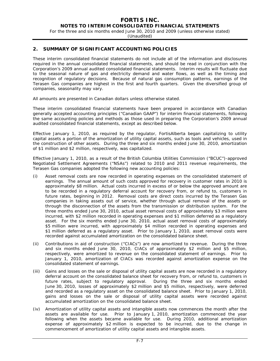For the three and six months ended June 30, 2010 and 2009 (unless otherwise stated)

(Unaudited)

# **2. SUMMARY OF SIGNIFICANT ACCOUNTING POLICIES**

These interim consolidated financial statements do not include all of the information and disclosures required in the annual consolidated financial statements, and should be read in conjunction with the Corporation's 2009 annual audited consolidated financial statements. Interim results will fluctuate due to the seasonal nature of gas and electricity demand and water flows, as well as the timing and recognition of regulatory decisions. Because of natural gas consumption patterns, earnings of the Terasen Gas companies are highest in the first and fourth quarters. Given the diversified group of companies, seasonality may vary.

All amounts are presented in Canadian dollars unless otherwise stated.

These interim consolidated financial statements have been prepared in accordance with Canadian generally accepted accounting principles ("Canadian GAAP") for interim financial statements, following the same accounting policies and methods as those used in preparing the Corporation's 2009 annual audited consolidated financial statements, except as described below.

Effective January 1, 2010, as required by the regulator, FortisAlberta began capitalizing to utility capital assets a portion of the amortization of utility capital assets, such as tools and vehicles, used in the construction of other assets. During the three and six months ended June 30, 2010, amortization of \$1 million and \$2 million, respectively, was capitalized.

Effective January 1, 2010, as a result of the British Columbia Utilities Commission ("BCUC")-approved Negotiated Settlement Agreements ("NSAs") related to 2010 and 2011 revenue requirements, the Terasen Gas companies adopted the following new accounting policies:

- (i) Asset removal costs are now recorded in operating expenses on the consolidated statement of earnings. The annual amount of such costs approved for recovery in customer rates in 2010 is approximately \$8 million. Actual costs incurred in excess of or below the approved amount are to be recorded in a regulatory deferral account for recovery from, or refund to, customers in future rates, beginning in 2012. Removal costs are direct costs incurred by the Terasen Gas companies in taking assets out of service, whether through actual removal of the assets or through the disconnection of the assets from the transmission or distribution system. For the three months ended June 30, 2010, actual asset removal costs of approximately \$3 million were incurred, with \$2 million recorded in operating expenses and \$1 million deferred as a regulatory asset. For the six months ended June 30, 2010, actual asset removal costs of approximately \$5 million were incurred, with approximately \$4 million recorded in operating expenses and \$1 million deferred as a regulatory asset. Prior to January 1, 2010, asset removal costs were recorded against accumulated amortization on the consolidated balance sheet.
- (ii) Contributions in aid of construction ("CIACs") are now amortized to revenue. During the three and six months ended June 30, 2010, CIACs of approximately \$2 million and \$5 million, respectively, were amortized to revenue on the consolidated statement of earnings. Prior to January 1, 2010, amortization of CIACs was recorded against amortization expense on the consolidated statement of earnings.
- (iii) Gains and losses on the sale or disposal of utility capital assets are now recorded in a regulatory deferral account on the consolidated balance sheet for recovery from, or refund to, customers in future rates, subject to regulatory approval. During the three and six months ended June 30, 2010, losses of approximately \$2 million and \$5 million, respectively, were deferred and recorded as a regulatory asset on the consolidated balance sheet. Prior to January 1, 2010, gains and losses on the sale or disposal of utility capital assets were recorded against accumulated amortization on the consolidated balance sheet.
- (iv) Amortization of utility capital assets and intangible assets now commences the month after the assets are available for use. Prior to January 1, 2010, amortization commenced the year following when the assets became available for use. During 2010, additional amortization expense of approximately \$2 million is expected to be incurred, due to the change in commencement of amortization of utility capital assets and intangible assets.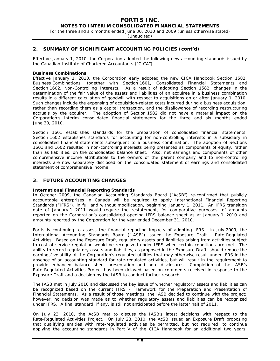For the three and six months ended June 30, 2010 and 2009 (unless otherwise stated)

(Unaudited)

# **2. SUMMARY OF SIGNIFICANT ACCOUNTING POLICIES (cont'd)**

Effective January 1, 2010, the Corporation adopted the following new accounting standards issued by the Canadian Institute of Chartered Accountants ("CICA").

#### **Business Combinations**

Effective January 1, 2010, the Corporation early adopted the new CICA Handbook Section 1582, *Business Combinations,* together with Section 1601, *Consolidated Financial Statements* and Section 1602, *Non-Controlling Interests.* As a result of adopting Section 1582, changes in the determination of the fair value of the assets and liabilities of an acquiree in a business combination results in a different calculation of goodwill with respect to acquisitions on or after January 1, 2010. Such changes include the expensing of acquisition-related costs incurred during a business acquisition, rather than recording them as a capital transaction, and the disallowance of recording restructuring accruals by the acquirer. The adoption of Section 1582 did not have a material impact on the Corporation's interim consolidated financial statements for the three and six months ended June 30, 2010.

Section 1601 establishes standards for the preparation of consolidated financial statements. Section 1602 establishes standards for accounting for non-controlling interests in a subsidiary in consolidated financial statements subsequent to a business combination. The adoption of Sections 1601 and 1602 resulted in non-controlling interests being presented as components of equity, rather than as liabilities, on the consolidated balance sheet. Also, net earnings and components of other comprehensive income attributable to the owners of the parent company and to non-controlling interests are now separately disclosed on the consolidated statement of earnings and consolidated statement of comprehensive income.

# **3. FUTURE ACCOUNTING CHANGES**

#### **International Financial Reporting Standards**

In October 2009, the Canadian Accounting Standards Board ("AcSB") re-confirmed that publicly accountable enterprises in Canada will be required to apply International Financial Reporting Standards ("IFRS"), in full and without modification, beginning January 1, 2011. An IFRS transition date of January 1, 2011 would require the restatement, for comparative purposes, of amounts reported on the Corporation's consolidated opening IFRS balance sheet as at January 1, 2010 and amounts reported by the Corporation for the year ended December 31, 2010.

Fortis is continuing to assess the financial reporting impacts of adopting IFRS. In July 2009, the International Accounting Standards Board ("IASB") issued the Exposure Draft - *Rate-Regulated Activities.* Based on the Exposure Draft, regulatory assets and liabilities arising from activities subject to cost of service regulation would be recognized under IFRS when certain conditions are met. The ability to record regulatory assets and liabilities, as proposed in the Exposure Draft, should reduce the earnings' volatility at the Corporation's regulated utilities that may otherwise result under IFRS in the absence of an accounting standard for rate-regulated activities, but will result in the requirement to provide enhanced balance sheet presentation and note disclosures. Completion of the IASB's Rate-Regulated Activities Project has been delayed based on comments received in response to the Exposure Draft and a decision by the IASB to conduct further research.

The IASB met in July 2010 and discussed the key issue of whether regulatory assets and liabilities can be recognized based on the current IFRS - *Framework for the Preparation and Presentation of Financial Statements*. As a result of those meetings, the IASB decided to continue with the project; however, no decision was made as to whether regulatory assets and liabilities can be recognized under IFRS. A final standard, if any, is still not anticipated before the latter half of 2011.

On July 23, 2010, the AcSB met to discuss the IASB's latest decisions with respect to the Rate-Regulated Activities Project. On July 28, 2010, the AcSB issued an Exposure Draft proposing that qualifying entities with rate-regulated activities be permitted, but not required, to continue applying the accounting standards in Part V of the CICA Handbook for an additional two years.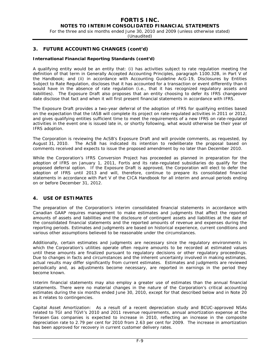For the three and six months ended June 30, 2010 and 2009 (unless otherwise stated)

(Unaudited)

# **3. FUTURE ACCOUNTING CHANGES (cont'd)**

#### **International Financial Reporting Standards (cont'd)**

A qualifying entity would be an entity that: (i) has activities subject to rate regulation meeting the definition of that term in *Generally Accepted Accounting Principles*, paragraph 1100.32B, in Part V of the Handbook; and (ii) in accordance with Accounting Guideline AcG-19, *Disclosures by Entities Subject to Rate Regulation*, discloses that it has accounted for a transaction or event differently than it would have in the absence of rate regulation (i.e., that it has recognized regulatory assets and liabilities). The Exposure Draft also proposes that an entity choosing to defer its IFRS changeover date disclose that fact and when it will first present financial statements in accordance with IFRS.

The Exposure Draft provides a two-year deferral of the adoption of IFRS for qualifying entities based on the expectation that the IASB will complete its project on rate-regulated activities in 2011 or 2012, and gives qualifying entities sufficient time to meet the requirements of a new IFRS on rate-regulated activities in the event one is issued late in, or shortly following, what would otherwise be their year of IFRS adoption.

The Corporation is reviewing the AcSB's Exposure Draft and will provide comments, as requested, by August 31, 2010. The AcSB has indicated its intention to redeliberate the proposal based on comments received and expects to issue the proposed amendment by no later than December 2010.

While the Corporation's IFRS Conversion Project has proceeded as planned in preparation for the adoption of IFRS on January 1, 2011, Fortis and its rate-regulated subsidiaries do qualify for the proposed deferral option. If the Exposure Draft is approved, the Corporation will elect to defer the adoption of IFRS until 2013 and will, therefore, continue to prepare its consolidated financial statements in accordance with Part V of the CICA Handbook for all interim and annual periods ending on or before December 31, 2012.

# **4. USE OF ESTIMATES**

The preparation of the Corporation's interim consolidated financial statements in accordance with Canadian GAAP requires management to make estimates and judgments that affect the reported amounts of assets and liabilities and the disclosure of contingent assets and liabilities at the date of the consolidated financial statements and the reported amounts of revenue and expenses during the reporting periods. Estimates and judgments are based on historical experience, current conditions and various other assumptions believed to be reasonable under the circumstances.

Additionally, certain estimates and judgments are necessary since the regulatory environments in which the Corporation's utilities operate often require amounts to be recorded at estimated values until these amounts are finalized pursuant to regulatory decisions or other regulatory proceedings. Due to changes in facts and circumstances and the inherent uncertainty involved in making estimates, actual results may differ significantly from current estimates. Estimates and judgments are reviewed periodically and, as adjustments become necessary, are reported in earnings in the period they become known.

Interim financial statements may also employ a greater use of estimates than the annual financial statements. There were no material changes in the nature of the Corporation's critical accounting estimates during the six months ended June 30, 2010, except for that described below and in Note 20 as it relates to contingencies.

*Capital Asset Amortization:* As a result of a recent depreciation study and BCUC-approved NSAs related to TGI and TGVI's 2010 and 2011 revenue requirements, annual amortization expense at the Terasen Gas companies is expected to increase in 2010, reflecting an increase in the composite depreciation rate to 2.79 per cent for 2010 from 2.63 per cent for 2009. The increase in amortization has been approved for recovery in current customer delivery rates.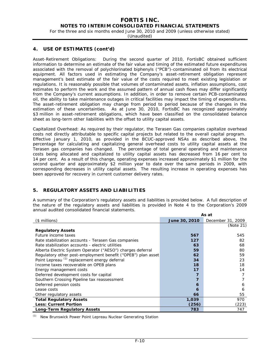# **FORTIS INC.**

# **NOTES TO INTERIM CONSOLIDATED FINANCIAL STATEMENTS**

For the three and six months ended June 30, 2010 and 2009 (unless otherwise stated)

(Unaudited)

# **4. USE OF ESTIMATES (cont'd)**

*Asset-Retirement Obligations:* During the second quarter of 2010, FortisBC obtained sufficient information to determine an estimate of the fair value and timing of the estimated future expenditures associated with the removal of polychlorinated biphenyls ("PCB")-contaminated oil from its electrical equipment. All factors used in estimating the Company's asset-retirement obligation represent management's best estimate of the fair value of the costs required to meet existing legislation or regulations. It is reasonably possible that volumes of contaminated assets, inflation assumptions, cost estimates to perform the work and the assumed pattern of annual cash flows may differ significantly from the Company's current assumptions. In addition, in order to remove certain PCB-contaminated oil, the ability to take maintenance outages in critical facilities may impact the timing of expenditures. The asset-retirement obligation may change from period to period because of the changes in the estimation of these uncertainties. As at June 30, 2010, FortisBC has recognized approximately \$3 million in asset-retirement obligations, which have been classified on the consolidated balance sheet as long-term other liabilities with the offset to utility capital assets.

*Capitalized Overhead:* As required by their regulator, the Terasen Gas companies capitalize overhead costs not directly attributable to specific capital projects but related to the overall capital program. Effective January 1, 2010, as provided in the BCUC-approved NSAs as described above, the percentage for calculating and capitalizing general overhead costs to utility capital assets at the Terasen gas companies has changed. The percentage of total general operating and maintenance costs being allocated and capitalized to utility capital assets has decreased from 16 per cent to 14 per cent. As a result of this change, operating expenses increased approximately \$1 million for the second quarter and approximately \$2 million year to date over the same periods in 2009, with corresponding decreases in utility capital assets. The resulting increase in operating expenses has been approved for recovery in current customer delivery rates.

# **5. REGULATORY ASSETS AND LIABILITIES**

A summary of the Corporation's regulatory assets and liabilities is provided below. A full description of the nature of the regulatory assets and liabilities is provided in Note 4 to the Corporation's 2009 annual audited consolidated financial statements.

|                                                              |               | As at             |
|--------------------------------------------------------------|---------------|-------------------|
| $($$ millions)                                               | June 30, 2010 | December 31, 2009 |
|                                                              |               | (Note 21)         |
| <b>Regulatory Assets</b>                                     |               |                   |
| Future income taxes                                          | 567           | 545               |
| Rate stabilization accounts - Terasen Gas companies          | 127           | 82                |
| Rate stabilization accounts - electric utilities             | 63            | 68                |
| Alberta Electric System Operator ("AESO") charges deferral   | 59            | 80                |
| Regulatory other post-employment benefit ("OPEB") plan asset | 62            | 59                |
| Point Lepreau <sup>(1)</sup> replacement energy deferral     | 34            | 23                |
| Income taxes recoverable on OPEB plans                       | 18            | 18                |
| Energy management costs                                      | 17            | 14                |
| Deferred development costs for capital                       |               |                   |
| Southern Crossing Pipeline tax reassessment                  |               |                   |
| Deferred pension costs                                       | 6             | 6                 |
| Lease costs                                                  | 6             | 6                 |
| Other regulatory assets                                      | 66            | 55                |
| <b>Total Regulatory Assets</b>                               | 1,039         | 970               |
| <b>Less: Current Portion</b>                                 | (256)         | (223)             |
| <b>Long-Term Regulatory Assets</b>                           | 783           | 747               |

*(1)* New Brunswick Power Point Lepreau Nuclear Generating Station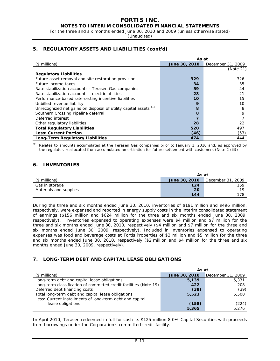For the three and six months ended June 30, 2010 and 2009 (unless otherwise stated)

(Unaudited)

# **5. REGULATORY ASSETS AND LIABILITIES (cont'd)**

|                                                                    | As at         |                   |  |  |
|--------------------------------------------------------------------|---------------|-------------------|--|--|
| (\$ millions)                                                      | June 30, 2010 | December 31, 2009 |  |  |
|                                                                    |               | (Note 21)         |  |  |
| <b>Regulatory Liabilities</b>                                      |               |                   |  |  |
| Future asset removal and site restoration provision                | 329           | 326               |  |  |
| Future income taxes                                                | 34            | 35                |  |  |
| Rate stabilization accounts - Terasen Gas companies                | 59            | 44                |  |  |
| Rate stabilization accounts - electric utilities                   | 28            | 21                |  |  |
| Performance-based rate-setting incentive liabilities               | 10            | 15                |  |  |
| Unbilled revenue liability                                         | 9             | 10                |  |  |
| Unrecognized net gains on disposal of utility capital assets $(1)$ | 8             | 8                 |  |  |
| Southern Crossing Pipeline deferral                                | 8             | 9                 |  |  |
| Deferred interest                                                  |               |                   |  |  |
| Other regulatory liabilities                                       | 28            | 22                |  |  |
| <b>Total Regulatory Liabilities</b>                                | 520           | 497               |  |  |
| <b>Less: Current Portion</b>                                       | (46)          | (53)              |  |  |
| Long-Term Regulatory Liabilities                                   | 474           | 444               |  |  |

*(1)* Relates to amounts accumulated at the Terasen Gas companies prior to January 1, 2010 and, as approved by the regulator, reallocated from accumulated amortization for future settlement with customers (Note 2 (iii))

# **6. INVENTORIES**

|                        | As at         |                   |  |
|------------------------|---------------|-------------------|--|
| (\$ millions)          | June 30, 2010 | December 31, 2009 |  |
| Gas in storage         | 124           | 159               |  |
| Materials and supplies | 20            | 1 Q               |  |
|                        | 144           | 178               |  |

During the three and six months ended June 30, 2010, inventories of \$191 million and \$496 million, respectively, were expensed and reported in energy supply costs in the interim consolidated statement of earnings (\$156 million and \$624 million for the three and six months ended June 30, 2009, respectively). Inventories expensed to operating expenses were \$4 million and \$7 million for the three and six months ended June 30, 2010, respectively (\$4 million and \$7 million for the three and six months ended June 30, 2009, respectively). Included in inventories expensed to operating expenses was food and beverage costs at Fortis Properties of \$3 million and \$5 million for the three and six months ended June 30, 2010, respectively (\$2 million and \$4 million for the three and six months ended June 30, 2009, respectively).

# **7. LONG-TERM DEBT AND CAPITAL LEASE OBLIGATIONS**

|                                                                   | As at         |                   |
|-------------------------------------------------------------------|---------------|-------------------|
| $($$ millions $)$                                                 | June 30, 2010 | December 31, 2009 |
| Long-term debt and capital lease obligations                      | 5,139         | 5,331             |
| Long-term classification of committed credit facilities (Note 19) | 422           | 208               |
| Deferred debt financing costs                                     | (38)          | (39)              |
| Total long-term debt and capital lease obligations                | 5,523         | 5,500             |
| Less: Current installments of long-term debt and capital          |               |                   |
| lease obligations                                                 | (158)         | (224)             |
|                                                                   | 5,365         | 5.276             |

In April 2010, Terasen redeemed in full for cash its \$125 million 8.0% Capital Securities with proceeds from borrowings under the Corporation's committed credit facility.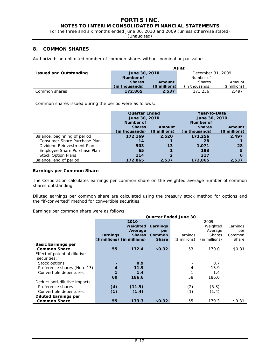For the three and six months ended June 30, 2010 and 2009 (unless otherwise stated)

(Unaudited)

# **8. COMMON SHARES**

Authorized: an unlimited number of common shares without nominal or par value

|                               | As at                              |                |                |               |  |  |
|-------------------------------|------------------------------------|----------------|----------------|---------------|--|--|
| <b>Issued and Outstanding</b> | December 31, 2009<br>June 30, 2010 |                |                |               |  |  |
|                               | Number of                          |                | Number of      |               |  |  |
|                               | <b>Shares</b><br>Amount            |                | <b>Shares</b>  | Amount        |  |  |
|                               | (in thousands)                     | $($ millions)$ | (in thousands) | (\$ millions) |  |  |
| Common shares                 | 172,865                            | 2,537          | 171,256        | 2.497         |  |  |

Common shares issued during the period were as follows:

|                              | <b>Quarter Ended</b> |               | Year-to-Date   |               |  |
|------------------------------|----------------------|---------------|----------------|---------------|--|
|                              | June 30, 2010        |               | June 30, 2010  |               |  |
|                              | Number of            |               | Number of      |               |  |
|                              | <b>Shares</b>        | Amount        | <b>Shares</b>  | Amount        |  |
|                              | (in thousands)       | (\$ millions) | (in thousands) | (\$ millions) |  |
| Balance, beginning of period | 172,169              | 2,520         | 171,256        | 2,497         |  |
| Consumer Share Purchase Plan | 14                   |               | 28             |               |  |
| Dividend Reinvestment Plan   | 503                  | 13            | 1.071          | 28            |  |
| Employee Share Purchase Plan | 65                   |               | 193            | 5             |  |
| <b>Stock Option Plans</b>    | 114                  |               | 317            | 6             |  |
| Balance, end of period       | 172,865              | 2,537         | 172,865        | 2,537         |  |

#### **Earnings per Common Share**

The Corporation calculates earnings per common share on the weighted average number of common shares outstanding.

Diluted earnings per common share are calculated using the treasury stock method for options and the "if-converted" method for convertible securities.

**Quarter Ended June 30** 

Earnings per common share were as follows:

|                               |                 |                             |                 | Quarter Engeg June 30 |               |          |
|-------------------------------|-----------------|-----------------------------|-----------------|-----------------------|---------------|----------|
|                               |                 | 2010                        |                 |                       | 2009          |          |
|                               |                 | Weighted                    | <b>Earnings</b> |                       | Weighted      | Earnings |
|                               |                 | Average                     | per             |                       | Average       | per      |
|                               | <b>Earnings</b> | <b>Shares</b>               | Common          | Earnings              | <b>Shares</b> | Common   |
|                               |                 | (\$ millions) (in millions) | <b>Share</b>    | (\$ millions)         | (in millions) | Share    |
| <b>Basic Earnings per</b>     |                 |                             |                 |                       |               |          |
| <b>Common Share</b>           | 55              | 172.4                       | \$0.32          | 53                    | 170.0         | \$0.31   |
| Effect of potential dilutive  |                 |                             |                 |                       |               |          |
| securities:                   |                 |                             |                 |                       |               |          |
| Stock options                 |                 | 0.9                         |                 |                       | 0.7           |          |
| Preference shares (Note 13)   | 4               | 11.9                        |                 | 4                     | 13.9          |          |
| Convertible debentures        |                 | 1.4                         |                 |                       | 1.4           |          |
|                               | 60              | 186.6                       |                 | 58                    | 186.0         |          |
| Deduct anti-dilutive impacts: |                 |                             |                 |                       |               |          |
| Preference shares             | (4)             | (11.9)                      |                 | (2)                   | (5.3)         |          |
| Convertible debentures        | (1)             | (1.4)                       |                 | (1)                   | (1.4)         |          |
| <b>Diluted Earnings per</b>   |                 |                             |                 |                       |               |          |
| <b>Common Share</b>           | 55              | 173.3                       | \$0.32          | 55                    | 179.3         | \$0.31   |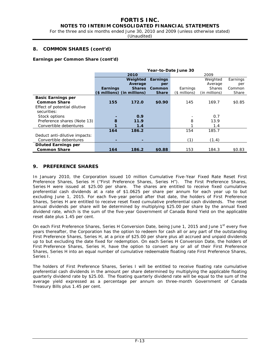# **FORTIS INC.**

# **NOTES TO INTERIM CONSOLIDATED FINANCIAL STATEMENTS**

For the three and six months ended June 30, 2010 and 2009 (unless otherwise stated)

(Unaudited)

# **8. COMMON SHARES (cont'd)**

#### **Earnings per Common Share (cont'd)**

|                               | Year-to-Date June 30 |                             |                 |               |               |          |
|-------------------------------|----------------------|-----------------------------|-----------------|---------------|---------------|----------|
|                               |                      | 2010                        |                 |               | 2009          |          |
|                               |                      | Weighted                    | <b>Earnings</b> |               | Weighted      | Earnings |
|                               |                      | Average                     | per             |               | Average       | per      |
|                               | Earnings             | <b>Shares</b>               | Common          | Earnings      | <b>Shares</b> | Common   |
|                               |                      | (\$ millions) (in millions) | <b>Share</b>    | (\$ millions) | (in millions) | Share    |
| <b>Basic Earnings per</b>     |                      |                             |                 |               |               |          |
| <b>Common Share</b>           | 155                  | 172.0                       | \$0.90          | 145           | 169.7         | \$0.85   |
| Effect of potential dilutive  |                      |                             |                 |               |               |          |
| securities:                   |                      |                             |                 |               |               |          |
| Stock options                 |                      | 0.9                         |                 |               | 0.7           |          |
| Preference shares (Note 13)   | 8                    | 11.9                        |                 | 8             | 13.9          |          |
| Convertible debentures        |                      | 1.4                         |                 |               | 1.4           |          |
|                               | 164                  | 186.2                       |                 | 154           | 185.7         |          |
| Deduct anti-dilutive impacts: |                      |                             |                 |               |               |          |
| Convertible debentures        | -                    | ۰                           |                 | (1)           | (1.4)         |          |
| <b>Diluted Earnings per</b>   |                      |                             |                 |               |               |          |
| <b>Common Share</b>           | 164                  | 186.2                       | \$0.88          | 153           | 184.3         | \$0.83   |

# **9. PREFERENCE SHARES**

In January 2010, the Corporation issued 10 million Cumulative Five-Year Fixed Rate Reset First Preference Shares, Series H ("First Preference Shares, Series H"). The First Preference Shares, Series H were issued at \$25.00 per share. The shares are entitled to receive fixed cumulative preferential cash dividends at a rate of \$1.0625 per share per annum for each year up to but excluding June 1, 2015. For each five-year period after that date, the holders of First Preference Shares, Series H are entitled to receive reset fixed cumulative preferential cash dividends. The reset annual dividends per share will be determined by multiplying \$25.00 per share by the annual fixed dividend rate, which is the sum of the five-year Government of Canada Bond Yield on the applicable reset date plus 1.45 per cent.

On each First Preference Shares, Series H Conversion Date, being June 1, 2015 and June 1<sup>st</sup> every five years thereafter, the Corporation has the option to redeem for cash all or any part of the outstanding First Preference Shares, Series H, at a price of \$25.00 per share plus all accrued and unpaid dividends up to but excluding the date fixed for redemption. On each Series H Conversion Date, the holders of First Preference Shares, Series H, have the option to convert any or all of their First Preference Shares, Series H into an equal number of cumulative redeemable floating rate First Preference Shares, Series I.

The holders of First Preference Shares, Series I will be entitled to receive floating rate cumulative preferential cash dividends in the amount per share determined by multiplying the applicable floating quarterly dividend rate by \$25.00. The floating quarterly dividend rate will be equal to the sum of the average yield expressed as a percentage per annum on three-month Government of Canada Treasury Bills plus 1.45 per cent.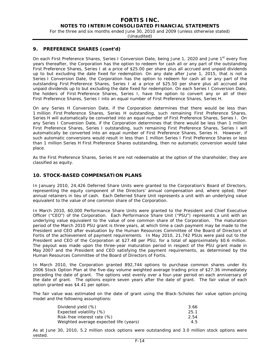For the three and six months ended June 30, 2010 and 2009 (unless otherwise stated)

(Unaudited)

## **9. PREFERENCE SHARES (cont'd)**

On each First Preference Shares, Series I Conversion Date, being June 1, 2020 and June 1<sup>st</sup> every five years thereafter, the Corporation has the option to redeem for cash all or any part of the outstanding First Preference Shares, Series I at a price of \$25.00 per share plus all accrued and unpaid dividends up to but excluding the date fixed for redemption. On any date after June 1, 2015, that is not a Series I Conversion Date, the Corporation has the option to redeem for cash all or any part of the outstanding First Preference Shares, Series I at a price of \$25.50 per share plus all accrued and unpaid dividends up to but excluding the date fixed for redemption. On each Series I Conversion Date, the holders of First Preference Shares, Series I, have the option to convert any or all of their First Preference Shares, Series I into an equal number of First Preference Shares, Series H.

On any Series H Conversion Date, if the Corporation determines that there would be less than 1 million First Preference Shares, Series H outstanding, such remaining First Preference Shares, Series H will automatically be converted into an equal number of First Preference Shares, Series I. On any Series I Conversion Date, if the Corporation determines that there would be less than 1 million First Preference Shares, Series I outstanding, such remaining First Preference Shares, Series I will automatically be converted into an equal number of First Preference Shares, Series H. However, if such automatic conversions would result in less than 1 million Series I First Preference Shares or less than 1 million Series H First Preference Shares outstanding, then no automatic conversion would take place.

As the First Preference Shares, Series H are not redeemable at the option of the shareholder, they are classified as equity.

#### **10. STOCK-BASED COMPENSATION PLANS**

In January 2010, 24,426 Deferred Share Units were granted to the Corporation's Board of Directors, representing the equity component of the Directors' annual compensation and, where opted, their annual retainers in lieu of cash. Each Deferred Share Unit represents a unit with an underlying value equivalent to the value of one common share of the Corporation.

In March 2010, 60,000 Performance Share Units were granted to the President and Chief Executive Officer ("CEO") of the Corporation. Each Performance Share Unit ("PSU") represents a unit with an underlying value equivalent to the value of one common share of the Corporation. The maturation period of the March 2010 PSU grant is three years, at which time a cash payment may be made to the President and CEO after evaluation by the Human Resources Committee of the Board of Directors of Fortis of the achievement of payment requirements. In May 2010, 21,742 PSUs were paid out to the President and CEO of the Corporation at \$27.48 per PSU, for a total of approximately \$0.6 million. The payout was made upon the three-year maturation period in respect of the PSU grant made in May 2007 and the President and CEO satisfying the payment requirements, as determined by the Human Resources Committee of the Board of Directors of Fortis.

In March 2010, the Corporation granted 892,744 options to purchase common shares under its 2006 Stock Option Plan at the five-day volume weighted average trading price of \$27.36 immediately preceding the date of grant. The options vest evenly over a four-year period on each anniversary of the date of grant. The options expire seven years after the date of grant. The fair value of each option granted was \$4.41 per option.

The fair value was estimated on the date of grant using the Black-Scholes fair value option-pricing model and the following assumptions:

| Dividend yield (%)                     | 3.66 |
|----------------------------------------|------|
| Expected volatility (%)                | 25.1 |
| Risk-free interest rate (%)            | 2.54 |
| Weighted average expected life (years) | 4.5  |

As at June 30, 2010, 5.2 million stock options were outstanding and 3.0 million stock options were vested.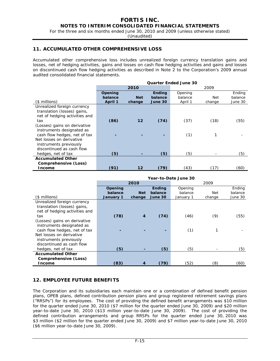For the three and six months ended June 30, 2010 and 2009 (unless otherwise stated)

(Unaudited)

# **11. ACCUMULATED OTHER COMPREHENSIVE LOSS**

Accumulated other comprehensive loss includes unrealized foreign currency translation gains and losses, net of hedging activities, gains and losses on cash flow hedging activities and gains and losses on discontinued cash flow hedging activities as described in Note 2 to the Corporation's 2009 annual audited consolidated financial statements.

|                               | <b>Quarter Ended June 30</b> |            |               |         |        |         |
|-------------------------------|------------------------------|------------|---------------|---------|--------|---------|
|                               |                              | 2010       |               |         | 2009   |         |
|                               | Opening                      |            | <b>Ending</b> | Opening |        | Ending  |
|                               | balance                      | <b>Net</b> | balance       | balance | Net    | balance |
| $($$ millions)                | April 1                      | change     | June 30       | April 1 | change | June 30 |
| Unrealized foreign currency   |                              |            |               |         |        |         |
| translation (losses) gains,   |                              |            |               |         |        |         |
| net of hedging activities and |                              |            |               |         |        |         |
| tax                           | (86)                         | 12         | (74)          | (37)    | (18)   | (55)    |
| (Losses) gains on derivative  |                              |            |               |         |        |         |
| instruments designated as     |                              |            |               |         |        |         |
| cash flow hedges, net of tax  |                              |            |               | (1)     |        |         |
| Net losses on derivative      |                              |            |               |         |        |         |
| instruments previously        |                              |            |               |         |        |         |
| discontinued as cash flow     |                              |            |               |         |        |         |
| hedges, net of tax            | (5)                          |            | (5)           | (5)     |        | (5)     |
| <b>Accumulated Other</b>      |                              |            |               |         |        |         |
| Comprehensive (Loss)          |                              |            |               |         |        |         |
| <b>Income</b>                 | (91)                         | 12         | (79)          | (43)    | (17)   | (60)    |

|                               | Year-to-Date June 30 |                |               |           |        |         |  |  |
|-------------------------------|----------------------|----------------|---------------|-----------|--------|---------|--|--|
|                               |                      | 2010           |               |           | 2009   |         |  |  |
|                               | Opening              |                | <b>Ending</b> | Opening   |        | Ending  |  |  |
|                               | balance              | <b>Net</b>     | balance       | balance   | Net    | balance |  |  |
| (\$ millions)                 | January 1            | change         | June 30       | January 1 | change | June 30 |  |  |
| Unrealized foreign currency   |                      |                |               |           |        |         |  |  |
| translation (losses) gains,   |                      |                |               |           |        |         |  |  |
| net of hedging activities and |                      |                |               |           |        |         |  |  |
| tax                           | (78)                 | $\overline{4}$ | (74)          | (46)      | (9)    | (55)    |  |  |
| (Losses) gains on derivative  |                      |                |               |           |        |         |  |  |
| instruments designated as     |                      |                |               |           |        |         |  |  |
| cash flow hedges, net of tax  |                      |                | ۰             | (1)       | 1      |         |  |  |
| Net losses on derivative      |                      |                |               |           |        |         |  |  |
| instruments previously        |                      |                |               |           |        |         |  |  |
| discontinued as cash flow     |                      |                |               |           |        |         |  |  |
| hedges, net of tax            | (5)                  |                | (5)           | (5)       |        | (5)     |  |  |
| <b>Accumulated Other</b>      |                      |                |               |           |        |         |  |  |
| Comprehensive (Loss)          |                      |                |               |           |        |         |  |  |
| <b>Income</b>                 | (83)                 | 4              | (79)          | (52)      | (8)    | (60)    |  |  |

# **12. EMPLOYEE FUTURE BENEFITS**

The Corporation and its subsidiaries each maintain one or a combination of defined benefit pension plans, OPEB plans, defined contribution pension plans and group registered retirement savings plans ("RRSPs") for its employees. The cost of providing the defined benefit arrangements was \$10 million for the quarter ended June 30, 2010 (\$7 million for the quarter ended June 30, 2009) and \$20 million year-to-date June 30, 2010 (\$13 million year-to-date June 30, 2009). The cost of providing the defined contribution arrangements and group RRSPs for the quarter ended June 30, 2010 was \$3 million (\$2 million for the quarter ended June 30, 2009) and \$7 million year-to-date June 30, 2010 (\$6 million year-to-date June 30, 2009).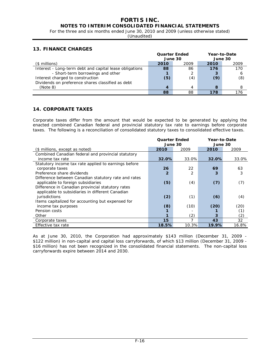# **FORTIS INC.**

**NOTES TO INTERIM CONSOLIDATED FINANCIAL STATEMENTS** 

For the three and six months ended June 30, 2010 and 2009 (unless otherwise stated)

(Unaudited)

# **13. FINANCE CHARGES**

|                                                         |         | <b>Quarter Ended</b> | Year-to-Date |      |  |
|---------------------------------------------------------|---------|----------------------|--------------|------|--|
|                                                         | June 30 |                      | June 30      |      |  |
| $($$ millions)                                          | 2010    | 2009                 | 2010         | 2009 |  |
| Interest - Long-term debt and capital lease obligations | 88      | 86                   | 176          | 170  |  |
| - Short-term borrowings and other                       |         |                      | 3            | ь    |  |
| Interest charged to construction                        | (5)     | (4)                  | (9)          | (8)  |  |
| Dividends on preference shares classified as debt       |         |                      |              |      |  |
| (Note 8)                                                | 4       | Δ                    | 8            | 8    |  |
|                                                         | 88      | 88                   | 178          | 176  |  |

# **14. CORPORATE TAXES**

Corporate taxes differ from the amount that would be expected to be generated by applying the enacted combined Canadian federal and provincial statutory tax rate to earnings before corporate taxes. The following is a reconciliation of consolidated statutory taxes to consolidated effective taxes.

|                                                      | <b>Quarter Ended</b> |       | Year-to-Date |       |  |
|------------------------------------------------------|----------------------|-------|--------------|-------|--|
|                                                      | June 30              |       | June 30      |       |  |
| (\$ millions, except as noted)                       | 2010                 | 2009  | 2010         | 2009  |  |
| Combined Canadian federal and provincial statutory   |                      |       |              |       |  |
| income tax rate                                      | 32.0%                | 33.0% | 32.0%        | 33.0% |  |
| Statutory income tax rate applied to earnings before |                      |       |              |       |  |
| corporate taxes                                      | 26                   | 22    | 69           | 63    |  |
| Preference share dividends                           | 2                    |       | 3            | 3     |  |
| Difference between Canadian statutory rate and rates |                      |       |              |       |  |
| applicable to foreign subsidiaries                   | (5)                  | (4)   | (7)          | (7)   |  |
| Difference in Canadian provincial statutory rates    |                      |       |              |       |  |
| applicable to subsidiaries in different Canadian     |                      |       |              |       |  |
| jurisdictions                                        | (2)                  | (1)   | (6)          | (4)   |  |
| Items capitalized for accounting but expensed for    |                      |       |              |       |  |
| income tax purposes                                  | (8)                  | (10)  | (20)         | (20)  |  |
| Pension costs                                        |                      |       |              | (1)   |  |
| Other                                                | 1                    | (2)   | 3            | (2)   |  |
| Corporate taxes                                      | 15                   |       | 43           | 32    |  |
| Effective tax rate                                   | 18.5%                | 10.3% | 19.9%        | 16.8% |  |

As at June 30, 2010, the Corporation had approximately \$143 million (December 31, 2009 - \$122 million) in non-capital and capital loss carryforwards, of which \$13 million (December 31, 2009 - \$16 million) has not been recognized in the consolidated financial statements. The non-capital loss carryforwards expire between 2014 and 2030.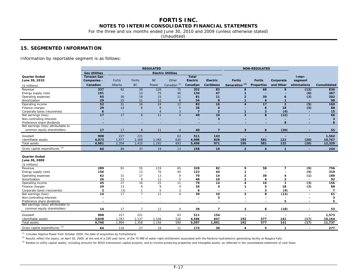For the three and six months ended June 30, 2010 and 2009 (unless otherwise stated)

(Unaudited)

# **15. SEGMENTED INFORMATION**

Information by reportable segment is as follows:

|                                     |                      |         |                          | <b>REGULATED</b> |                           |                          |                          |                          | <b>NON-REGULATED</b>    |                 |                  |                |
|-------------------------------------|----------------------|---------|--------------------------|------------------|---------------------------|--------------------------|--------------------------|--------------------------|-------------------------|-----------------|------------------|----------------|
|                                     | <b>Gas Utilities</b> |         |                          |                  | <b>Electric Utilities</b> |                          |                          |                          |                         |                 |                  |                |
| <b>Quarter Ended</b>                | <b>Terasen Gas</b>   |         |                          |                  |                           | <b>Total</b>             |                          |                          |                         |                 | Inter-           |                |
| June 30, 2010                       | Companies -          | Fortis  | Fortis                   | <b>NF</b>        | Other                     | <b>Electric</b>          | <b>Electric</b>          | <b>Fortis</b>            | <b>Fortis</b>           | Corporate       | segment          |                |
| (\$ millions)                       | Canadian             | Alberta | <b>BC</b>                | Power            | Canadian <sup>(1)</sup>   | Canadian                 | Caribbean                | (2)<br>Generation        | <b>Properties</b>       | and Other       | eliminations     | Consolidated   |
| Revenue                             | 337                  | 92      | 59                       | 126              | 75                        | 352                      | 83                       | 8                        | 60                      | 9               | (13)             | 836            |
| Energy supply costs                 | 191                  | ÷,      | 13                       | 75               | 46                        | 134                      | 47                       |                          |                         |                 | (6)              | 367            |
| Operating expenses                  | 65                   | 36      | 19                       | 15               | 11                        | 81                       | 11                       | $\overline{2}$           | 39                      | 6               | (2)              | 202            |
| Amortization                        | 29                   | 25      | 11                       | 12               | 6                         | 54                       | 9                        | $\mathbf{1}$             | $\overline{4}$          | $\mathbf{1}$    |                  | 98             |
| Operating income                    | $\overline{52}$      | 31      | 16                       | $\overline{24}$  | 12                        | 83                       | 16                       | $\overline{\mathbf{A}}$  | $\overline{17}$         | $\overline{2}$  | $\overline{(5)}$ | 169            |
| Finance charges                     | 29                   | 14      | 8                        | 9                | 5                         | 36                       | $\overline{4}$           |                          | $\epsilon$              | 18              | (5)              | 88             |
| Corporate taxes (recoveries)        | $6\overline{6}$      | $\sim$  | $\sim$                   | $\overline{4}$   | 3                         | $\overline{7}$           | $\overline{2}$           | $\mathbf{1}$             | $\overline{\mathbf{3}}$ | (4)             | $\sim$           | 15             |
| Net earnings (loss)                 | 17                   | 17      | $\overline{8}$           | 11               | $\overline{4}$            | 40                       | $\overline{10}$          | $\overline{\mathbf{3}}$  | 8                       | (12)            | ÷                | 66             |
| Non-controlling interests           |                      |         |                          |                  |                           |                          | $\overline{\mathbf{3}}$  |                          |                         |                 |                  | $\mathbf{3}$   |
| Preference share dividends          |                      | ٠       | ٠                        |                  |                           |                          |                          |                          |                         | 8               |                  | 8              |
| Net earnings (loss) attributable to |                      |         |                          |                  |                           |                          |                          |                          |                         |                 |                  |                |
| common equity shareholders          | 17                   | 17      | 8                        | 11               | $\overline{4}$            | 40                       | $\overline{7}$           | $\overline{\mathbf{3}}$  | 8                       | (20)            |                  | 55             |
| Goodwill                            | 908                  | 227     | 221                      |                  | 63                        | 511                      | 143                      |                          |                         |                 |                  | 1,562          |
| Identifiable assets                 | 4,073                | 1,977   | 1,189                    | 1,192            | 630                       | 4,988                    | 828                      | 195                      | 581                     | 122             | (20)             | 10,767         |
| Total assets                        | 4,981                | 2,204   | 1,410                    | 1,192            | 693                       | 5,499                    | 971                      | 195                      | 581                     | $\frac{1}{122}$ | (20)             | 12,329         |
| Gross capital expenditures (3)      | 60                   | 89      | 37                       | 19               | 13                        | 158                      | 19                       | $\overline{2}$           | $\overline{4}$          | $\mathbf{1}$    |                  | 244            |
| <b>Quarter Ended</b>                |                      |         |                          |                  |                           |                          |                          |                          |                         |                 |                  |                |
| June 30, 2009                       |                      |         |                          |                  |                           |                          |                          |                          |                         |                 |                  |                |
| (\$ millions)                       |                      |         |                          |                  |                           |                          |                          |                          |                         |                 |                  |                |
| Revenue                             | 289                  | 81      | 55                       | 119              | 65                        | 320                      | 82                       | 9                        | 58                      | $\overline{7}$  | $\overline{(9)}$ | 756            |
| Energy supply costs                 | 156                  |         | 13                       | 70               | 40                        | 123                      | 44                       |                          |                         |                 | (5)              | 319            |
| Operating expenses                  | 62                   | 31      | 17                       | 13               | 9                         | 70                       | 14                       | $\overline{2}$           | 38                      |                 | (1)              | 189            |
| Amortization                        | 26                   | 23      | 9                        | 11               | 5                         | 48                       | 10                       | $\mathbf{2}$             | $\overline{4}$          | $\mathbf{2}$    | $\blacksquare$   | 92             |
| Operating income                    | 45                   | 27      | 16                       | 25               | 11                        | 79                       | 14                       | 4                        | 16                      | $\mathbf{1}$    | $\overline{3)}$  | 156            |
| Finance charges                     | 29                   | 13      | 8                        | 9                | $\overline{4}$            | 34                       | $\overline{4}$           |                          | 5                       | 18              | (3)              | 88             |
| Corporate taxes (recoveries)        | $\overline{2}$       | (3)     | $\mathbf{1}$             | 5                | 3                         | 6                        | $\overline{\phantom{0}}$ | $\overline{\phantom{0}}$ | 3                       | (4)             | $\blacksquare$   | $\overline{7}$ |
| Net earnings (loss)                 | 14                   | 17      | $\overline{7}$           | 11               | $\overline{A}$            | 39                       | 10                       | 3                        | 8                       | (13)            | $\blacksquare$   | 61             |
| Non-controlling interests           |                      |         | $\overline{\phantom{a}}$ |                  |                           |                          | 3                        |                          |                         |                 |                  | 3              |
| Preference share dividends          | ٠                    | $\sim$  | $\overline{\phantom{a}}$ |                  |                           | $\overline{\phantom{0}}$ |                          |                          |                         | 5               |                  | 5              |
| Net earnings (loss) attributable to |                      |         |                          |                  |                           |                          |                          |                          |                         |                 |                  |                |
| common equity shareholders          | 14                   | 17      | $\overline{7}$           | 11               | $\overline{4}$            | 39                       | $\overline{7}$           | 3                        | 8                       | (18)            |                  | 53             |
| Goodwill                            | 908                  | 227     | 221                      |                  | 63                        | 511                      | 154                      |                          |                         |                 |                  | 1,573          |
| Identifiable assets                 | 3,838                | 1,767   | 1,137                    | 1,156            | 526                       | 4,586                    | 847                      | 192                      | 577                     | 141             | (17)             | 10,164         |
| <b>Total assets</b>                 | 4,746                | 1,994   | 1,358                    | 1,156            | 589                       | 5,097                    | 1,001                    | 192                      | 577                     | 141             | (17)             | 11,737         |
| Gross capital expenditures (3)      | 64                   | 116     | 27                       | 19               | 11                        | 173                      | 30                       | 4                        | 5                       | $\mathbf{1}$    |                  | 277            |

*(1)* Includes Algoma Power from October 2009, the date of acquisition by FortisOntario

<sup>(2)</sup> Results reflect the expiry, on April 30, 2009, at the end of a 100-year term, of the 75 MW of water-right entitlement associated with the Rankine hydroelectric generating facility at Niagara Falls.

<sup>(3)</sup> Relates to utility capital assets, including amounts for AESO transmision capital projects, and to income producing properties and intangible assets, as reflected in the consolidated statement of cash flows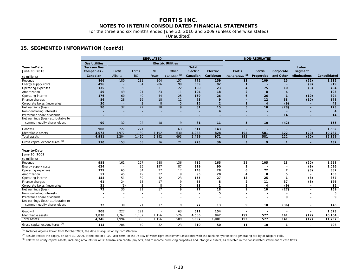For the three and six months ended June 30, 2010 and 2009 (unless otherwise stated)

(Unaudited)

# **15. SEGMENTED INFORMATION (cont'd)**

| <b>Gas Utilities</b><br><b>Electric Utilities</b><br>Year-to-Date<br><b>Terasen Gas</b><br><b>Total</b><br>Inter-<br><b>NF</b><br><b>Electric</b><br>June 30, 2010<br>Companies -<br>Other<br><b>Electric</b><br>segment<br>Fortis<br>Fortis<br><b>Fortis</b><br><b>Fortis</b><br>Corporate<br>Canadian <sup>(1)</sup><br>Generation <sup>(2)</sup><br>Canadian<br><b>BC</b><br>Canadian<br>Caribbean<br><b>Properties</b><br>and Other<br>eliminations<br>Alberta<br>Power<br>Consolidated<br>(\$ millions)<br>304<br>180<br>131<br>157<br>772<br>159<br>109<br>15<br>Revenue<br>866<br>13<br>(22)<br>1,912<br>206<br>92<br>496<br>34<br>99<br>339<br>(9)<br>919<br>Energy supply costs<br>٠<br>36<br>31<br>Operating expenses<br>135<br>71<br>22<br>160<br>23<br>75<br>10<br>(3)<br>404<br>23<br>59<br>49<br>21<br>18<br>8<br>195<br>11<br>104<br>$\overline{\mathbf{z}}$<br>$\overline{\mathbf{4}}$<br>Amortization<br>60<br>$\overline{26}$<br>$\frac{1}{176}$<br>40<br>44<br>25<br>169<br>$\overline{26}$<br>(10)<br>394<br>6<br>$\mathbf{1}$<br>Operating income<br>56<br>28<br>16<br>18<br>9<br>12<br>178<br>11<br>73<br>38<br>(10)<br>Finance charges<br>30<br>2<br>8<br>15<br>$\overline{2}$<br>(9)<br>Corporate taxes (recoveries)<br>5<br>$\overline{4}$<br>43<br>$\mathbf{1}$<br>22<br>90<br>32<br>18<br>81<br>(28)<br>9<br>15<br>10<br>$\frac{1}{173}$<br>5<br>Net earnings (loss)<br>$\overline{4}$<br>Non-controlling interests<br>$\overline{4}$<br>Preference share dividends<br>14<br>14<br>Net earnings (loss) attributable to<br>common equity shareholders<br>90<br>32<br>22<br>18<br>9<br>81<br>5<br>10<br>(42)<br>11<br>155<br>227<br>908<br>221<br>63<br>511<br>143<br>1,562<br>Goodwill<br>$\overline{\phantom{a}}$<br>÷.<br>1,977<br>1,189<br>1,192<br>4,988<br>Identifiable assets<br>4,073<br>630<br>828<br>195<br>581<br>122<br>(20)<br>10,767<br>1,192<br>5,499<br>971<br>195<br>122<br>(20)<br>12,329<br><b>Total assets</b><br>4,981<br>2,204<br>1,410<br>693<br>581<br>Gross capital expenditures (3)<br>110<br>153<br>63<br>36<br>21<br>273<br>$\mathbf{3}$<br>9<br>432<br>36<br>$\mathbf{1}$<br>٠<br>Year-to-Date<br>June 30, 2009<br>(\$ millions)<br>127<br>288<br>Revenue<br>958<br>161<br>136<br>712<br>165<br>25<br>105<br>13<br>(20)<br>1,958<br>624<br>35<br>197<br>87<br>319<br>90<br>$\overline{2}$<br>(9)<br>1,026<br>Energy supply costs<br>34<br>129<br>65<br>27<br>143<br>28<br>72<br>(3)<br>382<br>Operating expenses<br>17<br>6<br>$\overline{7}$<br>22<br>51<br>45<br>19<br>95<br>20<br>8<br>9<br>5<br>183<br>Amortization<br>Δ<br>51<br>39<br>42<br>$\overline{23}$<br>155<br>(8)<br>154<br>27<br>13<br>25<br>367<br>$\mathbf{1}$<br>Operating income<br>15<br>17<br>8<br>37<br>Finance charges<br>61<br>24<br>9<br>65<br>$\overline{2}$<br>11<br>(8)<br>176<br>21<br>(3)<br>3<br>8<br>(9)<br>Corporate taxes (recoveries)<br>5<br>13<br>$\mathbf{1}$<br>$\overline{2}$<br>32<br>$\overline{\mathbf{4}}$<br>$\blacksquare$<br>21<br>77<br>(27)<br>$\overline{72}$<br>30<br>17<br>159<br>9<br>18<br>9<br>10<br>Net earnings (loss)<br>5<br>Non-controlling interests<br>5<br>ä,<br>÷,<br>$\blacksquare$<br>÷,<br>9<br>Preference share dividends<br>9<br>Net earnings (loss) attributable to<br>common equity shareholders<br>21<br>9<br>13<br>(36)<br>72<br>30<br>17<br>77<br>9<br>10<br>145<br>227<br>221<br>Goodwill<br>908<br>63<br>511<br>154<br>1,573<br>$\overline{\phantom{a}}$ |                     |       |       |       | <b>REGULATED</b> |     |       |     |     | <b>NON-REGULATED</b> |     |      |        |
|--------------------------------------------------------------------------------------------------------------------------------------------------------------------------------------------------------------------------------------------------------------------------------------------------------------------------------------------------------------------------------------------------------------------------------------------------------------------------------------------------------------------------------------------------------------------------------------------------------------------------------------------------------------------------------------------------------------------------------------------------------------------------------------------------------------------------------------------------------------------------------------------------------------------------------------------------------------------------------------------------------------------------------------------------------------------------------------------------------------------------------------------------------------------------------------------------------------------------------------------------------------------------------------------------------------------------------------------------------------------------------------------------------------------------------------------------------------------------------------------------------------------------------------------------------------------------------------------------------------------------------------------------------------------------------------------------------------------------------------------------------------------------------------------------------------------------------------------------------------------------------------------------------------------------------------------------------------------------------------------------------------------------------------------------------------------------------------------------------------------------------------------------------------------------------------------------------------------------------------------------------------------------------------------------------------------------------------------------------------------------------------------------------------------------------------------------------------------------------------------------------------------------------------------------------------------------------------------------------------------------------------------------------------------------------------------------------------------------------------------------------------------------------------------------------------------------------------------------------------------------------------------------------------------------------------------------------------------------------------------------------------------------------------------------------------------------------------------------------------------------------------------------------------------------------------------------------------------------------------------------------------------------------------------------------------------------------------------------------------------------------------------------------------------------------------------|---------------------|-------|-------|-------|------------------|-----|-------|-----|-----|----------------------|-----|------|--------|
|                                                                                                                                                                                                                                                                                                                                                                                                                                                                                                                                                                                                                                                                                                                                                                                                                                                                                                                                                                                                                                                                                                                                                                                                                                                                                                                                                                                                                                                                                                                                                                                                                                                                                                                                                                                                                                                                                                                                                                                                                                                                                                                                                                                                                                                                                                                                                                                                                                                                                                                                                                                                                                                                                                                                                                                                                                                                                                                                                                                                                                                                                                                                                                                                                                                                                                                                                                                                                                            |                     |       |       |       |                  |     |       |     |     |                      |     |      |        |
|                                                                                                                                                                                                                                                                                                                                                                                                                                                                                                                                                                                                                                                                                                                                                                                                                                                                                                                                                                                                                                                                                                                                                                                                                                                                                                                                                                                                                                                                                                                                                                                                                                                                                                                                                                                                                                                                                                                                                                                                                                                                                                                                                                                                                                                                                                                                                                                                                                                                                                                                                                                                                                                                                                                                                                                                                                                                                                                                                                                                                                                                                                                                                                                                                                                                                                                                                                                                                                            |                     |       |       |       |                  |     |       |     |     |                      |     |      |        |
|                                                                                                                                                                                                                                                                                                                                                                                                                                                                                                                                                                                                                                                                                                                                                                                                                                                                                                                                                                                                                                                                                                                                                                                                                                                                                                                                                                                                                                                                                                                                                                                                                                                                                                                                                                                                                                                                                                                                                                                                                                                                                                                                                                                                                                                                                                                                                                                                                                                                                                                                                                                                                                                                                                                                                                                                                                                                                                                                                                                                                                                                                                                                                                                                                                                                                                                                                                                                                                            |                     |       |       |       |                  |     |       |     |     |                      |     |      |        |
|                                                                                                                                                                                                                                                                                                                                                                                                                                                                                                                                                                                                                                                                                                                                                                                                                                                                                                                                                                                                                                                                                                                                                                                                                                                                                                                                                                                                                                                                                                                                                                                                                                                                                                                                                                                                                                                                                                                                                                                                                                                                                                                                                                                                                                                                                                                                                                                                                                                                                                                                                                                                                                                                                                                                                                                                                                                                                                                                                                                                                                                                                                                                                                                                                                                                                                                                                                                                                                            |                     |       |       |       |                  |     |       |     |     |                      |     |      |        |
|                                                                                                                                                                                                                                                                                                                                                                                                                                                                                                                                                                                                                                                                                                                                                                                                                                                                                                                                                                                                                                                                                                                                                                                                                                                                                                                                                                                                                                                                                                                                                                                                                                                                                                                                                                                                                                                                                                                                                                                                                                                                                                                                                                                                                                                                                                                                                                                                                                                                                                                                                                                                                                                                                                                                                                                                                                                                                                                                                                                                                                                                                                                                                                                                                                                                                                                                                                                                                                            |                     |       |       |       |                  |     |       |     |     |                      |     |      |        |
|                                                                                                                                                                                                                                                                                                                                                                                                                                                                                                                                                                                                                                                                                                                                                                                                                                                                                                                                                                                                                                                                                                                                                                                                                                                                                                                                                                                                                                                                                                                                                                                                                                                                                                                                                                                                                                                                                                                                                                                                                                                                                                                                                                                                                                                                                                                                                                                                                                                                                                                                                                                                                                                                                                                                                                                                                                                                                                                                                                                                                                                                                                                                                                                                                                                                                                                                                                                                                                            |                     |       |       |       |                  |     |       |     |     |                      |     |      |        |
|                                                                                                                                                                                                                                                                                                                                                                                                                                                                                                                                                                                                                                                                                                                                                                                                                                                                                                                                                                                                                                                                                                                                                                                                                                                                                                                                                                                                                                                                                                                                                                                                                                                                                                                                                                                                                                                                                                                                                                                                                                                                                                                                                                                                                                                                                                                                                                                                                                                                                                                                                                                                                                                                                                                                                                                                                                                                                                                                                                                                                                                                                                                                                                                                                                                                                                                                                                                                                                            |                     |       |       |       |                  |     |       |     |     |                      |     |      |        |
|                                                                                                                                                                                                                                                                                                                                                                                                                                                                                                                                                                                                                                                                                                                                                                                                                                                                                                                                                                                                                                                                                                                                                                                                                                                                                                                                                                                                                                                                                                                                                                                                                                                                                                                                                                                                                                                                                                                                                                                                                                                                                                                                                                                                                                                                                                                                                                                                                                                                                                                                                                                                                                                                                                                                                                                                                                                                                                                                                                                                                                                                                                                                                                                                                                                                                                                                                                                                                                            |                     |       |       |       |                  |     |       |     |     |                      |     |      |        |
|                                                                                                                                                                                                                                                                                                                                                                                                                                                                                                                                                                                                                                                                                                                                                                                                                                                                                                                                                                                                                                                                                                                                                                                                                                                                                                                                                                                                                                                                                                                                                                                                                                                                                                                                                                                                                                                                                                                                                                                                                                                                                                                                                                                                                                                                                                                                                                                                                                                                                                                                                                                                                                                                                                                                                                                                                                                                                                                                                                                                                                                                                                                                                                                                                                                                                                                                                                                                                                            |                     |       |       |       |                  |     |       |     |     |                      |     |      |        |
|                                                                                                                                                                                                                                                                                                                                                                                                                                                                                                                                                                                                                                                                                                                                                                                                                                                                                                                                                                                                                                                                                                                                                                                                                                                                                                                                                                                                                                                                                                                                                                                                                                                                                                                                                                                                                                                                                                                                                                                                                                                                                                                                                                                                                                                                                                                                                                                                                                                                                                                                                                                                                                                                                                                                                                                                                                                                                                                                                                                                                                                                                                                                                                                                                                                                                                                                                                                                                                            |                     |       |       |       |                  |     |       |     |     |                      |     |      |        |
|                                                                                                                                                                                                                                                                                                                                                                                                                                                                                                                                                                                                                                                                                                                                                                                                                                                                                                                                                                                                                                                                                                                                                                                                                                                                                                                                                                                                                                                                                                                                                                                                                                                                                                                                                                                                                                                                                                                                                                                                                                                                                                                                                                                                                                                                                                                                                                                                                                                                                                                                                                                                                                                                                                                                                                                                                                                                                                                                                                                                                                                                                                                                                                                                                                                                                                                                                                                                                                            |                     |       |       |       |                  |     |       |     |     |                      |     |      |        |
|                                                                                                                                                                                                                                                                                                                                                                                                                                                                                                                                                                                                                                                                                                                                                                                                                                                                                                                                                                                                                                                                                                                                                                                                                                                                                                                                                                                                                                                                                                                                                                                                                                                                                                                                                                                                                                                                                                                                                                                                                                                                                                                                                                                                                                                                                                                                                                                                                                                                                                                                                                                                                                                                                                                                                                                                                                                                                                                                                                                                                                                                                                                                                                                                                                                                                                                                                                                                                                            |                     |       |       |       |                  |     |       |     |     |                      |     |      |        |
|                                                                                                                                                                                                                                                                                                                                                                                                                                                                                                                                                                                                                                                                                                                                                                                                                                                                                                                                                                                                                                                                                                                                                                                                                                                                                                                                                                                                                                                                                                                                                                                                                                                                                                                                                                                                                                                                                                                                                                                                                                                                                                                                                                                                                                                                                                                                                                                                                                                                                                                                                                                                                                                                                                                                                                                                                                                                                                                                                                                                                                                                                                                                                                                                                                                                                                                                                                                                                                            |                     |       |       |       |                  |     |       |     |     |                      |     |      |        |
|                                                                                                                                                                                                                                                                                                                                                                                                                                                                                                                                                                                                                                                                                                                                                                                                                                                                                                                                                                                                                                                                                                                                                                                                                                                                                                                                                                                                                                                                                                                                                                                                                                                                                                                                                                                                                                                                                                                                                                                                                                                                                                                                                                                                                                                                                                                                                                                                                                                                                                                                                                                                                                                                                                                                                                                                                                                                                                                                                                                                                                                                                                                                                                                                                                                                                                                                                                                                                                            |                     |       |       |       |                  |     |       |     |     |                      |     |      |        |
|                                                                                                                                                                                                                                                                                                                                                                                                                                                                                                                                                                                                                                                                                                                                                                                                                                                                                                                                                                                                                                                                                                                                                                                                                                                                                                                                                                                                                                                                                                                                                                                                                                                                                                                                                                                                                                                                                                                                                                                                                                                                                                                                                                                                                                                                                                                                                                                                                                                                                                                                                                                                                                                                                                                                                                                                                                                                                                                                                                                                                                                                                                                                                                                                                                                                                                                                                                                                                                            |                     |       |       |       |                  |     |       |     |     |                      |     |      |        |
|                                                                                                                                                                                                                                                                                                                                                                                                                                                                                                                                                                                                                                                                                                                                                                                                                                                                                                                                                                                                                                                                                                                                                                                                                                                                                                                                                                                                                                                                                                                                                                                                                                                                                                                                                                                                                                                                                                                                                                                                                                                                                                                                                                                                                                                                                                                                                                                                                                                                                                                                                                                                                                                                                                                                                                                                                                                                                                                                                                                                                                                                                                                                                                                                                                                                                                                                                                                                                                            |                     |       |       |       |                  |     |       |     |     |                      |     |      |        |
|                                                                                                                                                                                                                                                                                                                                                                                                                                                                                                                                                                                                                                                                                                                                                                                                                                                                                                                                                                                                                                                                                                                                                                                                                                                                                                                                                                                                                                                                                                                                                                                                                                                                                                                                                                                                                                                                                                                                                                                                                                                                                                                                                                                                                                                                                                                                                                                                                                                                                                                                                                                                                                                                                                                                                                                                                                                                                                                                                                                                                                                                                                                                                                                                                                                                                                                                                                                                                                            |                     |       |       |       |                  |     |       |     |     |                      |     |      |        |
|                                                                                                                                                                                                                                                                                                                                                                                                                                                                                                                                                                                                                                                                                                                                                                                                                                                                                                                                                                                                                                                                                                                                                                                                                                                                                                                                                                                                                                                                                                                                                                                                                                                                                                                                                                                                                                                                                                                                                                                                                                                                                                                                                                                                                                                                                                                                                                                                                                                                                                                                                                                                                                                                                                                                                                                                                                                                                                                                                                                                                                                                                                                                                                                                                                                                                                                                                                                                                                            |                     |       |       |       |                  |     |       |     |     |                      |     |      |        |
|                                                                                                                                                                                                                                                                                                                                                                                                                                                                                                                                                                                                                                                                                                                                                                                                                                                                                                                                                                                                                                                                                                                                                                                                                                                                                                                                                                                                                                                                                                                                                                                                                                                                                                                                                                                                                                                                                                                                                                                                                                                                                                                                                                                                                                                                                                                                                                                                                                                                                                                                                                                                                                                                                                                                                                                                                                                                                                                                                                                                                                                                                                                                                                                                                                                                                                                                                                                                                                            |                     |       |       |       |                  |     |       |     |     |                      |     |      |        |
|                                                                                                                                                                                                                                                                                                                                                                                                                                                                                                                                                                                                                                                                                                                                                                                                                                                                                                                                                                                                                                                                                                                                                                                                                                                                                                                                                                                                                                                                                                                                                                                                                                                                                                                                                                                                                                                                                                                                                                                                                                                                                                                                                                                                                                                                                                                                                                                                                                                                                                                                                                                                                                                                                                                                                                                                                                                                                                                                                                                                                                                                                                                                                                                                                                                                                                                                                                                                                                            |                     |       |       |       |                  |     |       |     |     |                      |     |      |        |
|                                                                                                                                                                                                                                                                                                                                                                                                                                                                                                                                                                                                                                                                                                                                                                                                                                                                                                                                                                                                                                                                                                                                                                                                                                                                                                                                                                                                                                                                                                                                                                                                                                                                                                                                                                                                                                                                                                                                                                                                                                                                                                                                                                                                                                                                                                                                                                                                                                                                                                                                                                                                                                                                                                                                                                                                                                                                                                                                                                                                                                                                                                                                                                                                                                                                                                                                                                                                                                            |                     |       |       |       |                  |     |       |     |     |                      |     |      |        |
|                                                                                                                                                                                                                                                                                                                                                                                                                                                                                                                                                                                                                                                                                                                                                                                                                                                                                                                                                                                                                                                                                                                                                                                                                                                                                                                                                                                                                                                                                                                                                                                                                                                                                                                                                                                                                                                                                                                                                                                                                                                                                                                                                                                                                                                                                                                                                                                                                                                                                                                                                                                                                                                                                                                                                                                                                                                                                                                                                                                                                                                                                                                                                                                                                                                                                                                                                                                                                                            |                     |       |       |       |                  |     |       |     |     |                      |     |      |        |
|                                                                                                                                                                                                                                                                                                                                                                                                                                                                                                                                                                                                                                                                                                                                                                                                                                                                                                                                                                                                                                                                                                                                                                                                                                                                                                                                                                                                                                                                                                                                                                                                                                                                                                                                                                                                                                                                                                                                                                                                                                                                                                                                                                                                                                                                                                                                                                                                                                                                                                                                                                                                                                                                                                                                                                                                                                                                                                                                                                                                                                                                                                                                                                                                                                                                                                                                                                                                                                            |                     |       |       |       |                  |     |       |     |     |                      |     |      |        |
|                                                                                                                                                                                                                                                                                                                                                                                                                                                                                                                                                                                                                                                                                                                                                                                                                                                                                                                                                                                                                                                                                                                                                                                                                                                                                                                                                                                                                                                                                                                                                                                                                                                                                                                                                                                                                                                                                                                                                                                                                                                                                                                                                                                                                                                                                                                                                                                                                                                                                                                                                                                                                                                                                                                                                                                                                                                                                                                                                                                                                                                                                                                                                                                                                                                                                                                                                                                                                                            |                     |       |       |       |                  |     |       |     |     |                      |     |      |        |
|                                                                                                                                                                                                                                                                                                                                                                                                                                                                                                                                                                                                                                                                                                                                                                                                                                                                                                                                                                                                                                                                                                                                                                                                                                                                                                                                                                                                                                                                                                                                                                                                                                                                                                                                                                                                                                                                                                                                                                                                                                                                                                                                                                                                                                                                                                                                                                                                                                                                                                                                                                                                                                                                                                                                                                                                                                                                                                                                                                                                                                                                                                                                                                                                                                                                                                                                                                                                                                            |                     |       |       |       |                  |     |       |     |     |                      |     |      |        |
|                                                                                                                                                                                                                                                                                                                                                                                                                                                                                                                                                                                                                                                                                                                                                                                                                                                                                                                                                                                                                                                                                                                                                                                                                                                                                                                                                                                                                                                                                                                                                                                                                                                                                                                                                                                                                                                                                                                                                                                                                                                                                                                                                                                                                                                                                                                                                                                                                                                                                                                                                                                                                                                                                                                                                                                                                                                                                                                                                                                                                                                                                                                                                                                                                                                                                                                                                                                                                                            |                     |       |       |       |                  |     |       |     |     |                      |     |      |        |
|                                                                                                                                                                                                                                                                                                                                                                                                                                                                                                                                                                                                                                                                                                                                                                                                                                                                                                                                                                                                                                                                                                                                                                                                                                                                                                                                                                                                                                                                                                                                                                                                                                                                                                                                                                                                                                                                                                                                                                                                                                                                                                                                                                                                                                                                                                                                                                                                                                                                                                                                                                                                                                                                                                                                                                                                                                                                                                                                                                                                                                                                                                                                                                                                                                                                                                                                                                                                                                            |                     |       |       |       |                  |     |       |     |     |                      |     |      |        |
|                                                                                                                                                                                                                                                                                                                                                                                                                                                                                                                                                                                                                                                                                                                                                                                                                                                                                                                                                                                                                                                                                                                                                                                                                                                                                                                                                                                                                                                                                                                                                                                                                                                                                                                                                                                                                                                                                                                                                                                                                                                                                                                                                                                                                                                                                                                                                                                                                                                                                                                                                                                                                                                                                                                                                                                                                                                                                                                                                                                                                                                                                                                                                                                                                                                                                                                                                                                                                                            |                     |       |       |       |                  |     |       |     |     |                      |     |      |        |
|                                                                                                                                                                                                                                                                                                                                                                                                                                                                                                                                                                                                                                                                                                                                                                                                                                                                                                                                                                                                                                                                                                                                                                                                                                                                                                                                                                                                                                                                                                                                                                                                                                                                                                                                                                                                                                                                                                                                                                                                                                                                                                                                                                                                                                                                                                                                                                                                                                                                                                                                                                                                                                                                                                                                                                                                                                                                                                                                                                                                                                                                                                                                                                                                                                                                                                                                                                                                                                            |                     |       |       |       |                  |     |       |     |     |                      |     |      |        |
|                                                                                                                                                                                                                                                                                                                                                                                                                                                                                                                                                                                                                                                                                                                                                                                                                                                                                                                                                                                                                                                                                                                                                                                                                                                                                                                                                                                                                                                                                                                                                                                                                                                                                                                                                                                                                                                                                                                                                                                                                                                                                                                                                                                                                                                                                                                                                                                                                                                                                                                                                                                                                                                                                                                                                                                                                                                                                                                                                                                                                                                                                                                                                                                                                                                                                                                                                                                                                                            |                     |       |       |       |                  |     |       |     |     |                      |     |      |        |
|                                                                                                                                                                                                                                                                                                                                                                                                                                                                                                                                                                                                                                                                                                                                                                                                                                                                                                                                                                                                                                                                                                                                                                                                                                                                                                                                                                                                                                                                                                                                                                                                                                                                                                                                                                                                                                                                                                                                                                                                                                                                                                                                                                                                                                                                                                                                                                                                                                                                                                                                                                                                                                                                                                                                                                                                                                                                                                                                                                                                                                                                                                                                                                                                                                                                                                                                                                                                                                            |                     |       |       |       |                  |     |       |     |     |                      |     |      |        |
|                                                                                                                                                                                                                                                                                                                                                                                                                                                                                                                                                                                                                                                                                                                                                                                                                                                                                                                                                                                                                                                                                                                                                                                                                                                                                                                                                                                                                                                                                                                                                                                                                                                                                                                                                                                                                                                                                                                                                                                                                                                                                                                                                                                                                                                                                                                                                                                                                                                                                                                                                                                                                                                                                                                                                                                                                                                                                                                                                                                                                                                                                                                                                                                                                                                                                                                                                                                                                                            |                     |       |       |       |                  |     |       |     |     |                      |     |      |        |
|                                                                                                                                                                                                                                                                                                                                                                                                                                                                                                                                                                                                                                                                                                                                                                                                                                                                                                                                                                                                                                                                                                                                                                                                                                                                                                                                                                                                                                                                                                                                                                                                                                                                                                                                                                                                                                                                                                                                                                                                                                                                                                                                                                                                                                                                                                                                                                                                                                                                                                                                                                                                                                                                                                                                                                                                                                                                                                                                                                                                                                                                                                                                                                                                                                                                                                                                                                                                                                            |                     |       |       |       |                  |     |       |     |     |                      |     |      |        |
|                                                                                                                                                                                                                                                                                                                                                                                                                                                                                                                                                                                                                                                                                                                                                                                                                                                                                                                                                                                                                                                                                                                                                                                                                                                                                                                                                                                                                                                                                                                                                                                                                                                                                                                                                                                                                                                                                                                                                                                                                                                                                                                                                                                                                                                                                                                                                                                                                                                                                                                                                                                                                                                                                                                                                                                                                                                                                                                                                                                                                                                                                                                                                                                                                                                                                                                                                                                                                                            |                     |       |       |       |                  |     |       |     |     |                      |     |      |        |
|                                                                                                                                                                                                                                                                                                                                                                                                                                                                                                                                                                                                                                                                                                                                                                                                                                                                                                                                                                                                                                                                                                                                                                                                                                                                                                                                                                                                                                                                                                                                                                                                                                                                                                                                                                                                                                                                                                                                                                                                                                                                                                                                                                                                                                                                                                                                                                                                                                                                                                                                                                                                                                                                                                                                                                                                                                                                                                                                                                                                                                                                                                                                                                                                                                                                                                                                                                                                                                            |                     |       |       |       |                  |     |       |     |     |                      |     |      |        |
|                                                                                                                                                                                                                                                                                                                                                                                                                                                                                                                                                                                                                                                                                                                                                                                                                                                                                                                                                                                                                                                                                                                                                                                                                                                                                                                                                                                                                                                                                                                                                                                                                                                                                                                                                                                                                                                                                                                                                                                                                                                                                                                                                                                                                                                                                                                                                                                                                                                                                                                                                                                                                                                                                                                                                                                                                                                                                                                                                                                                                                                                                                                                                                                                                                                                                                                                                                                                                                            |                     |       |       |       |                  |     |       |     |     |                      |     |      |        |
|                                                                                                                                                                                                                                                                                                                                                                                                                                                                                                                                                                                                                                                                                                                                                                                                                                                                                                                                                                                                                                                                                                                                                                                                                                                                                                                                                                                                                                                                                                                                                                                                                                                                                                                                                                                                                                                                                                                                                                                                                                                                                                                                                                                                                                                                                                                                                                                                                                                                                                                                                                                                                                                                                                                                                                                                                                                                                                                                                                                                                                                                                                                                                                                                                                                                                                                                                                                                                                            |                     |       |       |       |                  |     |       |     |     |                      |     |      |        |
|                                                                                                                                                                                                                                                                                                                                                                                                                                                                                                                                                                                                                                                                                                                                                                                                                                                                                                                                                                                                                                                                                                                                                                                                                                                                                                                                                                                                                                                                                                                                                                                                                                                                                                                                                                                                                                                                                                                                                                                                                                                                                                                                                                                                                                                                                                                                                                                                                                                                                                                                                                                                                                                                                                                                                                                                                                                                                                                                                                                                                                                                                                                                                                                                                                                                                                                                                                                                                                            | Identifiable assets | 3,838 | 1,767 | 1,137 | 1,156            | 526 | 4,586 | 847 | 192 | 577                  | 141 | (17) | 10,164 |
| 1,358<br>192<br>1,994<br>1,156<br>589<br>5,097<br>1,001<br>577<br>141<br>(17)<br>11,737<br><b>Total assets</b><br>4,746                                                                                                                                                                                                                                                                                                                                                                                                                                                                                                                                                                                                                                                                                                                                                                                                                                                                                                                                                                                                                                                                                                                                                                                                                                                                                                                                                                                                                                                                                                                                                                                                                                                                                                                                                                                                                                                                                                                                                                                                                                                                                                                                                                                                                                                                                                                                                                                                                                                                                                                                                                                                                                                                                                                                                                                                                                                                                                                                                                                                                                                                                                                                                                                                                                                                                                                    |                     |       |       |       |                  |     |       |     |     |                      |     |      |        |
| Gross capital expenditures (3)<br>206<br>49<br>32<br>23<br>310<br>50<br>496<br>114<br>11<br>10<br>$\mathbf{1}$                                                                                                                                                                                                                                                                                                                                                                                                                                                                                                                                                                                                                                                                                                                                                                                                                                                                                                                                                                                                                                                                                                                                                                                                                                                                                                                                                                                                                                                                                                                                                                                                                                                                                                                                                                                                                                                                                                                                                                                                                                                                                                                                                                                                                                                                                                                                                                                                                                                                                                                                                                                                                                                                                                                                                                                                                                                                                                                                                                                                                                                                                                                                                                                                                                                                                                                             |                     |       |       |       |                  |     |       |     |     |                      |     |      |        |

*(1)* Includes Algoma Power from October 2009, the date of acquisition by FortisOntario

<sup>(2)</sup> Results reflect the expiry, on April 30, 2009, at the end of a 100-year term, of the 75 MW of water-right entitlement associated with the Rankine hydroelectric generating facility at Niagara Falls.

<sup>(3)</sup> Relates to utility capital assets, including amounts for AESO transmision capital projects, and to income producing properties and intangible assets, as reflected in the consolidated statement of cash flows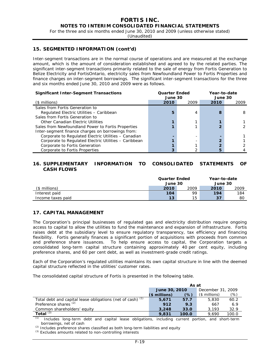For the three and six months ended June 30, 2010 and 2009 (unless otherwise stated)

(Unaudited)

## **15. SEGMENTED INFORMATION (cont'd)**

Inter-segment transactions are in the normal course of operations and are measured at the exchange amount, which is the amount of consideration established and agreed to by the related parties. The significant inter-segment transactions primarily related to the sale of energy from Fortis Generation to Belize Electricity and FortisOntario, electricity sales from Newfoundland Power to Fortis Properties and finance charges on inter-segment borrowings. The significant inter-segment transactions for the three and six months ended June 30, 2010 and 2009 were as follows.

| <b>Significant Inter-Segment Transactions</b>         | <b>Quarter Ended</b><br>June 30 |      | Year-to-date<br>June 30 |      |  |
|-------------------------------------------------------|---------------------------------|------|-------------------------|------|--|
| $($$ millions)                                        | 2010                            | 2009 | 2010                    | 2009 |  |
| Sales from Fortis Generation to                       |                                 |      |                         |      |  |
| Regulated Electric Utilities - Caribbean              | 5                               | 4    |                         | 8    |  |
| Sales from Fortis Generation to                       |                                 |      |                         |      |  |
| Other Canadian Electric Utilities                     |                                 |      |                         |      |  |
| Sales from Newfoundland Power to Fortis Properties    |                                 |      |                         |      |  |
| Inter-segment finance charges on borrowings from:     |                                 |      |                         |      |  |
| Corporate to Regulated Electric Utilities - Canadian  |                                 |      |                         |      |  |
| Corporate to Regulated Electric Utilities - Caribbean |                                 |      |                         |      |  |
| Corporate to Fortis Generation                        |                                 |      |                         |      |  |
| Corporate to Fortis Properties                        |                                 |      |                         |      |  |

# **16. SUPPLEMENTARY INFORMATION TO CONSOLIDATED STATEMENTS OF CASH FLOWS**

|                   | <b>Quarter Ended</b><br>June 30 |      | Year-to-date<br>June 30 |      |
|-------------------|---------------------------------|------|-------------------------|------|
| (\$ millions)     | 2010                            | 2009 | 2010                    | 2009 |
| Interest paid     | 104                             | 99   | 194                     | 184  |
| Income taxes paid | 13                              | 15   | 37                      | 80   |

#### **17. CAPITAL MANAGEMENT**

The Corporation's principal businesses of regulated gas and electricity distribution require ongoing access to capital to allow the utilities to fund the maintenance and expansion of infrastructure. Fortis raises debt at the subsidiary level to ensure regulatory transparency, tax efficiency and financing flexibility. Fortis generally finances a significant portion of acquisitions with proceeds from common and preference share issuances. To help ensure access to capital, the Corporation targets a consolidated long-term capital structure containing approximately 40 per cent equity, including preference shares, and 60 per cent debt, as well as investment-grade credit ratings.

Each of the Corporation's regulated utilities maintains its own capital structure in line with the deemed capital structure reflected in the utilities' customer rates.

The consolidated capital structure of Fortis is presented in the following table.

|                                                            | As at         |       |                   |       |  |  |  |
|------------------------------------------------------------|---------------|-------|-------------------|-------|--|--|--|
|                                                            | June 30, 2010 |       | December 31, 2009 |       |  |  |  |
|                                                            | $$$ millions) | (%)   | $($$ millions)    | (%)   |  |  |  |
| Total debt and capital lease obligations (net of cash) (1) | 5.671         | 57.7  | 5,830             | 60.2  |  |  |  |
| Preference shares <sup>(2)</sup>                           | 912           | 9.3   | 667               | 6.9   |  |  |  |
| Common shareholders' equity                                | 3,248         | 33.0  | 3.193             | 32.9  |  |  |  |
| Total $(3)$                                                | 9,831         | 100.0 | 9.690             | 100.0 |  |  |  |

*(1)* Includes long-term debt and capital lease obligations, including current portion, and short-term borrowings, net of cash

*(2)* Includes preference shares classified as both long-term liabilities and equity

*(3)* Excludes amounts related to non-controlling interests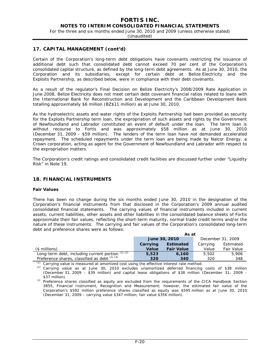For the three and six months ended June 30, 2010 and 2009 (unless otherwise stated)

(Unaudited)

## **17. CAPITAL MANAGEMENT (cont'd)**

Certain of the Corporation's long-term debt obligations have covenants restricting the issuance of additional debt such that consolidated debt cannot exceed 70 per cent of the Corporation's consolidated capital structure, as defined by the long-term debt agreements. As at June 30, 2010, the Corporation and its subsidiaries, except for certain debt at Belize Electricity and the Exploits Partnership, as described below, were in compliance with their debt covenants.

As a result of the regulator's Final Decision on Belize Electricity's 2008/2009 Rate Application in June 2008, Belize Electricity does not meet certain debt covenant financial ratios related to loans with the International Bank for Reconstruction and Development and the Caribbean Development Bank totalling approximately \$6 million (BZ\$11 million) as at June 30, 2010.

As the hydroelectric assets and water rights of the Exploits Partnership had been provided as security for the Exploits Partnership term loan, the expropriation of such assets and rights by the Government of Newfoundland and Labrador constituted an event of default under the loan. The term loan is without recourse to Fortis and was approximately \$58 million as at June 30, 2010 (December 31, 2009 - \$59 million). The lenders of the term loan have not demanded accelerated repayment. The scheduled repayments under the term loan are being made by Nalcor Energy, a Crown corporation, acting as agent for the Government of Newfoundland and Labrador with respect to the expropriation matters.

The Corporation's credit ratings and consolidated credit facilities are discussed further under "Liquidity Risk" in Note 19.

# **18. FINANCIAL INSTRUMENTS**

#### **Fair Values**

There has been no change during the six months ended June 30, 2010 in the designation of the Corporation's financial instruments from that disclosed in the Corporation's 2009 annual audited consolidated financial statements. The carrying values of financial instruments included in current assets, current liabilities, other assets and other liabilities in the consolidated balance sheets of Fortis approximate their fair values, reflecting the short-term maturity, normal trade credit terms and/or the nature of these instruments. The carrying and fair values of the Corporation's consolidated long-term debt and preference shares were as follows:

|                                                             | As at    |                   |                   |                   |  |  |  |
|-------------------------------------------------------------|----------|-------------------|-------------------|-------------------|--|--|--|
|                                                             |          | June 30, 2010     | December 31, 2009 |                   |  |  |  |
|                                                             | Carrying | <b>Estimated</b>  | Carrying          | Estimated         |  |  |  |
| $(s$ millions)                                              | Value    | <b>Fair Value</b> | Value             | <b>Fair Value</b> |  |  |  |
| Long-term debt, including current portion $\frac{(1)}{(2)}$ | 5,523    | 6,160             | 5,502             | 5,906             |  |  |  |
| Preference shares, classified as debt $(1)(3)$              | 320      | 340               | 320               | 348               |  |  |  |

Carrying value is measured at amortized cost using the effective interest rate method.

*(2)* Carrying value as at June 30, 2010 excludes unamortized deferred financing costs of \$38 million (December 31, 2009 - \$39 million) and capital lease obligations of \$38 million (December 31, 2009 - \$37 million).

*(3)* Preference shares classified as equity are excluded from the requirements of the CICA Handbook Section 3855, *Financial Instrument, Recognition and Measurement*; however, the estimated fair value of the Corporation's \$592 million preference shares classified as equity was \$595 million as at June 30, 2010 (December 31, 2009 – carrying value \$347 million; fair value \$356 million).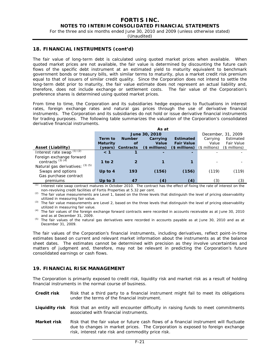For the three and six months ended June 30, 2010 and 2009 (unless otherwise stated)

(Unaudited)

#### **18. FINANCIAL INSTRUMENTS (cont'd)**

The fair value of long-term debt is calculated using quoted market prices when available. When quoted market prices are not available, the fair value is determined by discounting the future cash flows of the specific debt instrument at an estimated yield to maturity equivalent to benchmark government bonds or treasury bills, with similar terms to maturity, plus a market credit risk premium equal to that of issuers of similar credit quality. Since the Corporation does not intend to settle the long-term debt prior to maturity, the fair value estimate does not represent an actual liability and, therefore, does not include exchange or settlement costs. The fair value of the Corporation's preference shares is determined using quoted market prices.

From time to time, the Corporation and its subsidiaries hedge exposures to fluctuations in interest rates, foreign exchange rates and natural gas prices through the use of derivative financial instruments. The Corporation and its subsidiaries do not hold or issue derivative financial instruments for trading purposes. The following table summarizes the valuation of the Corporation's consolidated derivative financial instruments.

|                                                 |                 | As at         |               |                          |               |               |  |  |  |  |
|-------------------------------------------------|-----------------|---------------|---------------|--------------------------|---------------|---------------|--|--|--|--|
|                                                 |                 | June 30, 2010 |               | December, 31, 2009       |               |               |  |  |  |  |
|                                                 | Term to         | <b>Number</b> | Carrying      | Carrying                 | Estimated     |               |  |  |  |  |
|                                                 | <b>Maturity</b> | οf            | <b>Value</b>  | <b>Fair Value</b>        | Value         | Fair Value    |  |  |  |  |
| Asset (Liability)                               | (years)         | Contracts     | $$$ millions) | (\$ millions)            | (\$ millions) | (\$ millions) |  |  |  |  |
| Interest rate swap $\sqrt{(1)(2)}$              | < 1             |               | -             | $\overline{\phantom{0}}$ |               |               |  |  |  |  |
| Foreign exchange forward<br>contracts $(3)$ (4) |                 |               |               |                          |               |               |  |  |  |  |
|                                                 | 1 to $2$        |               |               |                          |               |               |  |  |  |  |
| Natural gas derivatives: (3) (5)                |                 |               |               |                          |               |               |  |  |  |  |
| Swaps and options                               | Up to $4$       | 193           | (156)         | (156)                    | (119)         | (119)         |  |  |  |  |
| Gas purchase contract                           |                 |               |               |                          |               |               |  |  |  |  |
| premiums                                        | Up to $3$       | 47            | (4)           | (4)                      | (3)           | (3)           |  |  |  |  |

*(1)* Interest rate swap contract matures in October 2010. The contract has the effect of fixing the rate of interest on the non-revolving credit facilities of Fortis Properties at 5.32 per cent.

*(2)* The fair value measurements are Level 1, based on the three levels that distinguish the level of pricing observability utilized in measuring fair value.

*(3)* The fair value measurements are Level 2, based on the three levels that distinguish the level of pricing observability utilized in measuring fair value.

*(4)* The fair values of the foreign exchange forward contracts were recorded in accounts receivable as at June 30, 2010 and as at December 31, 2009.

The fair values of the Corporation's financial instruments, including derivatives, reflect point-in-time estimates based on current and relevant market information about the instruments as at the balance sheet dates. The estimates cannot be determined with precision as they involve uncertainties and matters of judgment and, therefore, may not be relevant in predicting the Corporation's future consolidated earnings or cash flows.

## **19. FINANCIAL RISK MANAGEMENT**

The Corporation is primarily exposed to credit risk, liquidity risk and market risk as a result of holding financial instruments in the normal course of business.

- **Credit risk** Risk that a third party to a financial instrument might fail to meet its obligations under the terms of the financial instrument.
- **Liquidity risk** Risk that an entity will encounter difficulty in raising funds to meet commitments associated with financial instruments.
- **Market risk** Risk that the fair value or future cash flows of a financial instrument will fluctuate due to changes in market prices. The Corporation is exposed to foreign exchange risk, interest rate risk and commodity price risk.

*<sup>(5)</sup>* The fair values of the natural gas derivatives were recorded in accounts payable as at June 30, 2010 and as at December 31, 2009.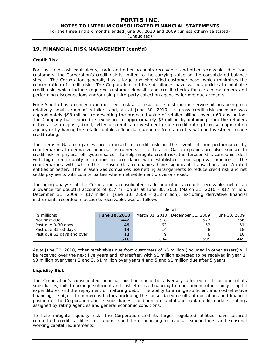For the three and six months ended June 30, 2010 and 2009 (unless otherwise stated)

(Unaudited)

# **19. FINANCIAL RISK MANAGEMENT (cont'd)**

#### **Credit Risk**

For cash and cash equivalents, trade and other accounts receivable, and other receivables due from customers, the Corporation's credit risk is limited to the carrying value on the consolidated balance sheet. The Corporation generally has a large and diversified customer base, which minimizes the concentration of credit risk. The Corporation and its subsidiaries have various policies to minimize credit risk, which include requiring customer deposits and credit checks for certain customers and performing disconnections and/or using third-party collection agencies for overdue accounts.

FortisAlberta has a concentration of credit risk as a result of its distribution-service billings being to a relatively small group of retailers and, as at June 30, 2010, its gross credit risk exposure was approximately \$98 million, representing the projected value of retailer billings over a 60-day period. The Company has reduced its exposure to approximately \$3 million by obtaining from the retailers either a cash deposit, bond, letter of credit, an investment-grade credit rating from a major rating agency or by having the retailer obtain a financial guarantee from an entity with an investment-grade credit rating.

The Terasen Gas companies are exposed to credit risk in the event of non-performance by counterparties to derivative financial instruments. The Terasen Gas companies are also exposed to credit risk on physical off-system sales. To help mitigate credit risk, the Terasen Gas companies deal with high credit-quality institutions in accordance with established credit-approval practices. The counterparties with which the Terasen Gas companies have significant transactions are A-rated entities or better. The Terasen Gas companies use netting arrangements to reduce credit risk and net settle payments with counterparties where net settlement provisions exist.

The aging analysis of the Corporation's consolidated trade and other accounts receivable, net of an allowance for doubtful accounts of \$17 million as at June 30, 2010 (March 31, 2010 - \$17 million; December 31, 2009 - \$17 million; June 30, 2009 - \$18 million), excluding derivative financial instruments recorded in accounts receivable, was as follows:

|                           | As at         |     |                                  |               |  |  |  |
|---------------------------|---------------|-----|----------------------------------|---------------|--|--|--|
| $($$ millions)            | June 30, 2010 |     | March 31, 2010 December 31, 2009 | June 30, 2009 |  |  |  |
| Not past due              | 442           | 518 | 527                              | 366           |  |  |  |
| Past due 0-30 days        | 49            | 63  | 52                               | 51            |  |  |  |
| Past due 31-60 days       | 14            | 14  |                                  | 18            |  |  |  |
| Past due 61 days and over | 11            | Q   |                                  | 10            |  |  |  |
|                           | 516           | 604 | 595                              | 445           |  |  |  |

As at June 30, 2010, other receivables due from customers of \$6 million (included in other assets) will be received over the next five years and, thereafter, with \$1 million expected to be received in year 1, \$3 million over years 2 and 3, \$1 million over years 4 and 5 and \$1 million due after 5 years.

#### **Liquidity Risk**

The Corporation's consolidated financial position could be adversely affected if it, or one of its subsidiaries, fails to arrange sufficient and cost-effective financing to fund, among other things, capital expenditures and the repayment of maturing debt. The ability to arrange sufficient and cost-effective financing is subject to numerous factors, including the consolidated results of operations and financial position of the Corporation and its subsidiaries, conditions in capital and bank credit markets, ratings assigned by rating agencies and general economic conditions.

To help mitigate liquidity risk, the Corporation and its larger regulated utilities have secured committed credit facilities to support short-term financing of capital expenditures and seasonal working capital requirements.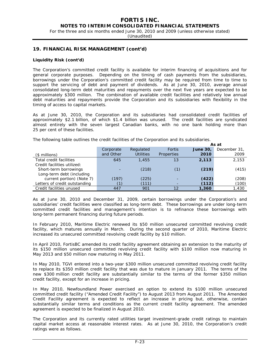For the three and six months ended June 30, 2010 and 2009 (unless otherwise stated)

(Unaudited)

# **19. FINANCIAL RISK MANAGEMENT (cont'd)**

#### **Liquidity Risk (cont'd)**

The Corporation's committed credit facility is available for interim financing of acquisitions and for general corporate purposes. Depending on the timing of cash payments from the subsidiaries, borrowings under the Corporation's committed credit facility may be required from time to time to support the servicing of debt and payment of dividends. As at June 30, 2010, average annual consolidated long-term debt maturities and repayments over the next five years are expected to be approximately \$300 million. The combination of available credit facilities and relatively low annual debt maturities and repayments provide the Corporation and its subsidiaries with flexibility in the timing of access to capital markets.

As at June 30, 2010, the Corporation and its subsidiaries had consolidated credit facilities of approximately \$2.1 billion, of which \$1.4 billion was unused. The credit facilities are syndicated almost entirely with the seven largest Canadian banks, with no one bank holding more than 25 per cent of these facilities.

The following table outlines the credit facilities of the Corporation and its subsidiaries.

|                               |           |                  |               | As at          |              |  |  |
|-------------------------------|-----------|------------------|---------------|----------------|--------------|--|--|
|                               | Corporate | Regulated        | <b>Fortis</b> | <b>June 30</b> | December 31. |  |  |
| $($$ millions)                | and Other | <b>Utilities</b> | Properties    | 2010           | 2009         |  |  |
| Total credit facilities       | 645       | 1,455            | 13            | 2,113          | 2.153        |  |  |
| Credit facilities utilized:   |           |                  |               |                |              |  |  |
| Short-term borrowings         |           | (218)            | (1)           | (219)          | (415)        |  |  |
| Long-term debt (including     |           |                  |               |                |              |  |  |
| current portion) (Note 7)     | (197)     | (225)            |               | (422)          | (208)        |  |  |
| Letters of credit outstanding |           | (111)            |               | (112)          | (100)        |  |  |
| Credit facilities unused      | 447       | 901              | 12            | 1,360          | 1,430        |  |  |

As at June 30, 2010 and December 31, 2009, certain borrowings under the Corporation's and subsidiaries' credit facilities were classified as long-term debt. These borrowings are under long-term committed credit facilities and management's intention is to refinance these borrowings with long-term permanent financing during future periods.

In February 2010, Maritime Electric renewed its \$50 million unsecured committed revolving credit facility, which matures annually in March. During the second quarter of 2010, Maritime Electric increased its unsecured committed revolving credit facility by \$10 million.

In April 2010, FortisBC amended its credit facility agreement obtaining an extension to the maturity of its \$150 million unsecured committed revolving credit facility with \$100 million now maturing in May 2013 and \$50 million now maturing in May 2011.

In May 2010, TGVI entered into a two-year \$300 million unsecured committed revolving credit facility to replace its \$350 million credit facility that was due to mature in January 2011. The terms of the new \$300 million credit facility are substantially similar to the terms of the former \$350 million credit facility, except for an increase in pricing.

In May 2010, Newfoundland Power exercised an option to extend its \$100 million unsecured committed credit facility ("Amended Credit Facility") to August 2013 from August 2011. The Amended Credit Facility agreement is expected to reflect an increase in pricing but, otherwise, contain substantially similar terms and conditions as the current credit facility agreement. The amended agreement is expected to be finalized in August 2010.

The Corporation and its currently rated utilities target investment-grade credit ratings to maintain capital market access at reasonable interest rates. As at June 30, 2010, the Corporation's credit ratings were as follows.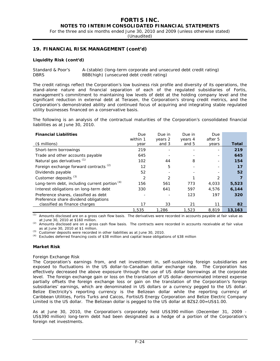For the three and six months ended June 30, 2010 and 2009 (unless otherwise stated)

(Unaudited)

# **19. FINANCIAL RISK MANAGEMENT (cont'd)**

#### **Liquidity Risk (cont'd)**

Standard & Poor's A-(stable) (long-term corporate and unsecured debt credit rating) DBRS BBB(high) (unsecured debt credit rating)

The credit ratings reflect the Corporation's low business risk profile and diversity of its operations, the stand-alone nature and financial separation of each of the regulated subsidiaries of Fortis, management's commitment to maintaining low levels of debt at the holding company level and the significant reduction in external debt at Terasen, the Corporation's strong credit metrics, and the Corporation's demonstrated ability and continued focus of acquiring and integrating stable regulated utility businesses financed on a conservative basis.

The following is an analysis of the contractual maturities of the Corporation's consolidated financial liabilities as at June 30, 2010.

| <b>Financial Liabilities</b>                      | Due            | Due in  | Due in  | Due     |        |
|---------------------------------------------------|----------------|---------|---------|---------|--------|
|                                                   | within 1       | years 2 | years 4 | after 5 |        |
| $($$ millions)                                    | vear           | and 3   | and 5   | years   | Total  |
| Short-term borrowings                             | 219            |         |         |         | 219    |
| Trade and other accounts payable                  | 645            |         |         |         | 645    |
| Natural gas derivatives (1)                       | 102            | 44      | 8       |         | 154    |
| Foreign exchange forward contracts <sup>(2)</sup> | 12             | 5       |         |         | 17     |
| Dividends payable                                 | 52             |         |         |         | 52     |
| Customer deposits <sup>(3)</sup>                  | $\overline{2}$ | 2       |         | 2       |        |
| Long-term debt, including current portion $(4)$   | 156            | 561     | 773     | 4,033   | 5,523  |
| Interest obligations on long-term debt            | 330            | 641     | 597     | 4,576   | 6,144  |
| Preference shares, classified as debt             |                |         | 123     | 197     | 320    |
| Preference share dividend obligations             |                |         |         |         |        |
| classified as finance charges                     | 17             | 33      | 21      | 11      | 82     |
|                                                   | 1,535          | 1,286   | 1,523   | 8.819   | 13,163 |

*(1)* Amounts disclosed are on a gross cash flow basis. The derivatives were recorded in accounts payable at fair value as at June 30, 2010 at \$160 million.

*(2)* Amounts disclosed are on a gross cash flow basis. The contracts were recorded in accounts receivable at fair value as at June 30, 2010 at \$1 million.

*(3)* Customer deposits were recorded in other liabilities as at June 30, 2010.

*(4)* Excludes deferred financing costs of \$38 million and capital lease obligations of \$38 million

#### **Market Risk**

#### *Foreign Exchange Risk*

The Corporation's earnings from, and net investment in, self-sustaining foreign subsidiaries are exposed to fluctuations in the US dollar-to-Canadian dollar exchange rate. The Corporation has effectively decreased the above exposure through the use of US dollar borrowings at the corporate level. The foreign exchange gain or loss on the translation of US dollar-denominated interest expense partially offsets the foreign exchange loss or gain on the translation of the Corporation's foreign subsidiaries' earnings, which are denominated in US dollars or a currency pegged to the US dollar. Belize Electricity's reporting currency is the Belizean dollar while the reporting currency of Caribbean Utilities, Fortis Turks and Caicos, FortisUS Energy Corporation and Belize Electric Company Limited is the US dollar. The Belizean dollar is pegged to the US dollar at BZ\$2.00=US\$1.00.

As at June 30, 2010, the Corporation's corporately held US\$390 million (December 31, 2009 - US\$390 million) long-term debt had been designated as a hedge of a portion of the Corporation's foreign net investments.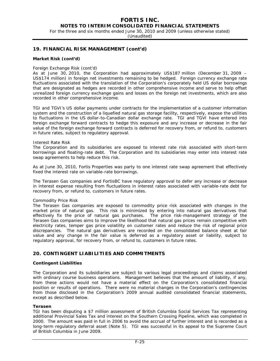# **FORTIS INC.**

# **NOTES TO INTERIM CONSOLIDATED FINANCIAL STATEMENTS**

For the three and six months ended June 30, 2010 and 2009 (unless otherwise stated)

(Unaudited)

## **19. FINANCIAL RISK MANAGEMENT (cont'd)**

#### **Market Risk (cont'd)**

#### *Foreign Exchange Risk (cont'd)*

As at June 30, 2010, the Corporation had approximately US\$187 million (December 31, 2009 – US\$174 million) in foreign net investments remaining to be hedged. Foreign currency exchange rate fluctuations associated with the translation of the Corporation's corporately held US dollar borrowings that are designated as hedges are recorded in other comprehensive income and serve to help offset unrealized foreign currency exchange gains and losses on the foreign net investments, which are also recorded in other comprehensive income.

TGI and TGVI's US dollar payments under contracts for the implementation of a customer information system and the construction of a liquefied natural gas storage facility, respectively, expose the utilities to fluctuations in the US dollar-to-Canadian dollar exchange rate. TGI and TGVI have entered into foreign exchange forward contracts to hedge this exposure and any increase or decrease in the fair value of the foreign exchange forward contracts is deferred for recovery from, or refund to, customers in future rates, subject to regulatory approval.

#### *Interest Rate Risk*

The Corporation and its subsidiaries are exposed to interest rate risk associated with short-term borrowings and floating-rate debt. The Corporation and its subsidiaries may enter into interest rate swap agreements to help reduce this risk.

As at June 30, 2010, Fortis Properties was party to one interest rate swap agreement that effectively fixed the interest rate on variable-rate borrowings.

The Terasen Gas companies and FortisBC have regulatory approval to defer any increase or decrease in interest expense resulting from fluctuations in interest rates associated with variable-rate debt for recovery from, or refund to, customers in future rates.

#### *Commodity Price Risk*

The Terasen Gas companies are exposed to commodity price risk associated with changes in the market price of natural gas. This risk is minimized by entering into natural gas derivatives that effectively fix the price of natural gas purchases. The price risk-management strategy of the Terasen Gas companies aims to improve the likelihood that natural gas prices remain competitive with electricity rates, temper gas price volatility on customer rates and reduce the risk of regional price discrepancies. The natural gas derivatives are recorded on the consolidated balance sheet at fair value and any change in the fair value is deferred as a regulatory asset or liability, subject to regulatory approval, for recovery from, or refund to, customers in future rates.

# **20. CONTINGENT LIABILITIES AND COMMITMENTS**

#### **Contingent Liabilities**

The Corporation and its subsidiaries are subject to various legal proceedings and claims associated with ordinary course business operations. Management believes that the amount of liability, if any, from these actions would not have a material effect on the Corporation's consolidated financial position or results of operations. There were no material changes in the Corporation's contingencies from those disclosed in the Corporation's 2009 annual audited consolidated financial statements, except as described below.

#### **Terasen**

TGI has been disputing a \$7 million assessment of British Columbia Social Services Tax representing additional Provincial Sales Tax and interest on the Southern Crossing Pipeline, which was completed in 2000. The amount was paid in full in 2006 to avoid the accrual of further interest and is recorded as a long-term regulatory deferral asset (Note 5). TGI was successful in its appeal to the Supreme Court of British Columbia in June 2009.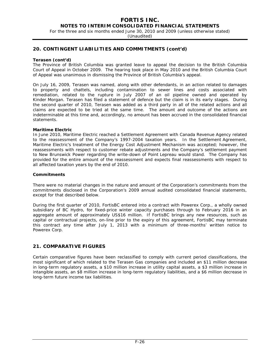For the three and six months ended June 30, 2010 and 2009 (unless otherwise stated)

(Unaudited)

# **20. CONTINGENT LIABILITIES AND COMMITMENTS (cont'd)**

#### **Terasen (cont'd)**

The Province of British Columbia was granted leave to appeal the decision to the British Columbia Court of Appeal in October 2009. The hearing took place in May 2010 and the British Columbia Court of Appeal was unanimous in dismissing the Province of British Columbia's appeal.

On July 16, 2009, Terasen was named, along with other defendants, in an action related to damages to property and chattels, including contamination to sewer lines and costs associated with remediation, related to the rupture in July 2007 of an oil pipeline owned and operated by Kinder Morgan. Terasen has filed a statement of defence but the claim is in its early stages. During the second quarter of 2010, Terasen was added as a third party in all of the related actions and all claims are expected to be tried at the same time. The amount and outcome of the actions are indeterminable at this time and, accordingly, no amount has been accrued in the consolidated financial statements.

#### **Maritime Electric**

In June 2010, Maritime Electric reached a Settlement Agreement with Canada Revenue Agency related to the reassessment of the Company's 1997-2004 taxation years. In the Settlement Agreement, Maritime Electric's treatment of the Energy Cost Adjustment Mechanism was accepted; however, the reassessments with respect to customer rebate adjustments and the Company's settlement payment to New Brunswick Power regarding the write-down of Point Lepreau would stand. The Company has provided for the entire amount of the reassessment and expects final reassessments with respect to all affected taxation years by the end of 2010.

#### **Commitments**

There were no material changes in the nature and amount of the Corporation's commitments from the commitments disclosed in the Corporation's 2009 annual audited consolidated financial statements, except for that described below.

During the first quarter of 2010, FortisBC entered into a contract with Powerex Corp., a wholly owned subsidiary of BC Hydro, for fixed-price winter capacity purchases through to February 2016 in an aggregate amount of approximately US\$16 million. If FortisBC brings any new resources, such as capital or contractual projects, on-line prior to the expiry of this agreement, FortisBC may terminate this contract any time after July 1, 2013 with a minimum of three-months' written notice to Powerex Corp.

# **21. COMPARATIVE FIGURES**

Certain comparative figures have been reclassified to comply with current period classifications, the most significant of which related to the Terasen Gas companies and included an \$11 million decrease in long-term regulatory assets, a \$10 million increase in utility capital assets, a \$3 million increase in intangible assets, an \$8 million increase in long-term regulatory liabilities, and a \$6 million decrease in long-term future income tax liabilities.